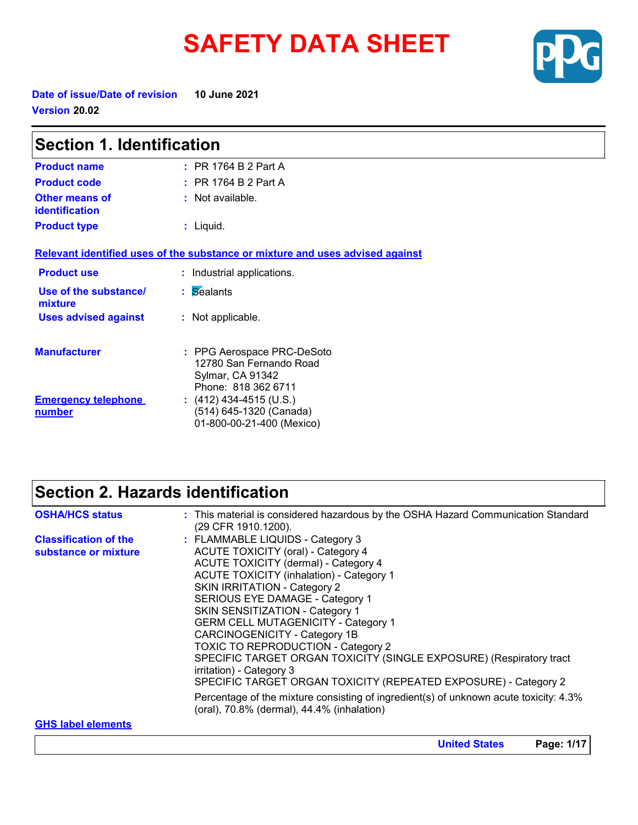# **SAFETY DATA SHEET**



**United States Page: 1/17**

**Date of issue/Date of revision 10 June 2021 Version 20.02**

| <b>Section 1. Identification</b>        |                                                                                                  |  |
|-----------------------------------------|--------------------------------------------------------------------------------------------------|--|
| <b>Product name</b>                     | $:$ PR 1764 B 2 Part A                                                                           |  |
| <b>Product code</b>                     | $:$ PR 1764 B 2 Part A                                                                           |  |
| <b>Other means of</b><br>identification | : Not available.                                                                                 |  |
| <b>Product type</b>                     | $:$ Liquid.                                                                                      |  |
|                                         | Relevant identified uses of the substance or mixture and uses advised against                    |  |
| <b>Product use</b>                      | : Industrial applications.                                                                       |  |
| Use of the substance/<br>mixture        | : Sealants                                                                                       |  |
| <b>Uses advised against</b>             | : Not applicable.                                                                                |  |
| <b>Manufacturer</b>                     | : PPG Aerospace PRC-DeSoto<br>12780 San Fernando Road<br>Sylmar, CA 91342<br>Phone: 818 362 6711 |  |
| <b>Emergency telephone</b><br>number    | $(412)$ 434-4515 (U.S.)<br>(514) 645-1320 (Canada)<br>01-800-00-21-400 (Mexico)                  |  |

### **Section 2. Hazards identification**

| <b>OSHA/HCS status</b>                               | : This material is considered hazardous by the OSHA Hazard Communication Standard<br>(29 CFR 1910.1200).                                                                                                                                                                                                                                                                                                                                                                                                                                                                                                                                                                                                                              |
|------------------------------------------------------|---------------------------------------------------------------------------------------------------------------------------------------------------------------------------------------------------------------------------------------------------------------------------------------------------------------------------------------------------------------------------------------------------------------------------------------------------------------------------------------------------------------------------------------------------------------------------------------------------------------------------------------------------------------------------------------------------------------------------------------|
| <b>Classification of the</b><br>substance or mixture | : FLAMMABLE LIQUIDS - Category 3<br><b>ACUTE TOXICITY (oral) - Category 4</b><br>ACUTE TOXICITY (dermal) - Category 4<br><b>ACUTE TOXICITY (inhalation) - Category 1</b><br><b>SKIN IRRITATION - Category 2</b><br><b>SERIOUS EYE DAMAGE - Category 1</b><br>SKIN SENSITIZATION - Category 1<br><b>GERM CELL MUTAGENICITY - Category 1</b><br>CARCINOGENICITY - Category 1B<br><b>TOXIC TO REPRODUCTION - Category 2</b><br>SPECIFIC TARGET ORGAN TOXICITY (SINGLE EXPOSURE) (Respiratory tract<br>irritation) - Category 3<br>SPECIFIC TARGET ORGAN TOXICITY (REPEATED EXPOSURE) - Category 2<br>Percentage of the mixture consisting of ingredient(s) of unknown acute toxicity: 4.3%<br>(oral), 70.8% (dermal), 44.4% (inhalation) |
| <b>GHS label elements</b>                            |                                                                                                                                                                                                                                                                                                                                                                                                                                                                                                                                                                                                                                                                                                                                       |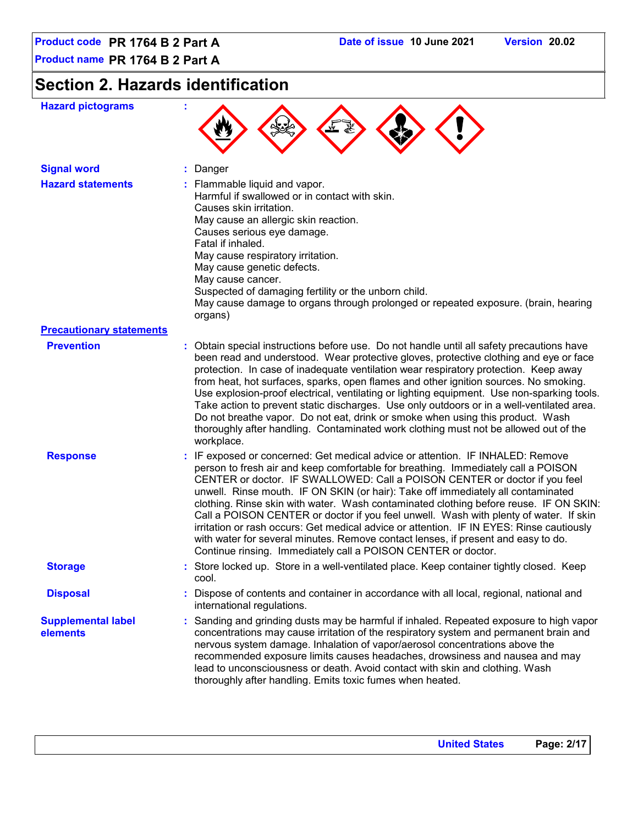## **Section 2. Hazards identification**

| <b>Hazard pictograms</b>              |                                                                                                                                                                                                                                                                                                                                                                                                                                                                                                                                                                                                                                                                                                                                                                           |
|---------------------------------------|---------------------------------------------------------------------------------------------------------------------------------------------------------------------------------------------------------------------------------------------------------------------------------------------------------------------------------------------------------------------------------------------------------------------------------------------------------------------------------------------------------------------------------------------------------------------------------------------------------------------------------------------------------------------------------------------------------------------------------------------------------------------------|
| <b>Signal word</b>                    | Danger                                                                                                                                                                                                                                                                                                                                                                                                                                                                                                                                                                                                                                                                                                                                                                    |
| <b>Hazard statements</b>              | : Flammable liquid and vapor.<br>Harmful if swallowed or in contact with skin.<br>Causes skin irritation.<br>May cause an allergic skin reaction.<br>Causes serious eye damage.<br>Fatal if inhaled.<br>May cause respiratory irritation.<br>May cause genetic defects.<br>May cause cancer.<br>Suspected of damaging fertility or the unborn child.<br>May cause damage to organs through prolonged or repeated exposure. (brain, hearing<br>organs)                                                                                                                                                                                                                                                                                                                     |
| <b>Precautionary statements</b>       |                                                                                                                                                                                                                                                                                                                                                                                                                                                                                                                                                                                                                                                                                                                                                                           |
| <b>Prevention</b>                     | : Obtain special instructions before use. Do not handle until all safety precautions have<br>been read and understood. Wear protective gloves, protective clothing and eye or face<br>protection. In case of inadequate ventilation wear respiratory protection. Keep away<br>from heat, hot surfaces, sparks, open flames and other ignition sources. No smoking.<br>Use explosion-proof electrical, ventilating or lighting equipment. Use non-sparking tools.<br>Take action to prevent static discharges. Use only outdoors or in a well-ventilated area.<br>Do not breathe vapor. Do not eat, drink or smoke when using this product. Wash<br>thoroughly after handling. Contaminated work clothing must not be allowed out of the<br>workplace.                     |
| <b>Response</b>                       | : IF exposed or concerned: Get medical advice or attention. IF INHALED: Remove<br>person to fresh air and keep comfortable for breathing. Immediately call a POISON<br>CENTER or doctor. IF SWALLOWED: Call a POISON CENTER or doctor if you feel<br>unwell. Rinse mouth. IF ON SKIN (or hair): Take off immediately all contaminated<br>clothing. Rinse skin with water. Wash contaminated clothing before reuse. IF ON SKIN:<br>Call a POISON CENTER or doctor if you feel unwell. Wash with plenty of water. If skin<br>irritation or rash occurs: Get medical advice or attention. IF IN EYES: Rinse cautiously<br>with water for several minutes. Remove contact lenses, if present and easy to do.<br>Continue rinsing. Immediately call a POISON CENTER or doctor. |
| <b>Storage</b>                        | : Store locked up. Store in a well-ventilated place. Keep container tightly closed. Keep<br>cool.                                                                                                                                                                                                                                                                                                                                                                                                                                                                                                                                                                                                                                                                         |
| <b>Disposal</b>                       | : Dispose of contents and container in accordance with all local, regional, national and<br>international regulations.                                                                                                                                                                                                                                                                                                                                                                                                                                                                                                                                                                                                                                                    |
| <b>Supplemental label</b><br>elements | : Sanding and grinding dusts may be harmful if inhaled. Repeated exposure to high vapor<br>concentrations may cause irritation of the respiratory system and permanent brain and<br>nervous system damage. Inhalation of vapor/aerosol concentrations above the<br>recommended exposure limits causes headaches, drowsiness and nausea and may<br>lead to unconsciousness or death. Avoid contact with skin and clothing. Wash<br>thoroughly after handling. Emits toxic fumes when heated.                                                                                                                                                                                                                                                                               |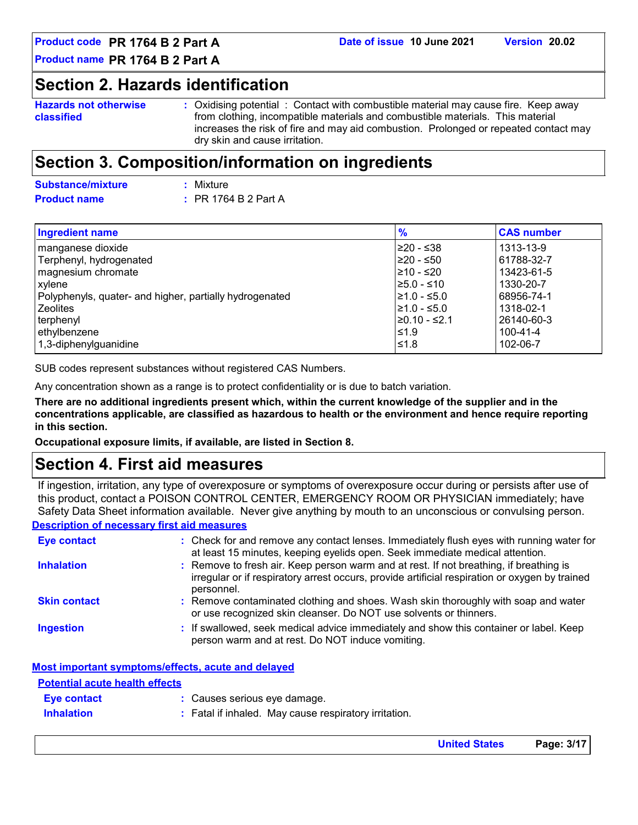### **Section 2. Hazards identification**

```
Hazards not otherwise 
classified
```
**:** Oxidising potential : Contact with combustible material may cause fire. Keep away from clothing, incompatible materials and combustible materials. This material increases the risk of fire and may aid combustion. Prolonged or repeated contact may dry skin and cause irritation.

### **Section 3. Composition/information on ingredients**

| Substance/mixture   | : Mixture                 |
|---------------------|---------------------------|
| <b>Product name</b> | $\div$ PR 1764 B 2 Part A |

| <b>Ingredient name</b>                                  | $\frac{9}{6}$    | <b>CAS number</b> |
|---------------------------------------------------------|------------------|-------------------|
| manganese dioxide                                       | l≥20 - ≤38       | 1313-13-9         |
| Terphenyl, hydrogenated                                 | l≥20 - ≤50       | 61788-32-7        |
| magnesium chromate                                      | l≥10 - ≤20       | 13423-61-5        |
| xylene                                                  | $\geq 5.0 - 510$ | 1330-20-7         |
| Polyphenyls, quater- and higher, partially hydrogenated | l≥1.0 - ≤5.0     | 68956-74-1        |
| <b>Zeolites</b>                                         | $\geq 1.0 - 5.0$ | 1318-02-1         |
| terphenyl                                               | 20.10 - ≤2.1     | 26140-60-3        |
| ethylbenzene                                            | $\leq 1.9$       | $100 - 41 - 4$    |
| 1,3-diphenylguanidine                                   | 1.8⊧≥ا           | 102-06-7          |

SUB codes represent substances without registered CAS Numbers.

Any concentration shown as a range is to protect confidentiality or is due to batch variation.

**There are no additional ingredients present which, within the current knowledge of the supplier and in the concentrations applicable, are classified as hazardous to health or the environment and hence require reporting in this section.**

**Occupational exposure limits, if available, are listed in Section 8.**

### **Section 4. First aid measures**

If ingestion, irritation, any type of overexposure or symptoms of overexposure occur during or persists after use of this product, contact a POISON CONTROL CENTER, EMERGENCY ROOM OR PHYSICIAN immediately; have Safety Data Sheet information available. Never give anything by mouth to an unconscious or convulsing person.

#### **Description of necessary first aid measures**

| <b>Eye contact</b>  | : Check for and remove any contact lenses. Immediately flush eyes with running water for<br>at least 15 minutes, keeping eyelids open. Seek immediate medical attention.                               |
|---------------------|--------------------------------------------------------------------------------------------------------------------------------------------------------------------------------------------------------|
| <b>Inhalation</b>   | : Remove to fresh air. Keep person warm and at rest. If not breathing, if breathing is<br>irregular or if respiratory arrest occurs, provide artificial respiration or oxygen by trained<br>personnel. |
| <b>Skin contact</b> | : Remove contaminated clothing and shoes. Wash skin thoroughly with soap and water<br>or use recognized skin cleanser. Do NOT use solvents or thinners.                                                |
| <b>Ingestion</b>    | : If swallowed, seek medical advice immediately and show this container or label. Keep<br>person warm and at rest. Do NOT induce vomiting.                                                             |

|--|

| <b>Potential acute health effects</b> |                                                       |
|---------------------------------------|-------------------------------------------------------|
| <b>Eve contact</b>                    | : Causes serious eye damage.                          |
| <b>Inhalation</b>                     | : Fatal if inhaled. May cause respiratory irritation. |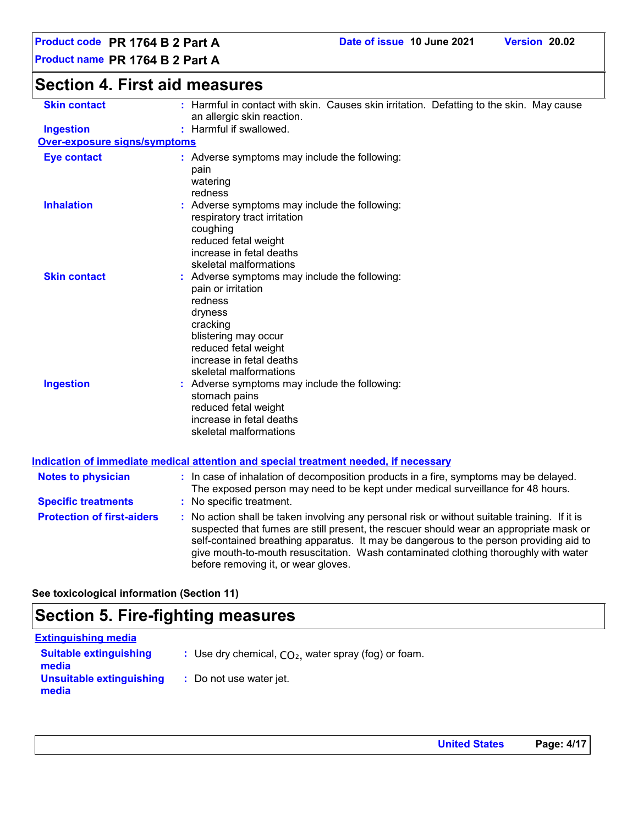#### **Section 4. First aid measures Protection of first-aiders :** No action shall be taken involving any personal risk or without suitable training. If it is suspected that fumes are still present, the rescuer should wear an appropriate mask or self-contained breathing apparatus. It may be dangerous to the person providing aid to give mouth-to-mouth resuscitation. Wash contaminated clothing thoroughly with water before removing it, or wear gloves. **Notes to physician :** In case of inhalation of decomposition products in a fire, symptoms may be delayed. The exposed person may need to be kept under medical surveillance for 48 hours. **Specific treatments :** No specific treatment. **Ingestion : Skin contact : Over-exposure signs/symptoms Skin contact Ingestion Inhalation**  The Superse symptoms may include the following: respiratory tract irritation coughing reduced fetal weight increase in fetal deaths skeletal malformations Adverse symptoms may include the following: **:** stomach pains reduced fetal weight increase in fetal deaths skeletal malformations Adverse symptoms may include the following: **:** pain or irritation redness dryness cracking blistering may occur reduced fetal weight increase in fetal deaths skeletal malformations **Eye contact :** Adverse symptoms may include the following: pain watering redness **See toxicological information (Section 11) Indication of immediate medical attention and special treatment needed, if necessary** : Harmful if swallowed. : Harmful in contact with skin. Causes skin irritation. Defatting to the skin. May cause an allergic skin reaction.

### **Section 5. Fire-fighting measures**

| <b>Extinguishing media</b>             |                                                        |
|----------------------------------------|--------------------------------------------------------|
| <b>Suitable extinguishing</b><br>media | : Use dry chemical, $CO2$ , water spray (fog) or foam. |
| Unsuitable extinguishing<br>media      | : Do not use water jet.                                |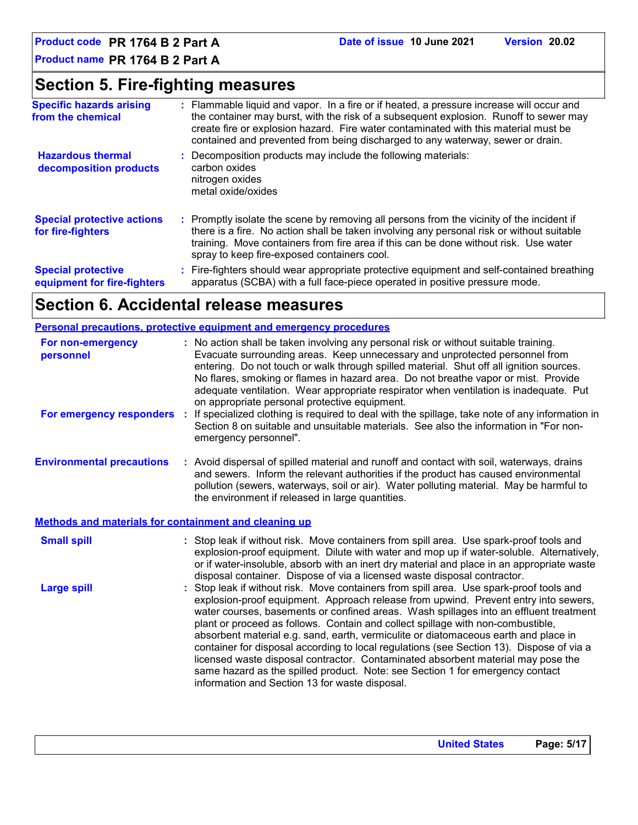### **Section 5. Fire-fighting measures**

| <b>Specific hazards arising</b><br>from the chemical     | : Flammable liquid and vapor. In a fire or if heated, a pressure increase will occur and<br>the container may burst, with the risk of a subsequent explosion. Runoff to sewer may<br>create fire or explosion hazard. Fire water contaminated with this material must be<br>contained and prevented from being discharged to any waterway, sewer or drain. |
|----------------------------------------------------------|------------------------------------------------------------------------------------------------------------------------------------------------------------------------------------------------------------------------------------------------------------------------------------------------------------------------------------------------------------|
| <b>Hazardous thermal</b><br>decomposition products       | Decomposition products may include the following materials:<br>carbon oxides<br>nitrogen oxides<br>metal oxide/oxides                                                                                                                                                                                                                                      |
| <b>Special protective actions</b><br>for fire-fighters   | : Promptly isolate the scene by removing all persons from the vicinity of the incident if<br>there is a fire. No action shall be taken involving any personal risk or without suitable<br>training. Move containers from fire area if this can be done without risk. Use water<br>spray to keep fire-exposed containers cool.                              |
| <b>Special protective</b><br>equipment for fire-fighters | : Fire-fighters should wear appropriate protective equipment and self-contained breathing<br>apparatus (SCBA) with a full face-piece operated in positive pressure mode.                                                                                                                                                                                   |

## **Section 6. Accidental release measures**

|                                                       | <b>Personal precautions, protective equipment and emergency procedures</b>                                                                                                                                                                                                                                                                                                                                                                                                                     |
|-------------------------------------------------------|------------------------------------------------------------------------------------------------------------------------------------------------------------------------------------------------------------------------------------------------------------------------------------------------------------------------------------------------------------------------------------------------------------------------------------------------------------------------------------------------|
| For non-emergency<br>personnel                        | : No action shall be taken involving any personal risk or without suitable training.<br>Evacuate surrounding areas. Keep unnecessary and unprotected personnel from<br>entering. Do not touch or walk through spilled material. Shut off all ignition sources.<br>No flares, smoking or flames in hazard area. Do not breathe vapor or mist. Provide<br>adequate ventilation. Wear appropriate respirator when ventilation is inadequate. Put<br>on appropriate personal protective equipment. |
| For emergency responders                              | If specialized clothing is required to deal with the spillage, take note of any information in<br>Section 8 on suitable and unsuitable materials. See also the information in "For non-<br>emergency personnel".                                                                                                                                                                                                                                                                               |
| <b>Environmental precautions</b>                      | : Avoid dispersal of spilled material and runoff and contact with soil, waterways, drains<br>and sewers. Inform the relevant authorities if the product has caused environmental<br>pollution (sewers, waterways, soil or air). Water polluting material. May be harmful to<br>the environment if released in large quantities.                                                                                                                                                                |
| Methods and materials for containment and cleaning up |                                                                                                                                                                                                                                                                                                                                                                                                                                                                                                |
| <b>Small spill</b>                                    | : Stop leak if without risk. Move containers from spill area. Use spark-proof tools and                                                                                                                                                                                                                                                                                                                                                                                                        |

| <b>Small spill</b> | : Stop leak if without risk. Move containers from spill area. Use spark-proof tools and<br>explosion-proof equipment. Dilute with water and mop up if water-soluble. Alternatively,<br>or if water-insoluble, absorb with an inert dry material and place in an appropriate waste<br>disposal container. Dispose of via a licensed waste disposal contractor.                                                                                                                                                                                                                                                                                                                                                                                                        |
|--------------------|----------------------------------------------------------------------------------------------------------------------------------------------------------------------------------------------------------------------------------------------------------------------------------------------------------------------------------------------------------------------------------------------------------------------------------------------------------------------------------------------------------------------------------------------------------------------------------------------------------------------------------------------------------------------------------------------------------------------------------------------------------------------|
| Large spill        | : Stop leak if without risk. Move containers from spill area. Use spark-proof tools and<br>explosion-proof equipment. Approach release from upwind. Prevent entry into sewers,<br>water courses, basements or confined areas. Wash spillages into an effluent treatment<br>plant or proceed as follows. Contain and collect spillage with non-combustible,<br>absorbent material e.g. sand, earth, vermiculite or diatomaceous earth and place in<br>container for disposal according to local regulations (see Section 13). Dispose of via a<br>licensed waste disposal contractor. Contaminated absorbent material may pose the<br>same hazard as the spilled product. Note: see Section 1 for emergency contact<br>information and Section 13 for waste disposal. |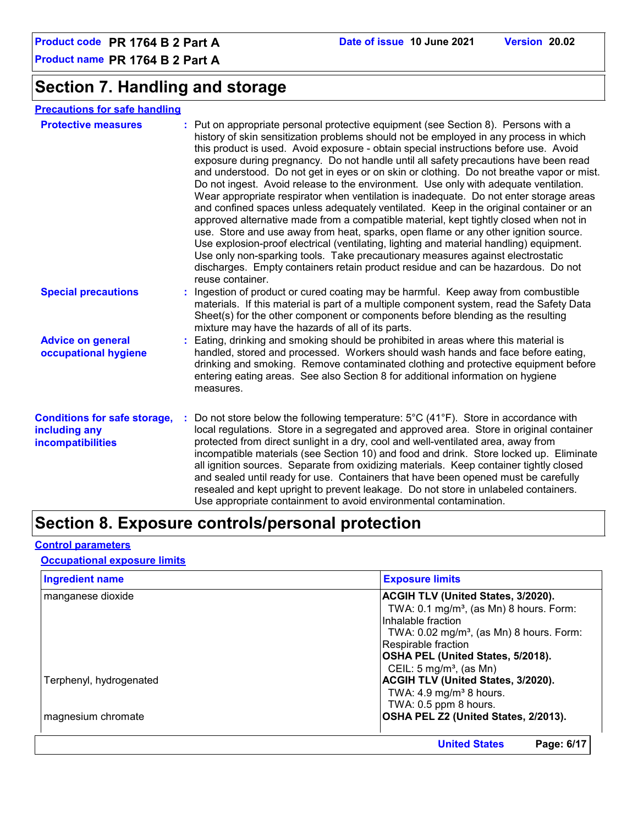### **Section 7. Handling and storage**

#### **Precautions for safe handling**

| <b>Protective measures</b>                                                       | : Put on appropriate personal protective equipment (see Section 8). Persons with a<br>history of skin sensitization problems should not be employed in any process in which<br>this product is used. Avoid exposure - obtain special instructions before use. Avoid<br>exposure during pregnancy. Do not handle until all safety precautions have been read<br>and understood. Do not get in eyes or on skin or clothing. Do not breathe vapor or mist.<br>Do not ingest. Avoid release to the environment. Use only with adequate ventilation.<br>Wear appropriate respirator when ventilation is inadequate. Do not enter storage areas<br>and confined spaces unless adequately ventilated. Keep in the original container or an<br>approved alternative made from a compatible material, kept tightly closed when not in<br>use. Store and use away from heat, sparks, open flame or any other ignition source.<br>Use explosion-proof electrical (ventilating, lighting and material handling) equipment.<br>Use only non-sparking tools. Take precautionary measures against electrostatic<br>discharges. Empty containers retain product residue and can be hazardous. Do not<br>reuse container. |
|----------------------------------------------------------------------------------|----------------------------------------------------------------------------------------------------------------------------------------------------------------------------------------------------------------------------------------------------------------------------------------------------------------------------------------------------------------------------------------------------------------------------------------------------------------------------------------------------------------------------------------------------------------------------------------------------------------------------------------------------------------------------------------------------------------------------------------------------------------------------------------------------------------------------------------------------------------------------------------------------------------------------------------------------------------------------------------------------------------------------------------------------------------------------------------------------------------------------------------------------------------------------------------------------------|
| <b>Special precautions</b>                                                       | : Ingestion of product or cured coating may be harmful. Keep away from combustible<br>materials. If this material is part of a multiple component system, read the Safety Data<br>Sheet(s) for the other component or components before blending as the resulting<br>mixture may have the hazards of all of its parts.                                                                                                                                                                                                                                                                                                                                                                                                                                                                                                                                                                                                                                                                                                                                                                                                                                                                                   |
| <b>Advice on general</b><br>occupational hygiene                                 | : Eating, drinking and smoking should be prohibited in areas where this material is<br>handled, stored and processed. Workers should wash hands and face before eating,<br>drinking and smoking. Remove contaminated clothing and protective equipment before<br>entering eating areas. See also Section 8 for additional information on hygiene<br>measures.                                                                                                                                                                                                                                                                                                                                                                                                                                                                                                                                                                                                                                                                                                                                                                                                                                            |
| <b>Conditions for safe storage,</b><br>including any<br><b>incompatibilities</b> | Do not store below the following temperature: $5^{\circ}$ C (41 $^{\circ}$ F). Store in accordance with<br>local regulations. Store in a segregated and approved area. Store in original container<br>protected from direct sunlight in a dry, cool and well-ventilated area, away from<br>incompatible materials (see Section 10) and food and drink. Store locked up. Eliminate<br>all ignition sources. Separate from oxidizing materials. Keep container tightly closed<br>and sealed until ready for use. Containers that have been opened must be carefully<br>resealed and kept upright to prevent leakage. Do not store in unlabeled containers.<br>Use appropriate containment to avoid environmental contamination.                                                                                                                                                                                                                                                                                                                                                                                                                                                                            |

### **Section 8. Exposure controls/personal protection**

#### **Control parameters**

#### **Occupational exposure limits**

| <b>Ingredient name</b>  | <b>Exposure limits</b>                              |
|-------------------------|-----------------------------------------------------|
| manganese dioxide       | <b>ACGIH TLV (United States, 3/2020).</b>           |
|                         | TWA: $0.1 \text{ mg/m}^3$ , (as Mn) 8 hours. Form:  |
|                         | Inhalable fraction                                  |
|                         | TWA: $0.02 \text{ mg/m}^3$ , (as Mn) 8 hours. Form: |
|                         | Respirable fraction                                 |
|                         | OSHA PEL (United States, 5/2018).                   |
|                         | CEIL: $5 \text{ mg/m}^3$ , (as Mn)                  |
| Terphenyl, hydrogenated | ACGIH TLV (United States, 3/2020).                  |
|                         | TWA: $4.9 \text{ mg/m}^3$ 8 hours.                  |
|                         | TWA: 0.5 ppm 8 hours.                               |
| magnesium chromate      | OSHA PEL Z2 (United States, 2/2013).                |
|                         | <b>United States</b><br>Page: 6/17                  |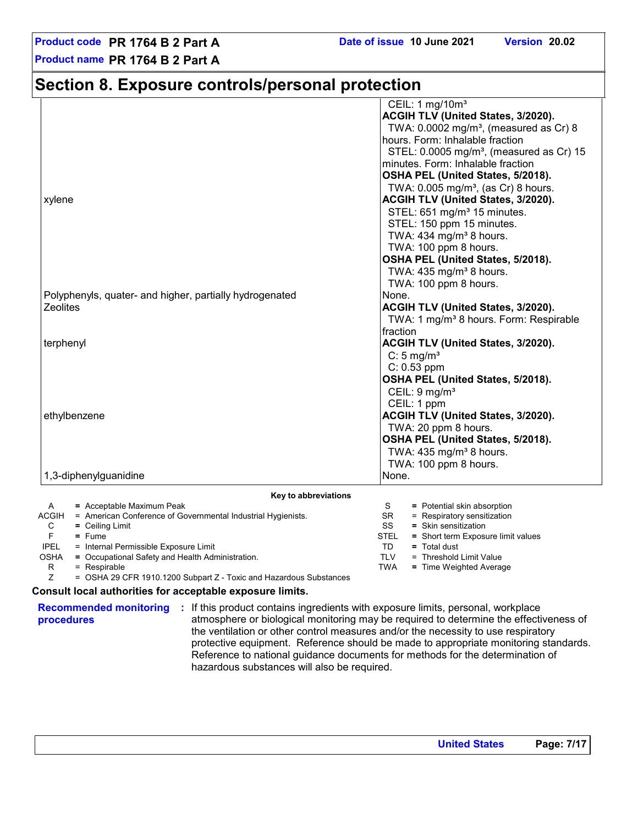### **Section 8. Exposure controls/personal protection**

|                                                                       | CEIL: 1 mg/10m <sup>3</sup>                                                       |  |  |
|-----------------------------------------------------------------------|-----------------------------------------------------------------------------------|--|--|
|                                                                       | ACGIH TLV (United States, 3/2020).                                                |  |  |
|                                                                       | TWA: 0.0002 mg/m <sup>3</sup> , (measured as Cr) 8                                |  |  |
|                                                                       | hours. Form: Inhalable fraction                                                   |  |  |
|                                                                       | STEL: $0.0005$ mg/m <sup>3</sup> , (measured as Cr) 15                            |  |  |
|                                                                       | minutes. Form: Inhalable fraction                                                 |  |  |
|                                                                       | OSHA PEL (United States, 5/2018).                                                 |  |  |
|                                                                       | TWA: $0.005$ mg/m <sup>3</sup> , (as Cr) 8 hours.                                 |  |  |
| xylene                                                                | ACGIH TLV (United States, 3/2020).                                                |  |  |
|                                                                       | STEL: 651 mg/m <sup>3</sup> 15 minutes.                                           |  |  |
|                                                                       | STEL: 150 ppm 15 minutes.                                                         |  |  |
|                                                                       | TWA: 434 mg/m <sup>3</sup> 8 hours.                                               |  |  |
|                                                                       | TWA: 100 ppm 8 hours.                                                             |  |  |
|                                                                       | OSHA PEL (United States, 5/2018).                                                 |  |  |
|                                                                       | TWA: 435 mg/m <sup>3</sup> 8 hours.                                               |  |  |
|                                                                       | TWA: 100 ppm 8 hours.                                                             |  |  |
| Polyphenyls, quater- and higher, partially hydrogenated               | None.                                                                             |  |  |
| <b>Zeolites</b>                                                       | ACGIH TLV (United States, 3/2020).                                                |  |  |
|                                                                       | TWA: 1 mg/m <sup>3</sup> 8 hours. Form: Respirable                                |  |  |
|                                                                       | fraction                                                                          |  |  |
| terphenyl                                                             | ACGIH TLV (United States, 3/2020).                                                |  |  |
|                                                                       | $C: 5$ mg/m <sup>3</sup>                                                          |  |  |
|                                                                       | $C: 0.53$ ppm                                                                     |  |  |
|                                                                       | OSHA PEL (United States, 5/2018).                                                 |  |  |
|                                                                       | CEIL: $9 \text{ mg/m}^3$                                                          |  |  |
|                                                                       | CEIL: 1 ppm                                                                       |  |  |
| ethylbenzene                                                          | ACGIH TLV (United States, 3/2020).                                                |  |  |
|                                                                       |                                                                                   |  |  |
|                                                                       | TWA: 20 ppm 8 hours.                                                              |  |  |
|                                                                       | OSHA PEL (United States, 5/2018).                                                 |  |  |
|                                                                       | TWA: $435$ mg/m <sup>3</sup> 8 hours.                                             |  |  |
|                                                                       | TWA: 100 ppm 8 hours.                                                             |  |  |
| 1,3-diphenylguanidine                                                 | None.                                                                             |  |  |
| Key to abbreviations                                                  |                                                                                   |  |  |
| = Acceptable Maximum Peak<br>A                                        | = Potential skin absorption<br>S                                                  |  |  |
| ACGIH<br>= American Conference of Governmental Industrial Hygienists. | = Respiratory sensitization<br>SR.                                                |  |  |
| C<br>= Ceiling Limit<br>F.<br>$=$ Fume                                | SS<br>$=$ Skin sensitization<br><b>STEL</b><br>= Short term Exposure limit values |  |  |
| <b>IPEL</b><br>= Internal Permissible Exposure Limit                  | TD<br>$=$ Total dust                                                              |  |  |
| OSHA<br>= Occupational Safety and Health Administration.              | <b>TLV</b><br>= Threshold Limit Value                                             |  |  |
| R<br>= Respirable                                                     | <b>TWA</b><br>= Time Weighted Average                                             |  |  |

R = Respirable = OSHA 29 CFR 1910.1200 Subpart Z - Toxic and Hazardous Substances

#### **Consult local authorities for acceptable exposure limits.**

**procedures**

**Recommended monitoring :** If this product contains ingredients with exposure limits, personal, workplace atmosphere or biological monitoring may be required to determine the effectiveness of the ventilation or other control measures and/or the necessity to use respiratory protective equipment. Reference should be made to appropriate monitoring standards. Reference to national guidance documents for methods for the determination of hazardous substances will also be required.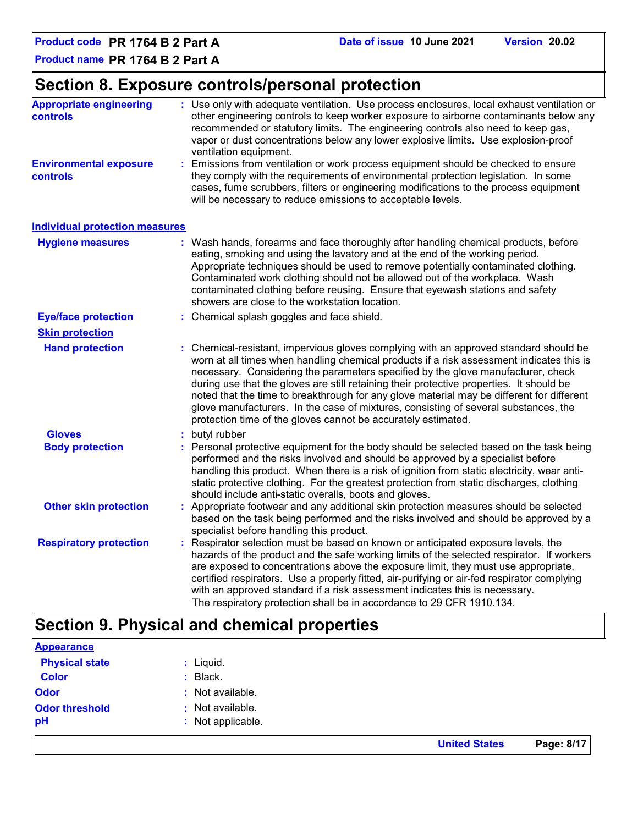**Product code PR 1764 B 2 Part A Date of issue 10 June 2021 Version 20.02**

**Product name PR 1764 B 2 Part A**

### **Section 8. Exposure controls/personal protection**

| <b>Appropriate engineering</b><br>controls       | : Use only with adequate ventilation. Use process enclosures, local exhaust ventilation or<br>other engineering controls to keep worker exposure to airborne contaminants below any<br>recommended or statutory limits. The engineering controls also need to keep gas,<br>vapor or dust concentrations below any lower explosive limits. Use explosion-proof<br>ventilation equipment.                                                                                                                                                                                                                                |  |  |  |  |
|--------------------------------------------------|------------------------------------------------------------------------------------------------------------------------------------------------------------------------------------------------------------------------------------------------------------------------------------------------------------------------------------------------------------------------------------------------------------------------------------------------------------------------------------------------------------------------------------------------------------------------------------------------------------------------|--|--|--|--|
| <b>Environmental exposure</b><br><b>controls</b> | Emissions from ventilation or work process equipment should be checked to ensure<br>they comply with the requirements of environmental protection legislation. In some<br>cases, fume scrubbers, filters or engineering modifications to the process equipment<br>will be necessary to reduce emissions to acceptable levels.                                                                                                                                                                                                                                                                                          |  |  |  |  |
| <b>Individual protection measures</b>            |                                                                                                                                                                                                                                                                                                                                                                                                                                                                                                                                                                                                                        |  |  |  |  |
| <b>Hygiene measures</b>                          | : Wash hands, forearms and face thoroughly after handling chemical products, before<br>eating, smoking and using the lavatory and at the end of the working period.<br>Appropriate techniques should be used to remove potentially contaminated clothing.<br>Contaminated work clothing should not be allowed out of the workplace. Wash<br>contaminated clothing before reusing. Ensure that eyewash stations and safety<br>showers are close to the workstation location.                                                                                                                                            |  |  |  |  |
| <b>Eye/face protection</b>                       | : Chemical splash goggles and face shield.                                                                                                                                                                                                                                                                                                                                                                                                                                                                                                                                                                             |  |  |  |  |
| <b>Skin protection</b>                           |                                                                                                                                                                                                                                                                                                                                                                                                                                                                                                                                                                                                                        |  |  |  |  |
| <b>Hand protection</b>                           | : Chemical-resistant, impervious gloves complying with an approved standard should be<br>worn at all times when handling chemical products if a risk assessment indicates this is<br>necessary. Considering the parameters specified by the glove manufacturer, check<br>during use that the gloves are still retaining their protective properties. It should be<br>noted that the time to breakthrough for any glove material may be different for different<br>glove manufacturers. In the case of mixtures, consisting of several substances, the<br>protection time of the gloves cannot be accurately estimated. |  |  |  |  |
| <b>Gloves</b>                                    | butyl rubber<br>t.                                                                                                                                                                                                                                                                                                                                                                                                                                                                                                                                                                                                     |  |  |  |  |
| <b>Body protection</b>                           | Personal protective equipment for the body should be selected based on the task being<br>performed and the risks involved and should be approved by a specialist before<br>handling this product. When there is a risk of ignition from static electricity, wear anti-<br>static protective clothing. For the greatest protection from static discharges, clothing<br>should include anti-static overalls, boots and gloves.                                                                                                                                                                                           |  |  |  |  |
| <b>Other skin protection</b>                     | Appropriate footwear and any additional skin protection measures should be selected<br>based on the task being performed and the risks involved and should be approved by a<br>specialist before handling this product.                                                                                                                                                                                                                                                                                                                                                                                                |  |  |  |  |
| <b>Respiratory protection</b>                    | Respirator selection must be based on known or anticipated exposure levels, the<br>hazards of the product and the safe working limits of the selected respirator. If workers<br>are exposed to concentrations above the exposure limit, they must use appropriate,<br>certified respirators. Use a properly fitted, air-purifying or air-fed respirator complying<br>with an approved standard if a risk assessment indicates this is necessary.<br>The respiratory protection shall be in accordance to 29 CFR 1910.134.                                                                                              |  |  |  |  |

### **Section 9. Physical and chemical properties**

| <b>Appearance</b>     |                   |
|-----------------------|-------------------|
| <b>Physical state</b> | $:$ Liquid.       |
| <b>Color</b>          | Black.            |
| <b>Odor</b>           | : Not available.  |
| <b>Odor threshold</b> | : Not available.  |
| pH                    | : Not applicable. |
|                       |                   |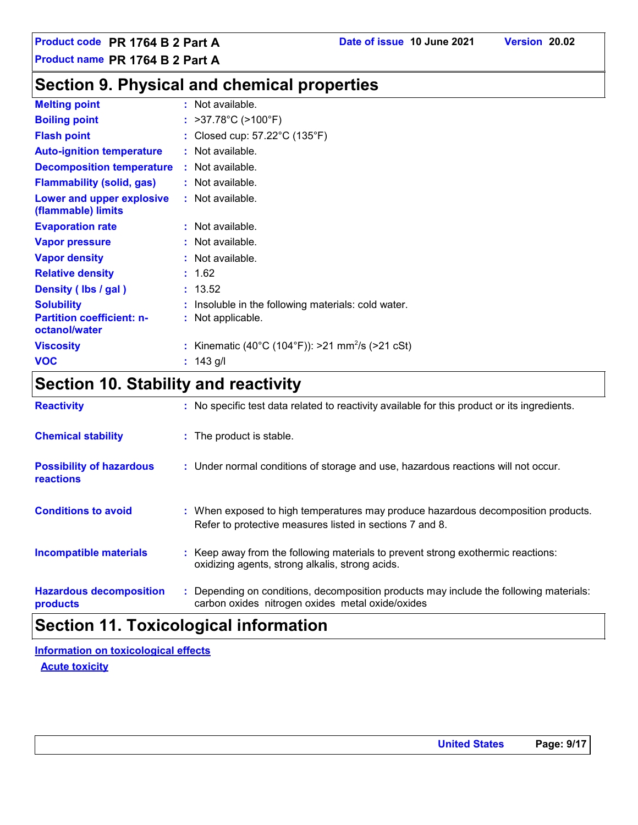### **Section 9. Physical and chemical properties**

| <b>Melting point</b>                              | : Not available.                                             |
|---------------------------------------------------|--------------------------------------------------------------|
| <b>Boiling point</b>                              | : $>37.78^{\circ}$ C ( $>100^{\circ}$ F)                     |
| <b>Flash point</b>                                | : Closed cup: $57.22^{\circ}$ C (135 $^{\circ}$ F)           |
| <b>Auto-ignition temperature</b>                  | : Not available.                                             |
| <b>Decomposition temperature</b>                  | : Not available.                                             |
| <b>Flammability (solid, gas)</b>                  | : Not available.                                             |
| Lower and upper explosive<br>(flammable) limits   | : Not available.                                             |
| <b>Evaporation rate</b>                           | : Not available.                                             |
| <b>Vapor pressure</b>                             | : Not available.                                             |
| <b>Vapor density</b>                              | : Not available.                                             |
| <b>Relative density</b>                           | : 1.62                                                       |
| Density (Ibs / gal)                               | : 13.52                                                      |
| <b>Solubility</b>                                 | : Insoluble in the following materials: cold water.          |
| <b>Partition coefficient: n-</b><br>octanol/water | : Not applicable.                                            |
| <b>Viscosity</b>                                  | : Kinematic (40°C (104°F)): >21 mm <sup>2</sup> /s (>21 cSt) |
| <b>VOC</b>                                        | : $143$ g/l                                                  |

### **Section 10. Stability and reactivity**

|                                              | .                                                                                                                                             |
|----------------------------------------------|-----------------------------------------------------------------------------------------------------------------------------------------------|
| <b>Hazardous decomposition</b><br>products   | : Depending on conditions, decomposition products may include the following materials:<br>carbon oxides nitrogen oxides metal oxide/oxides    |
| <b>Incompatible materials</b>                | : Keep away from the following materials to prevent strong exothermic reactions:<br>oxidizing agents, strong alkalis, strong acids.           |
| <b>Conditions to avoid</b>                   | : When exposed to high temperatures may produce hazardous decomposition products.<br>Refer to protective measures listed in sections 7 and 8. |
| <b>Possibility of hazardous</b><br>reactions | : Under normal conditions of storage and use, hazardous reactions will not occur.                                                             |
| <b>Chemical stability</b>                    | : The product is stable.                                                                                                                      |
| <b>Reactivity</b>                            | : No specific test data related to reactivity available for this product or its ingredients.                                                  |

### **Section 11. Toxicological information**

**Information on toxicological effects**

**Acute toxicity**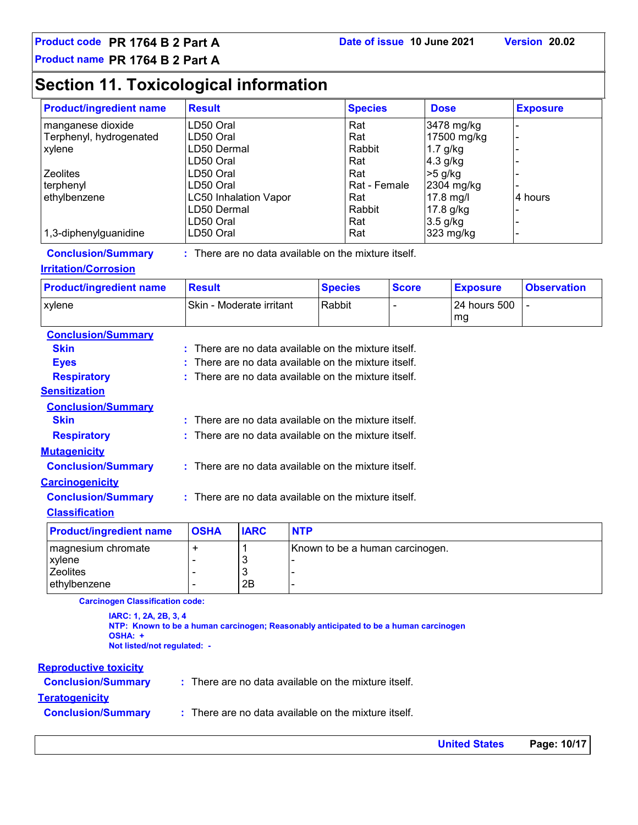### **Section 11. Toxicological information**

| <b>Product/ingredient name</b> | <b>Result</b>                | <b>Species</b> | <b>Dose</b> | <b>Exposure</b> |
|--------------------------------|------------------------------|----------------|-------------|-----------------|
| manganese dioxide              | LD50 Oral                    | Rat            | 3478 mg/kg  |                 |
| Terphenyl, hydrogenated        | LD50 Oral                    | Rat            | 17500 mg/kg |                 |
| xylene                         | LD50 Dermal                  | Rabbit         | $1.7$ g/kg  |                 |
|                                | LD50 Oral                    | Rat            | $4.3$ g/kg  |                 |
| <b>Zeolites</b>                | LD50 Oral                    | Rat            | $>5$ g/kg   |                 |
| terphenyl                      | LD50 Oral                    | Rat - Female   | 2304 mg/kg  |                 |
| ethylbenzene                   | <b>LC50 Inhalation Vapor</b> | Rat            | 17.8 mg/l   | 4 hours         |
|                                | LD50 Dermal                  | Rabbit         | 17.8 g/kg   |                 |
|                                | LD50 Oral                    | Rat            | $3.5$ g/kg  |                 |
| 1,3-diphenylguanidine          | LD50 Oral                    | Rat            | 323 mg/kg   |                 |

**Conclusion/Summary :**

: There are no data available on the mixture itself.

#### **Irritation/Corrosion**

| <b>Product/ingredient name</b> | <b>Result</b>                   | <b>Species</b> | <b>Score</b> | <b>Exposure</b> | <b>Observation</b> |
|--------------------------------|---------------------------------|----------------|--------------|-----------------|--------------------|
| xvlene                         | <b>Skin - Moderate irritant</b> | Rabbit         |              | l 24 hours 500  |                    |
|                                |                                 |                |              | mg              |                    |

| <b>Conclusion/Summary</b>                   |        |              |                                                                 |
|---------------------------------------------|--------|--------------|-----------------------------------------------------------------|
| <b>Skin</b>                                 |        |              | $\pm$ There are no data available on the mixture itself.        |
| <b>Eves</b>                                 |        |              | $:$ There are no data available on the mixture itself.          |
| <b>Respiratory</b>                          |        |              | : There are no data available on the mixture itself.            |
| <b>Sensitization</b>                        |        |              |                                                                 |
| <b>Conclusion/Summary</b>                   |        |              |                                                                 |
| <b>Skin</b>                                 |        |              | : There are no data available on the mixture itself.            |
| <b>Respiratory</b>                          |        |              | $\therefore$ There are no data available on the mixture itself. |
| <b>Mutagenicity</b>                         |        |              |                                                                 |
| <b>Conclusion/Summary</b>                   |        |              | $:$ There are no data available on the mixture itself.          |
| <b>Carcinogenicity</b>                      |        |              |                                                                 |
| <b>Conclusion/Summary</b>                   |        |              | : There are no data available on the mixture itself.            |
| <b>Classification</b>                       |        |              |                                                                 |
| The contract of the compatible and contract | $\sim$ | $\mathbf{r}$ | <b>ALTER</b>                                                    |

| <b>Product/ingredient name</b> | <b>OSHA</b> | <b>IARC</b> | <b>NTP</b>                      |
|--------------------------------|-------------|-------------|---------------------------------|
| I magnesium chromate           |             |             | Known to be a human carcinogen. |
| <b>xvlene</b>                  |             | u           |                                 |
| <b>Zeolites</b>                |             | w           |                                 |
| lethvlbenzene                  |             | 2Β          |                                 |

**Carcinogen Classification code:**

**IARC: 1, 2A, 2B, 3, 4 NTP: Known to be a human carcinogen; Reasonably anticipated to be a human carcinogen OSHA: + Not listed/not regulated: -**

#### **Reproductive toxicity**

| <b>Conclusion/Summary</b> | $\therefore$ There are no data available on the mixture itself. |
|---------------------------|-----------------------------------------------------------------|
| <u>Teratogenicity</u>     |                                                                 |
| <b>Conclusion/Summary</b> | $\therefore$ There are no data available on the mixture itself. |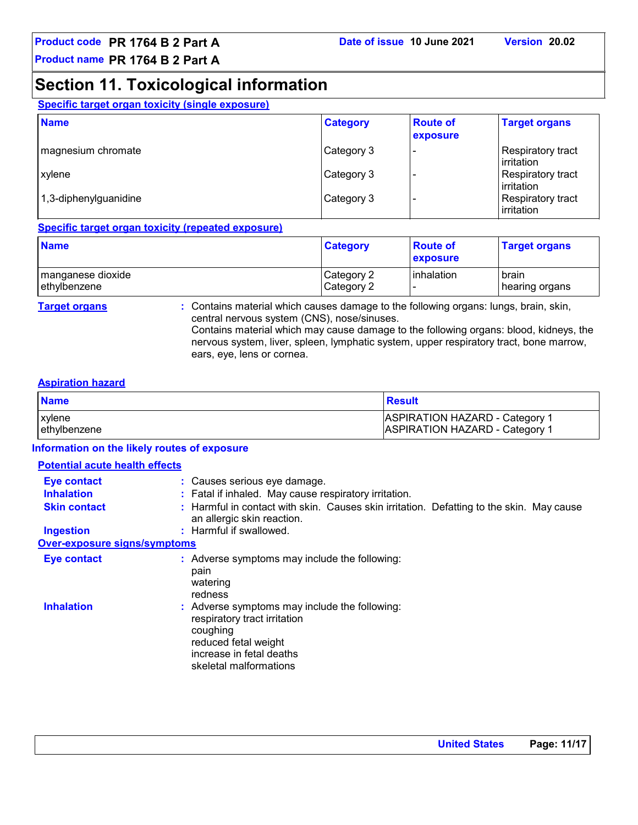### **Section 11. Toxicological information**

|  |  |  | Specific target organ toxicity (single exposure) |
|--|--|--|--------------------------------------------------|
|  |  |  |                                                  |

| <b>Name</b>           | <b>Category</b> | <b>Route of</b><br>exposure | <b>Target organs</b>            |
|-----------------------|-----------------|-----------------------------|---------------------------------|
| magnesium chromate    | Category 3      |                             | Respiratory tract<br>irritation |
| <b>xylene</b>         | Category 3      |                             | Respiratory tract<br>irritation |
| 1,3-diphenylguanidine | Category 3      |                             | Respiratory tract<br>irritation |

#### **Specific target organ toxicity (repeated exposure)**

| <b>Name</b>         | <b>Category</b> | <b>Route of</b><br>exposure | <b>Target organs</b> |
|---------------------|-----------------|-----------------------------|----------------------|
| I manganese dioxide | Category 2      | linhalation                 | brain                |
| ethylbenzene        | Category 2      |                             | hearing organs       |

**Target organs :** Contains material which causes damage to the following organs: lungs, brain, skin, central nervous system (CNS), nose/sinuses. Contains material which may cause damage to the following organs: blood, kidneys, the nervous system, liver, spleen, lymphatic system, upper respiratory tract, bone marrow, ears, eye, lens or cornea.

#### **Aspiration hazard**

| <b>Result</b>                                                                      |
|------------------------------------------------------------------------------------|
| ASPIRATION HAZARD - Category <sup>1</sup><br><b>ASPIRATION HAZARD - Category 1</b> |
|                                                                                    |

#### **Information on the likely routes of exposure**

| <b>Potential acute health effects</b> |                                                                                                                                                                         |
|---------------------------------------|-------------------------------------------------------------------------------------------------------------------------------------------------------------------------|
| Eye contact<br><b>Inhalation</b>      | : Causes serious eye damage.<br>: Fatal if inhaled. May cause respiratory irritation.                                                                                   |
| <b>Skin contact</b>                   | : Harmful in contact with skin. Causes skin irritation. Defatting to the skin. May cause<br>an allergic skin reaction.                                                  |
| <b>Ingestion</b>                      | : Harmful if swallowed.                                                                                                                                                 |
| <b>Over-exposure signs/symptoms</b>   |                                                                                                                                                                         |
| <b>Eye contact</b>                    | : Adverse symptoms may include the following:<br>pain<br>watering<br>redness                                                                                            |
| <b>Inhalation</b>                     | : Adverse symptoms may include the following:<br>respiratory tract irritation<br>coughing<br>reduced fetal weight<br>increase in fetal deaths<br>skeletal malformations |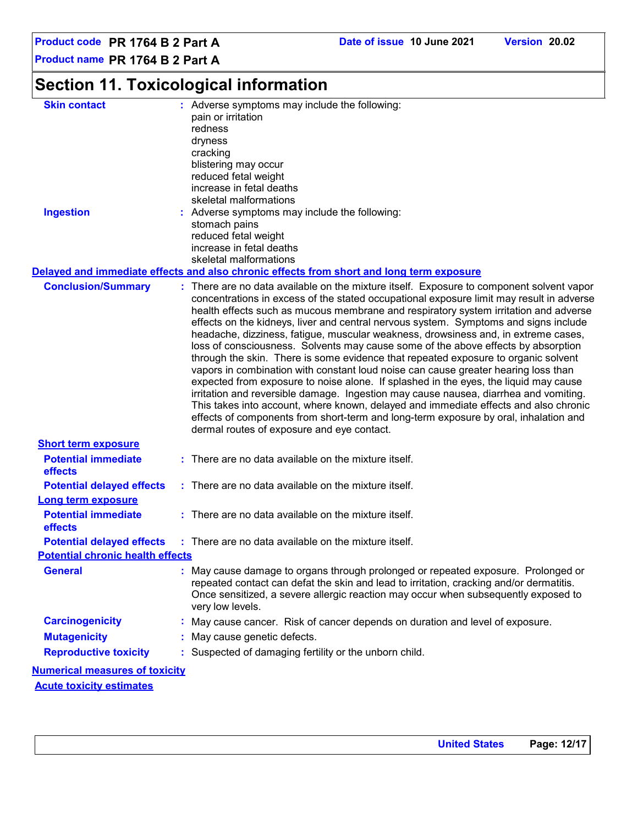**Product code PR 1764 B 2 Part A Date of issue 10 June 2021 Version 20.02**

**Product name PR 1764 B 2 Part A**

### **Section 11. Toxicological information**

| <b>Skin contact</b>                     | : Adverse symptoms may include the following:<br>pain or irritation                                                                                                                                                                                                                                                                                                                                                                                                                                                                                                                                                                                                                                                                                                                                                                                                                                                                                                                                                                           |
|-----------------------------------------|-----------------------------------------------------------------------------------------------------------------------------------------------------------------------------------------------------------------------------------------------------------------------------------------------------------------------------------------------------------------------------------------------------------------------------------------------------------------------------------------------------------------------------------------------------------------------------------------------------------------------------------------------------------------------------------------------------------------------------------------------------------------------------------------------------------------------------------------------------------------------------------------------------------------------------------------------------------------------------------------------------------------------------------------------|
|                                         | redness                                                                                                                                                                                                                                                                                                                                                                                                                                                                                                                                                                                                                                                                                                                                                                                                                                                                                                                                                                                                                                       |
|                                         | dryness                                                                                                                                                                                                                                                                                                                                                                                                                                                                                                                                                                                                                                                                                                                                                                                                                                                                                                                                                                                                                                       |
|                                         | cracking                                                                                                                                                                                                                                                                                                                                                                                                                                                                                                                                                                                                                                                                                                                                                                                                                                                                                                                                                                                                                                      |
|                                         | blistering may occur                                                                                                                                                                                                                                                                                                                                                                                                                                                                                                                                                                                                                                                                                                                                                                                                                                                                                                                                                                                                                          |
|                                         | reduced fetal weight                                                                                                                                                                                                                                                                                                                                                                                                                                                                                                                                                                                                                                                                                                                                                                                                                                                                                                                                                                                                                          |
|                                         | increase in fetal deaths                                                                                                                                                                                                                                                                                                                                                                                                                                                                                                                                                                                                                                                                                                                                                                                                                                                                                                                                                                                                                      |
|                                         | skeletal malformations                                                                                                                                                                                                                                                                                                                                                                                                                                                                                                                                                                                                                                                                                                                                                                                                                                                                                                                                                                                                                        |
| <b>Ingestion</b>                        | : Adverse symptoms may include the following:                                                                                                                                                                                                                                                                                                                                                                                                                                                                                                                                                                                                                                                                                                                                                                                                                                                                                                                                                                                                 |
|                                         | stomach pains                                                                                                                                                                                                                                                                                                                                                                                                                                                                                                                                                                                                                                                                                                                                                                                                                                                                                                                                                                                                                                 |
|                                         | reduced fetal weight<br>increase in fetal deaths                                                                                                                                                                                                                                                                                                                                                                                                                                                                                                                                                                                                                                                                                                                                                                                                                                                                                                                                                                                              |
|                                         | skeletal malformations                                                                                                                                                                                                                                                                                                                                                                                                                                                                                                                                                                                                                                                                                                                                                                                                                                                                                                                                                                                                                        |
|                                         | Delayed and immediate effects and also chronic effects from short and long term exposure                                                                                                                                                                                                                                                                                                                                                                                                                                                                                                                                                                                                                                                                                                                                                                                                                                                                                                                                                      |
| <b>Conclusion/Summary</b>               | : There are no data available on the mixture itself. Exposure to component solvent vapor                                                                                                                                                                                                                                                                                                                                                                                                                                                                                                                                                                                                                                                                                                                                                                                                                                                                                                                                                      |
|                                         | concentrations in excess of the stated occupational exposure limit may result in adverse<br>health effects such as mucous membrane and respiratory system irritation and adverse<br>effects on the kidneys, liver and central nervous system. Symptoms and signs include<br>headache, dizziness, fatigue, muscular weakness, drowsiness and, in extreme cases,<br>loss of consciousness. Solvents may cause some of the above effects by absorption<br>through the skin. There is some evidence that repeated exposure to organic solvent<br>vapors in combination with constant loud noise can cause greater hearing loss than<br>expected from exposure to noise alone. If splashed in the eyes, the liquid may cause<br>irritation and reversible damage. Ingestion may cause nausea, diarrhea and vomiting.<br>This takes into account, where known, delayed and immediate effects and also chronic<br>effects of components from short-term and long-term exposure by oral, inhalation and<br>dermal routes of exposure and eye contact. |
| <b>Short term exposure</b>              |                                                                                                                                                                                                                                                                                                                                                                                                                                                                                                                                                                                                                                                                                                                                                                                                                                                                                                                                                                                                                                               |
| <b>Potential immediate</b>              | : There are no data available on the mixture itself.                                                                                                                                                                                                                                                                                                                                                                                                                                                                                                                                                                                                                                                                                                                                                                                                                                                                                                                                                                                          |
| effects                                 |                                                                                                                                                                                                                                                                                                                                                                                                                                                                                                                                                                                                                                                                                                                                                                                                                                                                                                                                                                                                                                               |
| <b>Potential delayed effects</b>        | : There are no data available on the mixture itself.                                                                                                                                                                                                                                                                                                                                                                                                                                                                                                                                                                                                                                                                                                                                                                                                                                                                                                                                                                                          |
| <b>Long term exposure</b>               |                                                                                                                                                                                                                                                                                                                                                                                                                                                                                                                                                                                                                                                                                                                                                                                                                                                                                                                                                                                                                                               |
| <b>Potential immediate</b>              | : There are no data available on the mixture itself.                                                                                                                                                                                                                                                                                                                                                                                                                                                                                                                                                                                                                                                                                                                                                                                                                                                                                                                                                                                          |
| effects                                 |                                                                                                                                                                                                                                                                                                                                                                                                                                                                                                                                                                                                                                                                                                                                                                                                                                                                                                                                                                                                                                               |
|                                         | : There are no data available on the mixture itself.                                                                                                                                                                                                                                                                                                                                                                                                                                                                                                                                                                                                                                                                                                                                                                                                                                                                                                                                                                                          |
| <b>Potential delayed effects</b>        |                                                                                                                                                                                                                                                                                                                                                                                                                                                                                                                                                                                                                                                                                                                                                                                                                                                                                                                                                                                                                                               |
| <b>Potential chronic health effects</b> |                                                                                                                                                                                                                                                                                                                                                                                                                                                                                                                                                                                                                                                                                                                                                                                                                                                                                                                                                                                                                                               |
| <b>General</b>                          | : May cause damage to organs through prolonged or repeated exposure. Prolonged or<br>repeated contact can defat the skin and lead to irritation, cracking and/or dermatitis.<br>Once sensitized, a severe allergic reaction may occur when subsequently exposed to<br>very low levels.                                                                                                                                                                                                                                                                                                                                                                                                                                                                                                                                                                                                                                                                                                                                                        |
| <b>Carcinogenicity</b>                  | : May cause cancer. Risk of cancer depends on duration and level of exposure.                                                                                                                                                                                                                                                                                                                                                                                                                                                                                                                                                                                                                                                                                                                                                                                                                                                                                                                                                                 |
| <b>Mutagenicity</b>                     | : May cause genetic defects.                                                                                                                                                                                                                                                                                                                                                                                                                                                                                                                                                                                                                                                                                                                                                                                                                                                                                                                                                                                                                  |
| <b>Reproductive toxicity</b>            | : Suspected of damaging fertility or the unborn child.                                                                                                                                                                                                                                                                                                                                                                                                                                                                                                                                                                                                                                                                                                                                                                                                                                                                                                                                                                                        |
| <b>Numerical measures of toxicity</b>   |                                                                                                                                                                                                                                                                                                                                                                                                                                                                                                                                                                                                                                                                                                                                                                                                                                                                                                                                                                                                                                               |
| <b>Acute toxicity estimates</b>         |                                                                                                                                                                                                                                                                                                                                                                                                                                                                                                                                                                                                                                                                                                                                                                                                                                                                                                                                                                                                                                               |
|                                         |                                                                                                                                                                                                                                                                                                                                                                                                                                                                                                                                                                                                                                                                                                                                                                                                                                                                                                                                                                                                                                               |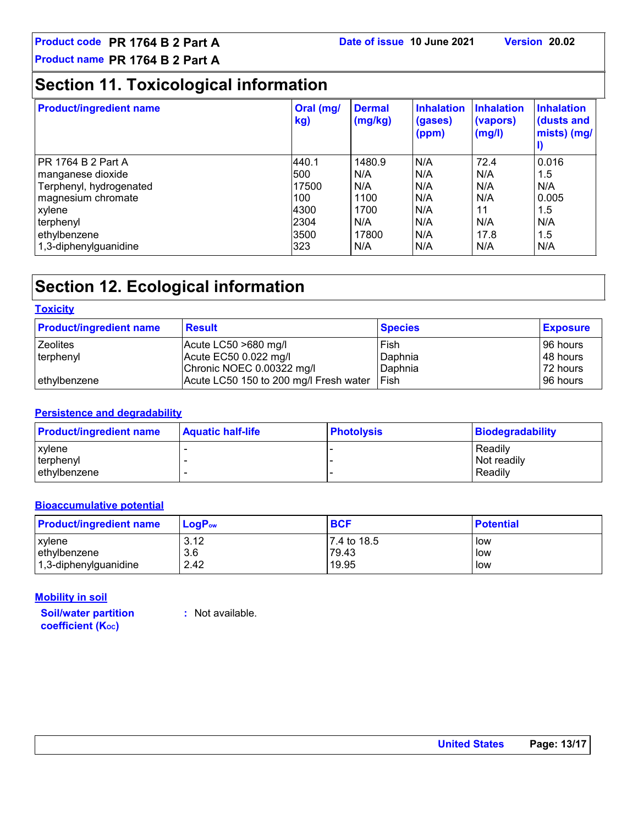### **Section 11. Toxicological information**

| <b>Product/ingredient name</b> | Oral (mg/<br>kg) | <b>Dermal</b><br>(mg/kg) | <b>Inhalation</b><br>(gases)<br>(ppm) | <b>Inhalation</b><br>(vapors)<br>(mg/l) | <b>Inhalation</b><br>(dusts and<br>mists) (mg/ |
|--------------------------------|------------------|--------------------------|---------------------------------------|-----------------------------------------|------------------------------------------------|
| PR 1764 B 2 Part A             | 440.1            | 1480.9                   | N/A                                   | 72.4                                    | 0.016                                          |
| manganese dioxide              | 500              | N/A                      | N/A                                   | N/A                                     | 1.5                                            |
| Terphenyl, hydrogenated        | 17500            | N/A                      | N/A                                   | N/A                                     | N/A                                            |
| magnesium chromate             | 100              | 1100                     | N/A                                   | N/A                                     | 0.005                                          |
| xylene                         | 4300             | 1700                     | N/A                                   | 11                                      | 1.5                                            |
| terphenyl                      | 2304             | N/A                      | N/A                                   | N/A                                     | N/A                                            |
| ethylbenzene                   | 3500             | 17800                    | N/A                                   | 17.8                                    | 1.5                                            |
| 1,3-diphenylguanidine          | 323              | N/A                      | N/A                                   | N/A                                     | N/A                                            |

### **Section 12. Ecological information**

#### **Toxicity**

| <b>Product/ingredient name</b> | <b>Result</b>                          | <b>Species</b> | <b>Exposure</b> |
|--------------------------------|----------------------------------------|----------------|-----------------|
| <b>Zeolites</b>                | Acute LC50 $>680$ mg/l                 | Fish           | 96 hours        |
| terphenyl                      | Acute EC50 0.022 mg/l                  | Daphnia        | 48 hours        |
|                                | Chronic NOEC 0.00322 mg/l              | Daphnia        | 72 hours        |
| ethylbenzene                   | Acute LC50 150 to 200 mg/l Fresh water | Fish           | 196 hours       |

#### **Persistence and degradability**

| <b>Product/ingredient name</b> | <b>Aquatic half-life</b> | <b>Photolysis</b> | Biodegradability |
|--------------------------------|--------------------------|-------------------|------------------|
| l xvlene                       |                          |                   | Readily          |
| terphenyl                      |                          |                   | Not readily      |
| ethylbenzene                   |                          |                   | Readily          |

#### **Bioaccumulative potential**

| <b>Product/ingredient name</b> | $\mathsf{LogP}_\mathsf{ow}$ | <b>BCF</b>  | <b>Potential</b> |
|--------------------------------|-----------------------------|-------------|------------------|
| xylene                         | 3.12                        | 7.4 to 18.5 | low              |
| ethylbenzene                   | 3.6                         | 79.43       | low              |
| 1,3-diphenylguanidine          | 2.42                        | 19.95       | low              |

#### **Mobility in soil**

**Soil/water partition coefficient (KOC)**

**:** Not available.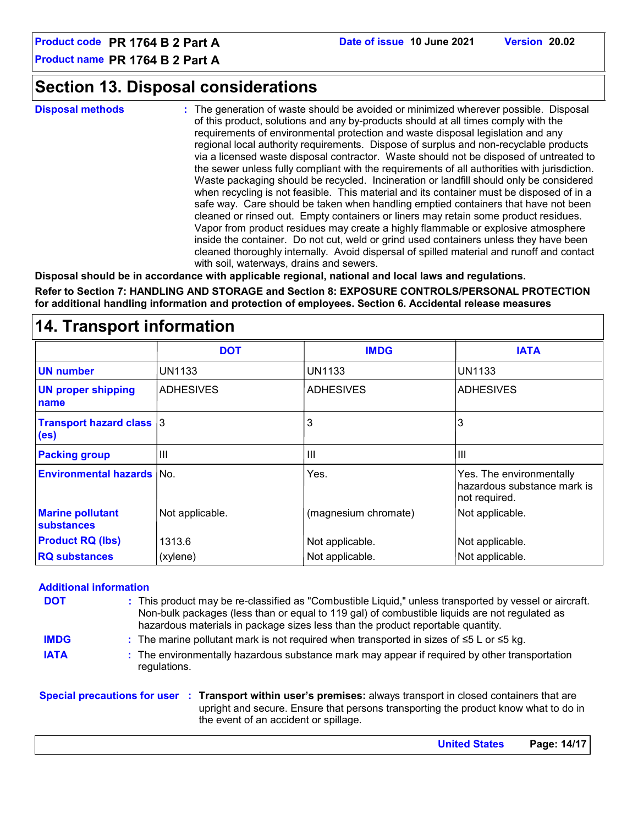### **Section 13. Disposal considerations**

**Disposal methods :**

The generation of waste should be avoided or minimized wherever possible. Disposal of this product, solutions and any by-products should at all times comply with the requirements of environmental protection and waste disposal legislation and any regional local authority requirements. Dispose of surplus and non-recyclable products via a licensed waste disposal contractor. Waste should not be disposed of untreated to the sewer unless fully compliant with the requirements of all authorities with jurisdiction. Waste packaging should be recycled. Incineration or landfill should only be considered when recycling is not feasible. This material and its container must be disposed of in a safe way. Care should be taken when handling emptied containers that have not been cleaned or rinsed out. Empty containers or liners may retain some product residues. Vapor from product residues may create a highly flammable or explosive atmosphere inside the container. Do not cut, weld or grind used containers unless they have been cleaned thoroughly internally. Avoid dispersal of spilled material and runoff and contact with soil, waterways, drains and sewers.

**Disposal should be in accordance with applicable regional, national and local laws and regulations.**

**Refer to Section 7: HANDLING AND STORAGE and Section 8: EXPOSURE CONTROLS/PERSONAL PROTECTION for additional handling information and protection of employees. Section 6. Accidental release measures**

#### ADHESIVES 3 III ADHESIVES 3 III ADHESIVES UN1133 3 III UN1133 UN1133 **DOT IMDG IATA UN number UN proper shipping name Transport hazard class (es) Packing group Environmental hazards** No. The environmentally No. The environmentally and the environmentally hazardous substance mark is not required. **Marine pollutant substances** (magnesium chromate) | Not applicable. **RQ substances** 1313.6 (xylene) Not applicable. Not applicable. Not applicable. Not applicable. Not applicable. **Product RQ (lbs)**

### **14. Transport information**

#### **Additional information**

| <b>DOT</b>  | : This product may be re-classified as "Combustible Liquid," unless transported by vessel or aircraft.<br>Non-bulk packages (less than or equal to 119 gal) of combustible liquids are not regulated as<br>hazardous materials in package sizes less than the product reportable quantity. |
|-------------|--------------------------------------------------------------------------------------------------------------------------------------------------------------------------------------------------------------------------------------------------------------------------------------------|
| <b>IMDG</b> | : The marine pollutant mark is not required when transported in sizes of $\leq 5$ L or $\leq 5$ kg.                                                                                                                                                                                        |
| <b>IATA</b> | : The environmentally hazardous substance mark may appear if required by other transportation<br>regulations.                                                                                                                                                                              |

**Special precautions for user Transport within user's premises:** always transport in closed containers that are **:** upright and secure. Ensure that persons transporting the product know what to do in the event of an accident or spillage.

| <b>United States</b> | Page: 14/17 |
|----------------------|-------------|
|----------------------|-------------|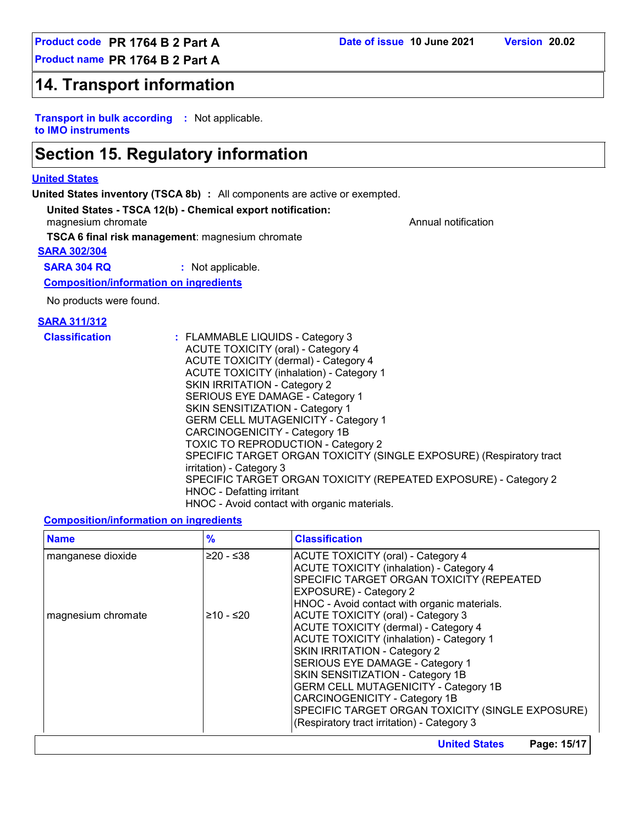### **14. Transport information**

**Transport in bulk according :** Not applicable. **to IMO instruments**

### **Section 15. Regulatory information**

#### **United States**

**United States inventory (TSCA 8b) :** All components are active or exempted.

#### **United States - TSCA 12(b) - Chemical export notification:**

magnesium chromate **Annual notification** and the Annual notification and the Annual notification

**TSCA 6 final risk management**: magnesium chromate

#### **SARA 302/304**

**SARA 304 RQ :** Not applicable.

**Composition/information on ingredients**

No products were found.

#### **SARA 311/312**

| <b>Classification</b> | : FLAMMABLE LIQUIDS - Category 3<br><b>ACUTE TOXICITY (oral) - Category 4</b><br>ACUTE TOXICITY (dermal) - Category 4<br><b>ACUTE TOXICITY (inhalation) - Category 1</b><br><b>SKIN IRRITATION - Category 2</b><br>SERIOUS EYE DAMAGE - Category 1<br><b>SKIN SENSITIZATION - Category 1</b><br><b>GERM CELL MUTAGENICITY - Category 1</b><br>CARCINOGENICITY - Category 1B<br><b>TOXIC TO REPRODUCTION - Category 2</b><br>SPECIFIC TARGET ORGAN TOXICITY (SINGLE EXPOSURE) (Respiratory tract<br>irritation) - Category 3<br>SPECIFIC TARGET ORGAN TOXICITY (REPEATED EXPOSURE) - Category 2 |
|-----------------------|------------------------------------------------------------------------------------------------------------------------------------------------------------------------------------------------------------------------------------------------------------------------------------------------------------------------------------------------------------------------------------------------------------------------------------------------------------------------------------------------------------------------------------------------------------------------------------------------|
|                       | HNOC - Defatting irritant                                                                                                                                                                                                                                                                                                                                                                                                                                                                                                                                                                      |
|                       | HNOC - Avoid contact with organic materials.                                                                                                                                                                                                                                                                                                                                                                                                                                                                                                                                                   |

#### **Composition/information on ingredients**

| <b>Name</b>        | $\frac{9}{6}$ | <b>Classification</b>                            |
|--------------------|---------------|--------------------------------------------------|
| manganese dioxide  | $≥20 - ≤38$   | ACUTE TOXICITY (oral) - Category 4               |
|                    |               | <b>ACUTE TOXICITY (inhalation) - Category 4</b>  |
|                    |               | SPECIFIC TARGET ORGAN TOXICITY (REPEATED         |
|                    |               | EXPOSURE) - Category 2                           |
|                    |               | HNOC - Avoid contact with organic materials.     |
| magnesium chromate | ≥10 - ≤20     | <b>ACUTE TOXICITY (oral) - Category 3</b>        |
|                    |               | <b>ACUTE TOXICITY (dermal) - Category 4</b>      |
|                    |               | <b>ACUTE TOXICITY (inhalation) - Category 1</b>  |
|                    |               | <b>SKIN IRRITATION - Category 2</b>              |
|                    |               | SERIOUS EYE DAMAGE - Category 1                  |
|                    |               | SKIN SENSITIZATION - Category 1B                 |
|                    |               | <b>GERM CELL MUTAGENICITY - Category 1B</b>      |
|                    |               | CARCINOGENICITY - Category 1B                    |
|                    |               | SPECIFIC TARGET ORGAN TOXICITY (SINGLE EXPOSURE) |
|                    |               | (Respiratory tract irritation) - Category 3      |
|                    |               | <b>United States</b><br>Page: 15/17              |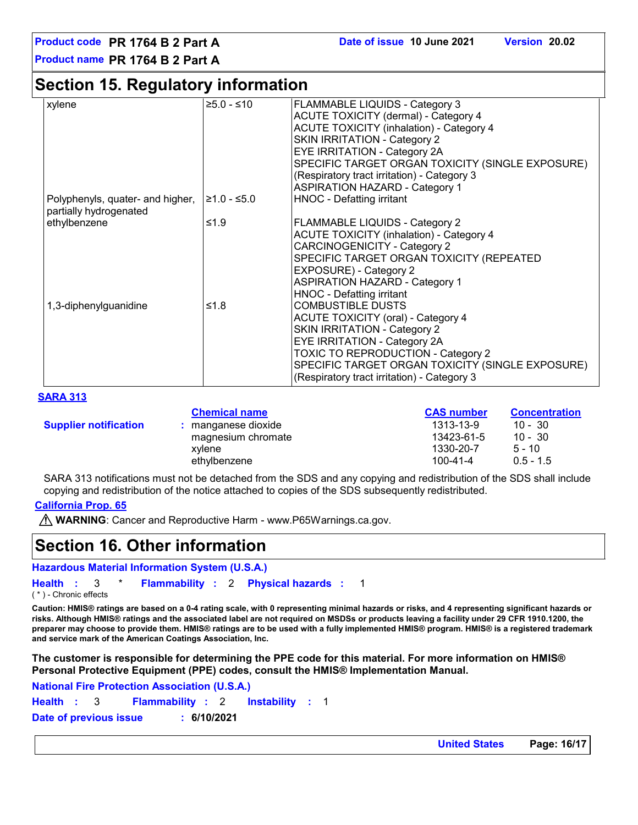### **Section 15. Regulatory information**

| xylene                           | $≥5.0 - ≤10$  | <b>FLAMMABLE LIQUIDS - Category 3</b>            |
|----------------------------------|---------------|--------------------------------------------------|
|                                  |               | <b>ACUTE TOXICITY (dermal) - Category 4</b>      |
|                                  |               | <b>ACUTE TOXICITY (inhalation) - Category 4</b>  |
|                                  |               | <b>SKIN IRRITATION - Category 2</b>              |
|                                  |               | <b>EYE IRRITATION - Category 2A</b>              |
|                                  |               | SPECIFIC TARGET ORGAN TOXICITY (SINGLE EXPOSURE) |
|                                  |               | (Respiratory tract irritation) - Category 3      |
|                                  |               | <b>ASPIRATION HAZARD - Category 1</b>            |
| Polyphenyls, quater- and higher, | $≥1.0 - ≤5.0$ | <b>HNOC - Defatting irritant</b>                 |
| partially hydrogenated           |               |                                                  |
| ethylbenzene                     | ≤1.9          | <b>FLAMMABLE LIQUIDS - Category 2</b>            |
|                                  |               | <b>ACUTE TOXICITY (inhalation) - Category 4</b>  |
|                                  |               | <b>CARCINOGENICITY - Category 2</b>              |
|                                  |               | SPECIFIC TARGET ORGAN TOXICITY (REPEATED         |
|                                  |               | EXPOSURE) - Category 2                           |
|                                  |               | <b>ASPIRATION HAZARD - Category 1</b>            |
|                                  |               | <b>HNOC - Defatting irritant</b>                 |
| 1,3-diphenylguanidine            | ≤1.8          | <b>COMBUSTIBLE DUSTS</b>                         |
|                                  |               | <b>ACUTE TOXICITY (oral) - Category 4</b>        |
|                                  |               | <b>SKIN IRRITATION - Category 2</b>              |
|                                  |               | <b>EYE IRRITATION - Category 2A</b>              |
|                                  |               | TOXIC TO REPRODUCTION - Category 2               |
|                                  |               | SPECIFIC TARGET ORGAN TOXICITY (SINGLE EXPOSURE) |
|                                  |               | (Respiratory tract irritation) - Category 3      |

#### **SARA 313**

|                              | <b>Chemical name</b> | <b>CAS number</b> | <b>Concentration</b> |
|------------------------------|----------------------|-------------------|----------------------|
| <b>Supplier notification</b> | : manganese dioxide  | 1313-13-9         | $10 - 30$            |
|                              | magnesium chromate   | 13423-61-5        | $10 - 30$            |
|                              | xvlene               | 1330-20-7         | $5 - 10$             |
|                              | ethvlbenzene         | 100-41-4          | $0.5 - 1.5$          |

SARA 313 notifications must not be detached from the SDS and any copying and redistribution of the SDS shall include copying and redistribution of the notice attached to copies of the SDS subsequently redistributed.

#### **California Prop. 65**

**WARNING**: Cancer and Reproductive Harm - www.P65Warnings.ca.gov.

### **Section 16. Other information**

**Hazardous Material Information System (U.S.A.)**

```
Health : 3 * Flammability : 2 Physical hazards : 1
                                                           1
( * ) - Chronic effects
```
**Caution: HMIS® ratings are based on a 0-4 rating scale, with 0 representing minimal hazards or risks, and 4 representing significant hazards or risks. Although HMIS® ratings and the associated label are not required on MSDSs or products leaving a facility under 29 CFR 1910.1200, the preparer may choose to provide them. HMIS® ratings are to be used with a fully implemented HMIS® program. HMIS® is a registered trademark and service mark of the American Coatings Association, Inc.**

**The customer is responsible for determining the PPE code for this material. For more information on HMIS® Personal Protective Equipment (PPE) codes, consult the HMIS® Implementation Manual.**

**Instability** : 1 **National Fire Protection Association (U.S.A.) Health**: 3 **Flammability**: 2 **Instability**: 1 **Date of previous issue : 6/10/2021**

**United States Page: 16/17**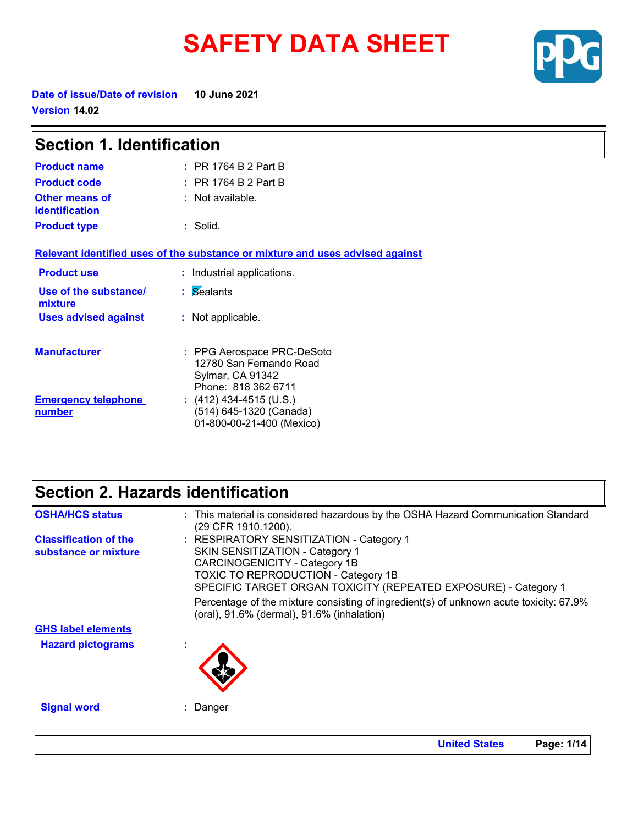# **SAFETY DATA SHEET**



**Date of issue/Date of revision 10 June 2021 Version 14.02**

| <b>Section 1. Identification</b>     |                                                                                                  |  |
|--------------------------------------|--------------------------------------------------------------------------------------------------|--|
| <b>Product name</b>                  | $:$ PR 1764 B 2 Part B                                                                           |  |
| <b>Product code</b>                  | $:$ PR 1764 B 2 Part B                                                                           |  |
| Other means of<br>identification     | : Not available.                                                                                 |  |
| <b>Product type</b>                  | $:$ Solid.                                                                                       |  |
|                                      | Relevant identified uses of the substance or mixture and uses advised against                    |  |
| <b>Product use</b>                   | : Industrial applications.                                                                       |  |
| Use of the substance/<br>mixture     | : Sealants                                                                                       |  |
| <b>Uses advised against</b>          | : Not applicable.                                                                                |  |
| <b>Manufacturer</b>                  | : PPG Aerospace PRC-DeSoto<br>12780 San Fernando Road<br>Sylmar, CA 91342<br>Phone: 818 362 6711 |  |
| <b>Emergency telephone</b><br>number | : $(412)$ 434-4515 (U.S.)<br>(514) 645-1320 (Canada)<br>01-800-00-21-400 (Mexico)                |  |

### **Section 2. Hazards identification**

| <b>OSHA/HCS status</b>                               | : This material is considered hazardous by the OSHA Hazard Communication Standard<br>(29 CFR 1910.1200).                                                                                                                      |
|------------------------------------------------------|-------------------------------------------------------------------------------------------------------------------------------------------------------------------------------------------------------------------------------|
| <b>Classification of the</b><br>substance or mixture | : RESPIRATORY SENSITIZATION - Category 1<br>SKIN SENSITIZATION - Category 1<br>CARCINOGENICITY - Category 1B<br><b>TOXIC TO REPRODUCTION - Category 1B</b><br>SPECIFIC TARGET ORGAN TOXICITY (REPEATED EXPOSURE) - Category 1 |
|                                                      | Percentage of the mixture consisting of ingredient(s) of unknown acute toxicity: 67.9%<br>(oral), 91.6% (dermal), 91.6% (inhalation)                                                                                          |
| <b>GHS label elements</b>                            |                                                                                                                                                                                                                               |
| <b>Hazard pictograms</b>                             |                                                                                                                                                                                                                               |
| <b>Signal word</b>                                   | : Danger                                                                                                                                                                                                                      |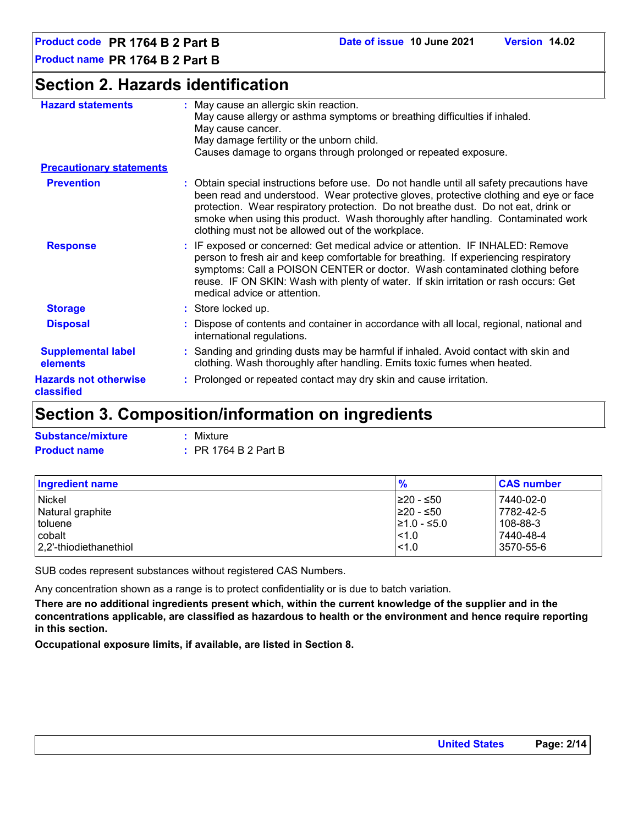### **Section 2. Hazards identification**

| <b>Hazard statements</b>                     | : May cause an allergic skin reaction.<br>May cause allergy or asthma symptoms or breathing difficulties if inhaled.<br>May cause cancer.<br>May damage fertility or the unborn child.<br>Causes damage to organs through prolonged or repeated exposure.                                                                                                                                                          |
|----------------------------------------------|--------------------------------------------------------------------------------------------------------------------------------------------------------------------------------------------------------------------------------------------------------------------------------------------------------------------------------------------------------------------------------------------------------------------|
| <b>Precautionary statements</b>              |                                                                                                                                                                                                                                                                                                                                                                                                                    |
| <b>Prevention</b>                            | : Obtain special instructions before use. Do not handle until all safety precautions have<br>been read and understood. Wear protective gloves, protective clothing and eye or face<br>protection. Wear respiratory protection. Do not breathe dust. Do not eat, drink or<br>smoke when using this product. Wash thoroughly after handling. Contaminated work<br>clothing must not be allowed out of the workplace. |
| <b>Response</b>                              | : IF exposed or concerned: Get medical advice or attention. IF INHALED: Remove<br>person to fresh air and keep comfortable for breathing. If experiencing respiratory<br>symptoms: Call a POISON CENTER or doctor. Wash contaminated clothing before<br>reuse. IF ON SKIN: Wash with plenty of water. If skin irritation or rash occurs: Get<br>medical advice or attention.                                       |
| <b>Storage</b>                               | : Store locked up.                                                                                                                                                                                                                                                                                                                                                                                                 |
| <b>Disposal</b>                              | : Dispose of contents and container in accordance with all local, regional, national and<br>international regulations.                                                                                                                                                                                                                                                                                             |
| <b>Supplemental label</b><br><b>elements</b> | : Sanding and grinding dusts may be harmful if inhaled. Avoid contact with skin and<br>clothing. Wash thoroughly after handling. Emits toxic fumes when heated.                                                                                                                                                                                                                                                    |
| <b>Hazards not otherwise</b><br>classified   | : Prolonged or repeated contact may dry skin and cause irritation.                                                                                                                                                                                                                                                                                                                                                 |

### **Section 3. Composition/information on ingredients**

| <b>Substance/mixture</b> | : Mixture                       |
|--------------------------|---------------------------------|
| <b>Product name</b>      | $\therefore$ PR 1764 B 2 Part B |

| Ingredient name        | $\frac{9}{6}$    | <b>CAS number</b> |
|------------------------|------------------|-------------------|
| <b>Nickel</b>          | I≥20 - ≤50       | 7440-02-0         |
| Natural graphite       | ≥20 - ≤50        | 7782-42-5         |
| toluene                | $\geq 1.0 - 5.0$ | 108-88-3          |
| cobalt                 | $ $ < 1.0        | 7440-48-4         |
| 2.2'-thiodiethanethiol | $\leq 1.0$       | 3570-55-6         |

SUB codes represent substances without registered CAS Numbers.

Any concentration shown as a range is to protect confidentiality or is due to batch variation.

**There are no additional ingredients present which, within the current knowledge of the supplier and in the concentrations applicable, are classified as hazardous to health or the environment and hence require reporting in this section.**

**Occupational exposure limits, if available, are listed in Section 8.**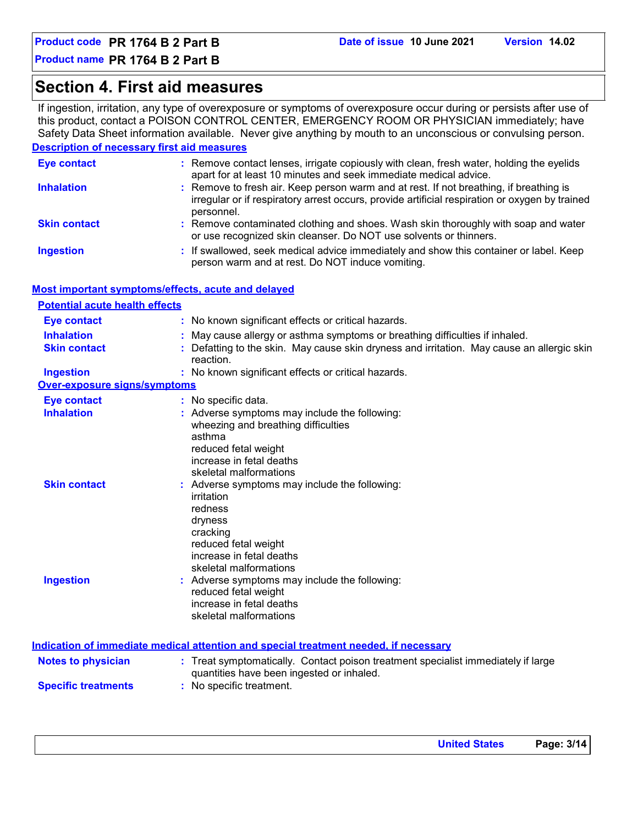### **Section 4. First aid measures**

If ingestion, irritation, any type of overexposure or symptoms of overexposure occur during or persists after use of this product, contact a POISON CONTROL CENTER, EMERGENCY ROOM OR PHYSICIAN immediately; have Safety Data Sheet information available. Never give anything by mouth to an unconscious or convulsing person.

#### **Description of necessary first aid measures**

| <b>Eye contact</b>  | : Remove contact lenses, irrigate copiously with clean, fresh water, holding the eyelids<br>apart for at least 10 minutes and seek immediate medical advice.                                           |
|---------------------|--------------------------------------------------------------------------------------------------------------------------------------------------------------------------------------------------------|
| <b>Inhalation</b>   | : Remove to fresh air. Keep person warm and at rest. If not breathing, if breathing is<br>irregular or if respiratory arrest occurs, provide artificial respiration or oxygen by trained<br>personnel. |
| <b>Skin contact</b> | : Remove contaminated clothing and shoes. Wash skin thoroughly with soap and water<br>or use recognized skin cleanser. Do NOT use solvents or thinners.                                                |
| <b>Ingestion</b>    | : If swallowed, seek medical advice immediately and show this container or label. Keep<br>person warm and at rest. Do NOT induce vomiting.                                                             |

#### **Most important symptoms/effects, acute and delayed**

| <b>Potential acute health effects</b> |                                                                                                                                                                              |
|---------------------------------------|------------------------------------------------------------------------------------------------------------------------------------------------------------------------------|
| <b>Eye contact</b>                    | : No known significant effects or critical hazards.                                                                                                                          |
| <b>Inhalation</b>                     | : May cause allergy or asthma symptoms or breathing difficulties if inhaled.                                                                                                 |
| <b>Skin contact</b>                   | : Defatting to the skin. May cause skin dryness and irritation. May cause an allergic skin<br>reaction.                                                                      |
| <b>Ingestion</b>                      | : No known significant effects or critical hazards.                                                                                                                          |
| <b>Over-exposure signs/symptoms</b>   |                                                                                                                                                                              |
| <b>Eye contact</b>                    | : No specific data.                                                                                                                                                          |
| <b>Inhalation</b>                     | : Adverse symptoms may include the following:<br>wheezing and breathing difficulties<br>asthma<br>reduced fetal weight<br>increase in fetal deaths<br>skeletal malformations |
| <b>Skin contact</b>                   | : Adverse symptoms may include the following:<br>irritation<br>redness<br>dryness<br>cracking<br>reduced fetal weight<br>increase in fetal deaths<br>skeletal malformations  |
| <b>Ingestion</b>                      | : Adverse symptoms may include the following:<br>reduced fetal weight<br>increase in fetal deaths<br>skeletal malformations                                                  |
|                                       | Indication of immediate medical attention and special treatment needed, if necessary                                                                                         |
| <b>Notes to physician</b>             | : Treat symptomatically. Contact poison treatment specialist immediately if large<br>quantities have been ingested or inhaled.                                               |
| <b>Specific treatments</b>            | : No specific treatment.                                                                                                                                                     |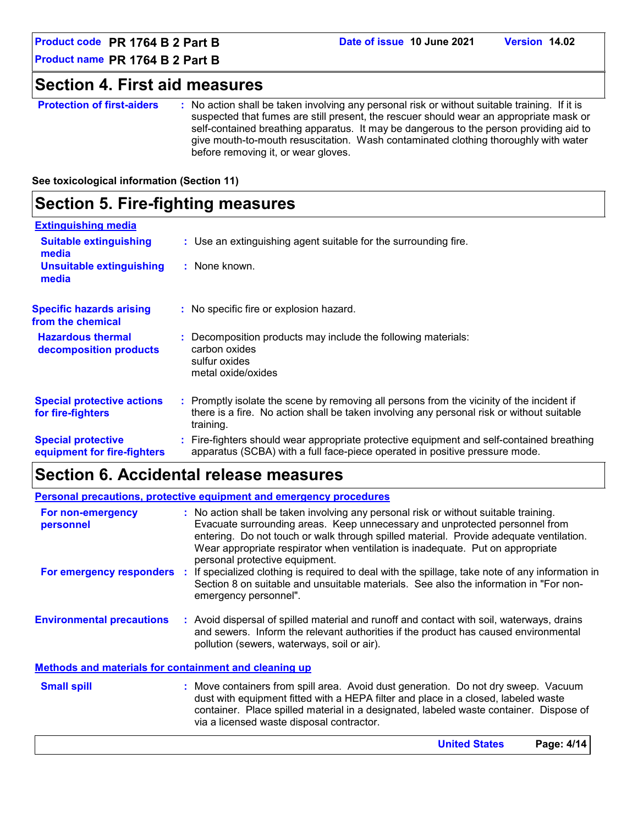**Product code PR 1764 B 2 Part B Date of issue 10 June 2021 Version 14.02**

**Product name PR 1764 B 2 Part B**

### **Section 4. First aid measures**

**Protection of first-aiders** : No action shall be taken involving any personal risk or without suitable training. If it is suspected that fumes are still present, the rescuer should wear an appropriate mask or self-contained breathing apparatus. It may be dangerous to the person providing aid to give mouth-to-mouth resuscitation. Wash contaminated clothing thoroughly with water before removing it, or wear gloves.

#### **See toxicological information (Section 11)**

### **Section 5. Fire-fighting measures**

| <b>Extinguishing media</b>                               |                                                                                                                                                                                                     |
|----------------------------------------------------------|-----------------------------------------------------------------------------------------------------------------------------------------------------------------------------------------------------|
| <b>Suitable extinguishing</b><br>media                   | : Use an extinguishing agent suitable for the surrounding fire.                                                                                                                                     |
| <b>Unsuitable extinguishing</b><br>media                 | : None known.                                                                                                                                                                                       |
| <b>Specific hazards arising</b><br>from the chemical     | : No specific fire or explosion hazard.                                                                                                                                                             |
| <b>Hazardous thermal</b><br>decomposition products       | Decomposition products may include the following materials:<br>carbon oxides<br>sulfur oxides<br>metal oxide/oxides                                                                                 |
| <b>Special protective actions</b><br>for fire-fighters   | : Promptly isolate the scene by removing all persons from the vicinity of the incident if<br>there is a fire. No action shall be taken involving any personal risk or without suitable<br>training. |
| <b>Special protective</b><br>equipment for fire-fighters | : Fire-fighters should wear appropriate protective equipment and self-contained breathing<br>apparatus (SCBA) with a full face-piece operated in positive pressure mode.                            |

### **Section 6. Accidental release measures**

|                                                              |    | <b>Personal precautions, protective equipment and emergency procedures</b>                                                                                                                                                                                                                                                                                                        |
|--------------------------------------------------------------|----|-----------------------------------------------------------------------------------------------------------------------------------------------------------------------------------------------------------------------------------------------------------------------------------------------------------------------------------------------------------------------------------|
| For non-emergency<br>personnel                               |    | : No action shall be taken involving any personal risk or without suitable training.<br>Evacuate surrounding areas. Keep unnecessary and unprotected personnel from<br>entering. Do not touch or walk through spilled material. Provide adequate ventilation.<br>Wear appropriate respirator when ventilation is inadequate. Put on appropriate<br>personal protective equipment. |
| For emergency responders                                     | ÷. | If specialized clothing is required to deal with the spillage, take note of any information in<br>Section 8 on suitable and unsuitable materials. See also the information in "For non-<br>emergency personnel".                                                                                                                                                                  |
| <b>Environmental precautions</b>                             |    | : Avoid dispersal of spilled material and runoff and contact with soil, waterways, drains<br>and sewers. Inform the relevant authorities if the product has caused environmental<br>pollution (sewers, waterways, soil or air).                                                                                                                                                   |
| <b>Methods and materials for containment and cleaning up</b> |    |                                                                                                                                                                                                                                                                                                                                                                                   |
| <b>Small spill</b>                                           |    | : Move containers from spill area. Avoid dust generation. Do not dry sweep. Vacuum<br>dust with equipment fitted with a HEPA filter and place in a closed, labeled waste<br>container. Place spilled material in a designated, labeled waste container. Dispose of<br>via a licensed waste disposal contractor.                                                                   |
|                                                              |    | <b>United States</b><br>Page: 4/14                                                                                                                                                                                                                                                                                                                                                |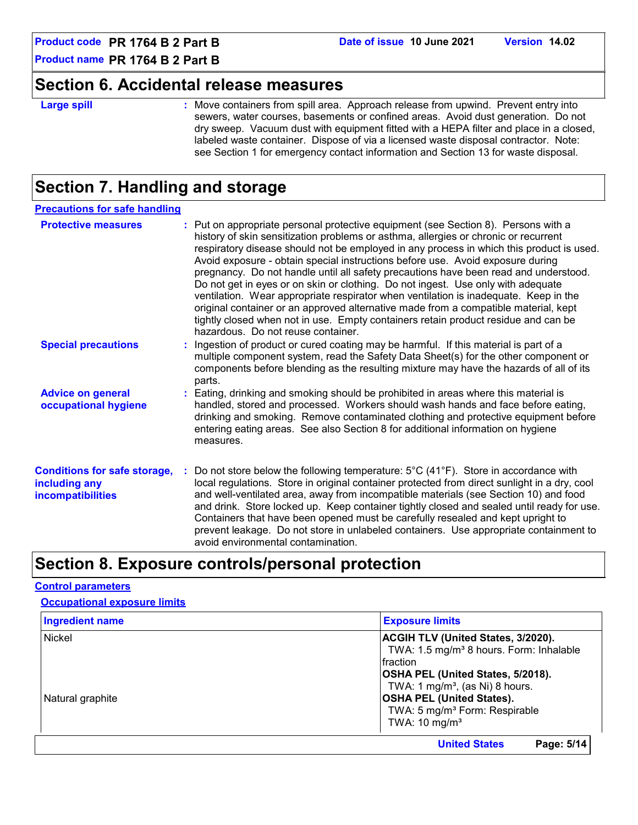### **Section 6. Accidental release measures**

#### **Large spill :**

: Move containers from spill area. Approach release from upwind. Prevent entry into sewers, water courses, basements or confined areas. Avoid dust generation. Do not dry sweep. Vacuum dust with equipment fitted with a HEPA filter and place in a closed, labeled waste container. Dispose of via a licensed waste disposal contractor. Note: see Section 1 for emergency contact information and Section 13 for waste disposal.

### **Section 7. Handling and storage**

| <b>Precautions for safe handling</b>                                             |                                                                                                                                                                                                                                                                                                                                                                                                                                                                                                                                                                                                                                                                                                                                                                                                                                                |
|----------------------------------------------------------------------------------|------------------------------------------------------------------------------------------------------------------------------------------------------------------------------------------------------------------------------------------------------------------------------------------------------------------------------------------------------------------------------------------------------------------------------------------------------------------------------------------------------------------------------------------------------------------------------------------------------------------------------------------------------------------------------------------------------------------------------------------------------------------------------------------------------------------------------------------------|
| <b>Protective measures</b>                                                       | : Put on appropriate personal protective equipment (see Section 8). Persons with a<br>history of skin sensitization problems or asthma, allergies or chronic or recurrent<br>respiratory disease should not be employed in any process in which this product is used.<br>Avoid exposure - obtain special instructions before use. Avoid exposure during<br>pregnancy. Do not handle until all safety precautions have been read and understood.<br>Do not get in eyes or on skin or clothing. Do not ingest. Use only with adequate<br>ventilation. Wear appropriate respirator when ventilation is inadequate. Keep in the<br>original container or an approved alternative made from a compatible material, kept<br>tightly closed when not in use. Empty containers retain product residue and can be<br>hazardous. Do not reuse container. |
| <b>Special precautions</b>                                                       | : Ingestion of product or cured coating may be harmful. If this material is part of a<br>multiple component system, read the Safety Data Sheet(s) for the other component or<br>components before blending as the resulting mixture may have the hazards of all of its<br>parts.                                                                                                                                                                                                                                                                                                                                                                                                                                                                                                                                                               |
| <b>Advice on general</b><br>occupational hygiene                                 | : Eating, drinking and smoking should be prohibited in areas where this material is<br>handled, stored and processed. Workers should wash hands and face before eating,<br>drinking and smoking. Remove contaminated clothing and protective equipment before<br>entering eating areas. See also Section 8 for additional information on hygiene<br>measures.                                                                                                                                                                                                                                                                                                                                                                                                                                                                                  |
| <b>Conditions for safe storage,</b><br>including any<br><b>incompatibilities</b> | Do not store below the following temperature: $5^{\circ}$ C (41 <sup>o</sup> F). Store in accordance with<br>local regulations. Store in original container protected from direct sunlight in a dry, cool<br>and well-ventilated area, away from incompatible materials (see Section 10) and food<br>and drink. Store locked up. Keep container tightly closed and sealed until ready for use.<br>Containers that have been opened must be carefully resealed and kept upright to<br>prevent leakage. Do not store in unlabeled containers. Use appropriate containment to<br>avoid environmental contamination.                                                                                                                                                                                                                               |

### **Section 8. Exposure controls/personal protection**

#### **Control parameters**

| <b>Occupational exposure limits</b> |
|-------------------------------------|
|-------------------------------------|

| <b>Ingredient name</b> | <b>Exposure limits</b>                                                                                                                                                                        |
|------------------------|-----------------------------------------------------------------------------------------------------------------------------------------------------------------------------------------------|
| <b>Nickel</b>          | <b>ACGIH TLV (United States, 3/2020).</b><br>TWA: 1.5 mg/m <sup>3</sup> 8 hours. Form: Inhalable<br>Ifraction                                                                                 |
| Natural graphite       | OSHA PEL (United States, 5/2018).<br>TWA: 1 mg/m <sup>3</sup> , (as Ni) 8 hours.<br><b>OSHA PEL (United States).</b><br>TWA: 5 mg/m <sup>3</sup> Form: Respirable<br>TWA: $10 \text{ mg/m}^3$ |
|                        | <b>United States</b><br>Page: 5/14                                                                                                                                                            |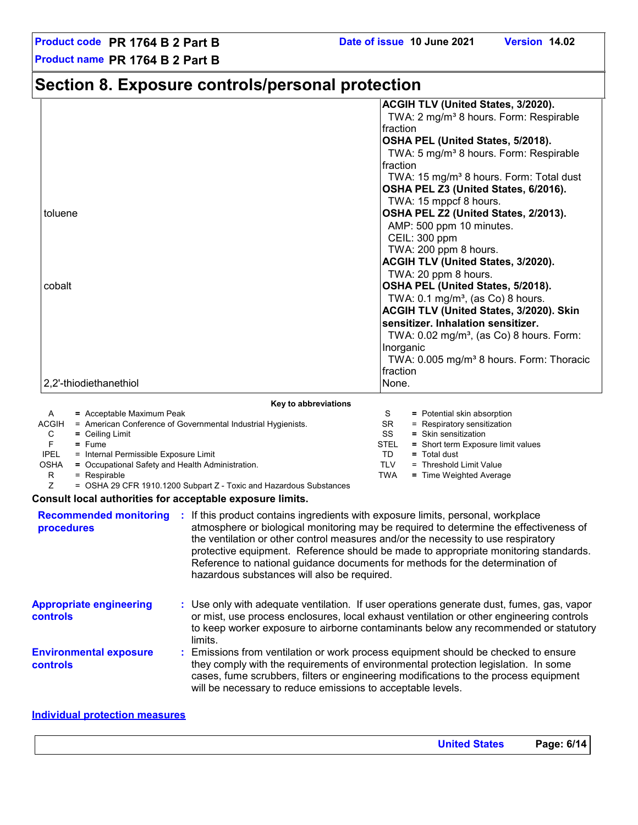### **Section 8. Exposure controls/personal protection**

|                                                                                                                         | <b>ACGIH TLV (United States, 3/2020).</b>                                             |
|-------------------------------------------------------------------------------------------------------------------------|---------------------------------------------------------------------------------------|
|                                                                                                                         | TWA: 2 mg/m <sup>3</sup> 8 hours. Form: Respirable                                    |
|                                                                                                                         | fraction                                                                              |
|                                                                                                                         | OSHA PEL (United States, 5/2018).                                                     |
|                                                                                                                         | TWA: 5 mg/m <sup>3</sup> 8 hours. Form: Respirable                                    |
|                                                                                                                         | fraction                                                                              |
|                                                                                                                         | TWA: 15 mg/m <sup>3</sup> 8 hours. Form: Total dust                                   |
|                                                                                                                         | OSHA PEL Z3 (United States, 6/2016).                                                  |
|                                                                                                                         | TWA: 15 mppcf 8 hours.                                                                |
| toluene                                                                                                                 | OSHA PEL Z2 (United States, 2/2013).                                                  |
|                                                                                                                         | AMP: 500 ppm 10 minutes.                                                              |
|                                                                                                                         | CEIL: 300 ppm                                                                         |
|                                                                                                                         | TWA: 200 ppm 8 hours.                                                                 |
|                                                                                                                         | ACGIH TLV (United States, 3/2020).                                                    |
|                                                                                                                         | TWA: 20 ppm 8 hours.                                                                  |
| cobalt                                                                                                                  | OSHA PEL (United States, 5/2018).                                                     |
|                                                                                                                         | TWA: $0.1 \text{ mg/m}^3$ , (as Co) 8 hours.                                          |
|                                                                                                                         | ACGIH TLV (United States, 3/2020). Skin                                               |
|                                                                                                                         | sensitizer. Inhalation sensitizer.                                                    |
|                                                                                                                         | TWA: 0.02 mg/m <sup>3</sup> , (as Co) 8 hours. Form:                                  |
|                                                                                                                         | Inorganic                                                                             |
|                                                                                                                         | TWA: 0.005 mg/m <sup>3</sup> 8 hours. Form: Thoracic                                  |
|                                                                                                                         | fraction                                                                              |
| 2,2'-thiodiethanethiol                                                                                                  | None.                                                                                 |
|                                                                                                                         |                                                                                       |
| Key to abbreviations<br>A<br>= Acceptable Maximum Peak                                                                  | S<br>= Potential skin absorption                                                      |
| ACGIH<br>= American Conference of Governmental Industrial Hygienists.                                                   | SR.<br>= Respiratory sensitization                                                    |
| С<br>$=$ Ceiling Limit                                                                                                  | SS<br>= Skin sensitization                                                            |
| F.<br>$=$ Fume                                                                                                          | <b>STEL</b><br>= Short term Exposure limit values                                     |
| <b>IPEL</b><br>= Internal Permissible Exposure Limit<br><b>OSHA</b><br>= Occupational Safety and Health Administration. | TD.<br>$=$ Total dust<br><b>TLV</b><br>= Threshold Limit Value                        |
| R<br>= Respirable                                                                                                       | <b>TWA</b><br>= Time Weighted Average                                                 |
| Z<br>= OSHA 29 CFR 1910.1200 Subpart Z - Toxic and Hazardous Substances                                                 |                                                                                       |
| Consult local authorities for acceptable exposure limits.                                                               |                                                                                       |
| <b>Recommended monitoring : If this product contains ingredients with exposure limits, personal, workplace</b>          |                                                                                       |
| procedures                                                                                                              | atmosphere or biological monitoring may be required to determine the effectiveness of |
|                                                                                                                         | the ventilation or other control measures and/or the necessity to use respiratory     |

|                                                   | protective equipment. Reference should be made to appropriate monitoring standards.<br>Reference to national guidance documents for methods for the determination of<br>hazardous substances will also be required.                                                          |
|---------------------------------------------------|------------------------------------------------------------------------------------------------------------------------------------------------------------------------------------------------------------------------------------------------------------------------------|
| <b>Appropriate engineering</b><br><b>controls</b> | : Use only with adequate ventilation. If user operations generate dust, fumes, gas, vapor<br>or mist, use process enclosures, local exhaust ventilation or other engineering controls<br>to keep worker exposure to airborne contaminants below any recommended or statutory |

**Environmental exposure controls :** Emissions from ventilation or work process equipment should be checked to ensure they comply with the requirements of environmental protection legislation. In some cases, fume scrubbers, filters or engineering modifications to the process equipment will be necessary to reduce emissions to acceptable levels. limits.

#### **Individual protection measures**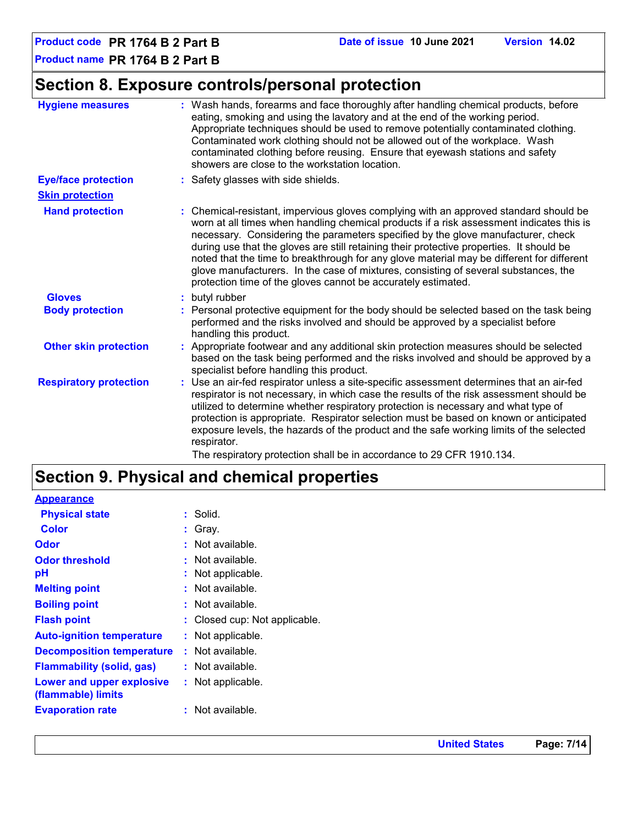### **Section 8. Exposure controls/personal protection**

| <b>Hygiene measures</b>       | : Wash hands, forearms and face thoroughly after handling chemical products, before<br>eating, smoking and using the lavatory and at the end of the working period.<br>Appropriate techniques should be used to remove potentially contaminated clothing.<br>Contaminated work clothing should not be allowed out of the workplace. Wash<br>contaminated clothing before reusing. Ensure that eyewash stations and safety<br>showers are close to the workstation location.                                                                                                                                            |
|-------------------------------|------------------------------------------------------------------------------------------------------------------------------------------------------------------------------------------------------------------------------------------------------------------------------------------------------------------------------------------------------------------------------------------------------------------------------------------------------------------------------------------------------------------------------------------------------------------------------------------------------------------------|
| <b>Eye/face protection</b>    | : Safety glasses with side shields.                                                                                                                                                                                                                                                                                                                                                                                                                                                                                                                                                                                    |
| <b>Skin protection</b>        |                                                                                                                                                                                                                                                                                                                                                                                                                                                                                                                                                                                                                        |
| <b>Hand protection</b>        | : Chemical-resistant, impervious gloves complying with an approved standard should be<br>worn at all times when handling chemical products if a risk assessment indicates this is<br>necessary. Considering the parameters specified by the glove manufacturer, check<br>during use that the gloves are still retaining their protective properties. It should be<br>noted that the time to breakthrough for any glove material may be different for different<br>glove manufacturers. In the case of mixtures, consisting of several substances, the<br>protection time of the gloves cannot be accurately estimated. |
| <b>Gloves</b>                 | : butyl rubber                                                                                                                                                                                                                                                                                                                                                                                                                                                                                                                                                                                                         |
| <b>Body protection</b>        | : Personal protective equipment for the body should be selected based on the task being<br>performed and the risks involved and should be approved by a specialist before<br>handling this product.                                                                                                                                                                                                                                                                                                                                                                                                                    |
| <b>Other skin protection</b>  | : Appropriate footwear and any additional skin protection measures should be selected<br>based on the task being performed and the risks involved and should be approved by a<br>specialist before handling this product.                                                                                                                                                                                                                                                                                                                                                                                              |
| <b>Respiratory protection</b> | : Use an air-fed respirator unless a site-specific assessment determines that an air-fed<br>respirator is not necessary, in which case the results of the risk assessment should be<br>utilized to determine whether respiratory protection is necessary and what type of<br>protection is appropriate. Respirator selection must be based on known or anticipated<br>exposure levels, the hazards of the product and the safe working limits of the selected<br>respirator.<br>The respiratory protection shall be in accordance to 29 CFR 1910.134.                                                                  |

### **Section 9. Physical and chemical properties**

| <b>Appearance</b>                               |                               |
|-------------------------------------------------|-------------------------------|
| <b>Physical state</b>                           | : Solid.                      |
| <b>Color</b>                                    | $:$ Gray.                     |
| <b>Odor</b>                                     | : Not available.              |
| <b>Odor threshold</b>                           | : Not available.              |
| pH                                              | : Not applicable.             |
| <b>Melting point</b>                            | : Not available.              |
| <b>Boiling point</b>                            | : Not available.              |
| <b>Flash point</b>                              | : Closed cup: Not applicable. |
| <b>Auto-ignition temperature</b>                | : Not applicable.             |
| <b>Decomposition temperature</b>                | : Not available.              |
| <b>Flammability (solid, gas)</b>                | : Not available.              |
| Lower and upper explosive<br>(flammable) limits | : Not applicable.             |
| <b>Evaporation rate</b>                         | : Not available.              |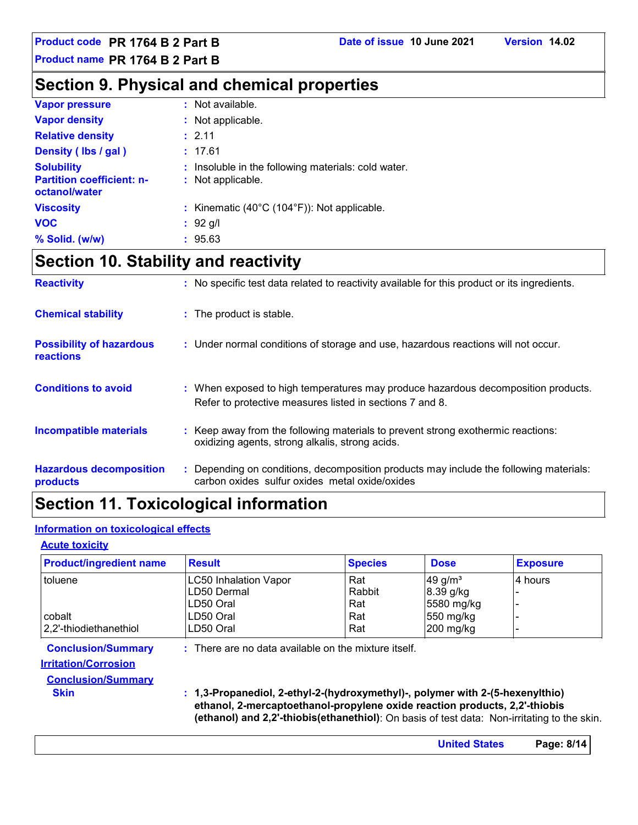**Product code PR 1764 B 2 Part B Date of issue 10 June 2021 Version 14.02**

**Product name PR 1764 B 2 Part B**

### **Section 9. Physical and chemical properties**

| <b>Vapor pressure</b>                             | : Not available.                                             |
|---------------------------------------------------|--------------------------------------------------------------|
| <b>Vapor density</b>                              | : Not applicable.                                            |
| <b>Relative density</b>                           | : 2.11                                                       |
| Density (Ibs / gal)                               | : 17.61                                                      |
| <b>Solubility</b>                                 | : Insoluble in the following materials: cold water.          |
| <b>Partition coefficient: n-</b><br>octanol/water | : Not applicable.                                            |
| <b>Viscosity</b>                                  | : Kinematic $(40^{\circ}C (104^{\circ}F))$ : Not applicable. |
| <b>VOC</b>                                        | $: 92$ g/l                                                   |
| % Solid. (w/w)                                    | : 95.63                                                      |

## **Section 10. Stability and reactivity**

| <b>Reactivity</b>                            | : No specific test data related to reactivity available for this product or its ingredients.                                                  |
|----------------------------------------------|-----------------------------------------------------------------------------------------------------------------------------------------------|
| <b>Chemical stability</b>                    | : The product is stable.                                                                                                                      |
| <b>Possibility of hazardous</b><br>reactions | : Under normal conditions of storage and use, hazardous reactions will not occur.                                                             |
| <b>Conditions to avoid</b>                   | : When exposed to high temperatures may produce hazardous decomposition products.<br>Refer to protective measures listed in sections 7 and 8. |
| <b>Incompatible materials</b>                | : Keep away from the following materials to prevent strong exothermic reactions:<br>oxidizing agents, strong alkalis, strong acids.           |
| <b>Hazardous decomposition</b><br>products   | : Depending on conditions, decomposition products may include the following materials:<br>carbon oxides sulfur oxides metal oxide/oxides      |

### **Section 11. Toxicological information**

#### **Information on toxicological effects**

#### **Acute toxicity**

| <b>Product/ingredient name</b>                           | <b>Result</b>                                                                                                                                                                                                                                              | <b>Species</b> | <b>Dose</b> | <b>Exposure</b> |
|----------------------------------------------------------|------------------------------------------------------------------------------------------------------------------------------------------------------------------------------------------------------------------------------------------------------------|----------------|-------------|-----------------|
| toluene                                                  | <b>LC50 Inhalation Vapor</b>                                                                                                                                                                                                                               | Rat            | 49 g/ $m3$  | 4 hours         |
|                                                          | LD50 Dermal                                                                                                                                                                                                                                                | Rabbit         | 8.39 g/kg   |                 |
|                                                          | LD50 Oral                                                                                                                                                                                                                                                  | Rat            | 5580 mg/kg  |                 |
| cobalt                                                   | LD50 Oral                                                                                                                                                                                                                                                  | Rat            | 550 mg/kg   |                 |
| 2,2'-thiodiethanethiol                                   | LD50 Oral                                                                                                                                                                                                                                                  | Rat            | 200 mg/kg   |                 |
| <b>Conclusion/Summary</b><br><b>Irritation/Corrosion</b> | $:$ There are no data available on the mixture itself.                                                                                                                                                                                                     |                |             |                 |
| <b>Conclusion/Summary</b>                                |                                                                                                                                                                                                                                                            |                |             |                 |
| <b>Skin</b>                                              | : 1,3-Propanediol, 2-ethyl-2-(hydroxymethyl)-, polymer with 2-(5-hexenylthio)<br>ethanol, 2-mercaptoethanol-propylene oxide reaction products, 2,2'-thiobis<br>(ethanol) and 2,2'-thiobis(ethanethiol): On basis of test data: Non-irritating to the skin. |                |             |                 |

**United States Page: 8/14**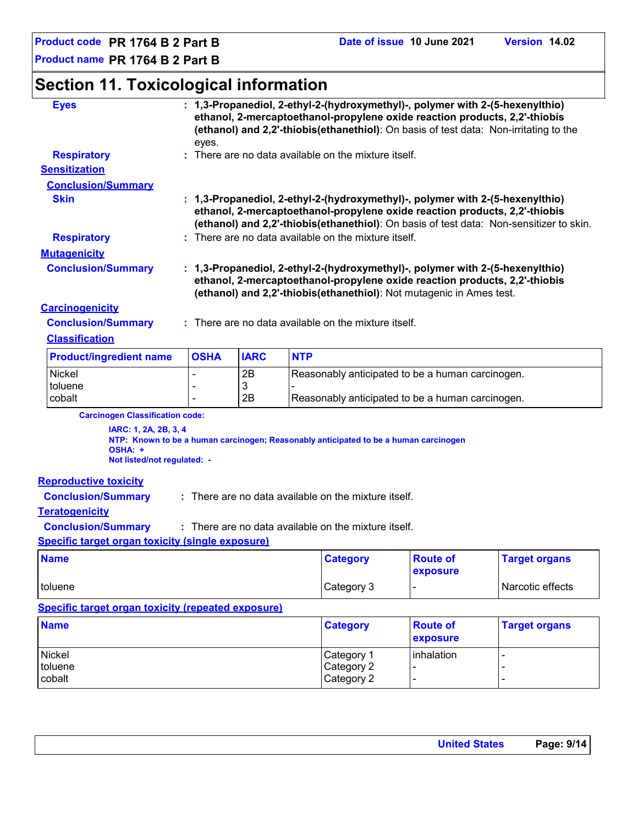### **Section 11. Toxicological information**

| <b>Eyes</b>                                                                                               | : 1,3-Propanediol, 2-ethyl-2-(hydroxymethyl)-, polymer with 2-(5-hexenylthio)<br>ethanol, 2-mercaptoethanol-propylene oxide reaction products, 2,2'-thiobis<br>(ethanol) and 2,2'-thiobis(ethanethiol): On basis of test data: Non-irritating to the<br>eyes. |                                                                                                                                                                                                                                                        |                                                  |                                                      |                                                                                      |                      |  |  |
|-----------------------------------------------------------------------------------------------------------|---------------------------------------------------------------------------------------------------------------------------------------------------------------------------------------------------------------------------------------------------------------|--------------------------------------------------------------------------------------------------------------------------------------------------------------------------------------------------------------------------------------------------------|--------------------------------------------------|------------------------------------------------------|--------------------------------------------------------------------------------------|----------------------|--|--|
| <b>Respiratory</b>                                                                                        |                                                                                                                                                                                                                                                               |                                                                                                                                                                                                                                                        |                                                  | : There are no data available on the mixture itself. |                                                                                      |                      |  |  |
| <b>Sensitization</b>                                                                                      |                                                                                                                                                                                                                                                               |                                                                                                                                                                                                                                                        |                                                  |                                                      |                                                                                      |                      |  |  |
| <b>Conclusion/Summary</b>                                                                                 |                                                                                                                                                                                                                                                               |                                                                                                                                                                                                                                                        |                                                  |                                                      |                                                                                      |                      |  |  |
| <b>Skin</b>                                                                                               |                                                                                                                                                                                                                                                               | : 1,3-Propanediol, 2-ethyl-2-(hydroxymethyl)-, polymer with 2-(5-hexenylthio)<br>ethanol, 2-mercaptoethanol-propylene oxide reaction products, 2,2'-thiobis<br>(ethanol) and 2,2'-thiobis(ethanethiol): On basis of test data: Non-sensitizer to skin. |                                                  |                                                      |                                                                                      |                      |  |  |
| <b>Respiratory</b>                                                                                        |                                                                                                                                                                                                                                                               |                                                                                                                                                                                                                                                        |                                                  | : There are no data available on the mixture itself. |                                                                                      |                      |  |  |
| <b>Mutagenicity</b>                                                                                       |                                                                                                                                                                                                                                                               |                                                                                                                                                                                                                                                        |                                                  |                                                      |                                                                                      |                      |  |  |
| <b>Conclusion/Summary</b>                                                                                 | : 1,3-Propanediol, 2-ethyl-2-(hydroxymethyl)-, polymer with 2-(5-hexenylthio)<br>ethanol, 2-mercaptoethanol-propylene oxide reaction products, 2,2'-thiobis<br>(ethanol) and 2,2'-thiobis(ethanethiol): Not mutagenic in Ames test.                           |                                                                                                                                                                                                                                                        |                                                  |                                                      |                                                                                      |                      |  |  |
| <b>Carcinogenicity</b>                                                                                    |                                                                                                                                                                                                                                                               |                                                                                                                                                                                                                                                        |                                                  |                                                      |                                                                                      |                      |  |  |
| <b>Conclusion/Summary</b>                                                                                 |                                                                                                                                                                                                                                                               |                                                                                                                                                                                                                                                        |                                                  | : There are no data available on the mixture itself. |                                                                                      |                      |  |  |
| <b>Classification</b>                                                                                     |                                                                                                                                                                                                                                                               |                                                                                                                                                                                                                                                        |                                                  |                                                      |                                                                                      |                      |  |  |
| <b>Product/ingredient name</b>                                                                            | <b>OSHA</b>                                                                                                                                                                                                                                                   | <b>IARC</b>                                                                                                                                                                                                                                            | <b>NTP</b>                                       |                                                      |                                                                                      |                      |  |  |
| Nickel                                                                                                    |                                                                                                                                                                                                                                                               | 2B                                                                                                                                                                                                                                                     |                                                  |                                                      | Reasonably anticipated to be a human carcinogen.                                     |                      |  |  |
| toluene                                                                                                   |                                                                                                                                                                                                                                                               | 3                                                                                                                                                                                                                                                      |                                                  |                                                      |                                                                                      |                      |  |  |
| cobalt                                                                                                    |                                                                                                                                                                                                                                                               | 2B                                                                                                                                                                                                                                                     | Reasonably anticipated to be a human carcinogen. |                                                      |                                                                                      |                      |  |  |
| <b>Carcinogen Classification code:</b><br>IARC: 1, 2A, 2B, 3, 4<br>OSHA: +<br>Not listed/not regulated: - |                                                                                                                                                                                                                                                               |                                                                                                                                                                                                                                                        |                                                  |                                                      | NTP: Known to be a human carcinogen; Reasonably anticipated to be a human carcinogen |                      |  |  |
| <b>Reproductive toxicity</b>                                                                              |                                                                                                                                                                                                                                                               |                                                                                                                                                                                                                                                        |                                                  |                                                      |                                                                                      |                      |  |  |
| <b>Conclusion/Summary</b>                                                                                 |                                                                                                                                                                                                                                                               |                                                                                                                                                                                                                                                        |                                                  | : There are no data available on the mixture itself. |                                                                                      |                      |  |  |
| <b>Teratogenicity</b>                                                                                     |                                                                                                                                                                                                                                                               |                                                                                                                                                                                                                                                        |                                                  |                                                      |                                                                                      |                      |  |  |
| <b>Conclusion/Summary</b>                                                                                 |                                                                                                                                                                                                                                                               |                                                                                                                                                                                                                                                        |                                                  | : There are no data available on the mixture itself. |                                                                                      |                      |  |  |
| <b>Specific target organ toxicity (single exposure)</b>                                                   |                                                                                                                                                                                                                                                               |                                                                                                                                                                                                                                                        |                                                  |                                                      |                                                                                      |                      |  |  |
| <b>Name</b>                                                                                               |                                                                                                                                                                                                                                                               |                                                                                                                                                                                                                                                        |                                                  | <b>Category</b>                                      | <b>Route of</b><br>exposure                                                          | <b>Target organs</b> |  |  |
| toluene                                                                                                   |                                                                                                                                                                                                                                                               |                                                                                                                                                                                                                                                        |                                                  | Category 3                                           |                                                                                      | Narcotic effects     |  |  |

#### **Specific target organ toxicity (repeated exposure)**

| <b>Name</b> | <b>Category</b> | <b>Route of</b><br><b>exposure</b> | <b>Target organs</b>     |
|-------------|-----------------|------------------------------------|--------------------------|
| Nickel      | Category 1      | inhalation                         | $\overline{\phantom{0}}$ |
| toluene     | Category 2      |                                    |                          |
| cobalt      | Category 2      | . .                                | $\overline{\phantom{0}}$ |

| <b>United States</b> | Page: 9/14 |
|----------------------|------------|
|                      |            |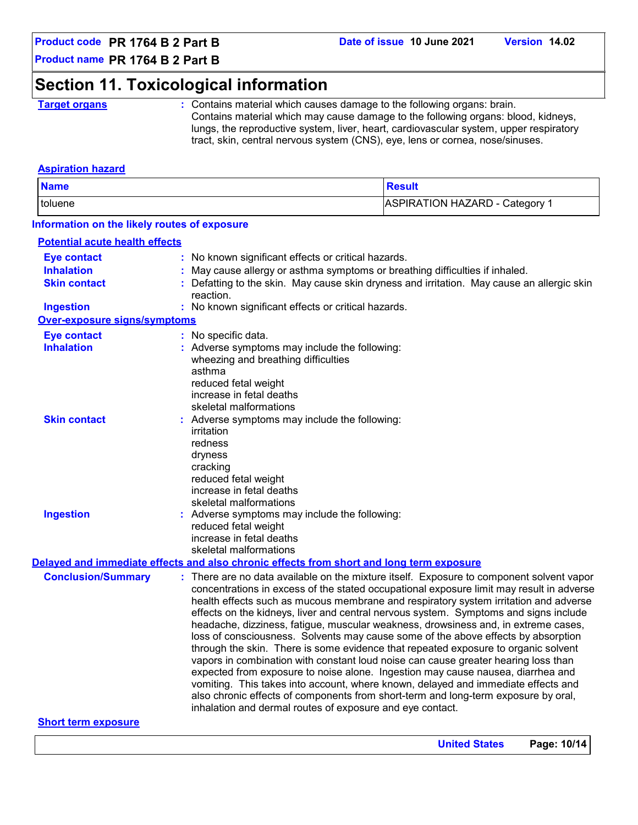### **Section 11. Toxicological information**

**Target organs :** Contains material which causes damage to the following organs: brain. Contains material which may cause damage to the following organs: blood, kidneys, lungs, the reproductive system, liver, heart, cardiovascular system, upper respiratory tract, skin, central nervous system (CNS), eye, lens or cornea, nose/sinuses.

#### **Aspiration hazard**

| <b>Name</b>                                      |                                                                                          | <b>Result</b>                                                                            |
|--------------------------------------------------|------------------------------------------------------------------------------------------|------------------------------------------------------------------------------------------|
| <b>ASPIRATION HAZARD - Category 1</b><br>toluene |                                                                                          |                                                                                          |
| Information on the likely routes of exposure     |                                                                                          |                                                                                          |
| <b>Potential acute health effects</b>            |                                                                                          |                                                                                          |
| <b>Eye contact</b>                               | : No known significant effects or critical hazards.                                      |                                                                                          |
| <b>Inhalation</b>                                |                                                                                          | May cause allergy or asthma symptoms or breathing difficulties if inhaled.               |
| <b>Skin contact</b>                              | reaction.                                                                                | Defatting to the skin. May cause skin dryness and irritation. May cause an allergic skin |
| <b>Ingestion</b>                                 | : No known significant effects or critical hazards.                                      |                                                                                          |
| <b>Over-exposure signs/symptoms</b>              |                                                                                          |                                                                                          |
| <b>Eye contact</b>                               | : No specific data.                                                                      |                                                                                          |
| <b>Inhalation</b>                                | : Adverse symptoms may include the following:                                            |                                                                                          |
|                                                  | wheezing and breathing difficulties                                                      |                                                                                          |
|                                                  | asthma                                                                                   |                                                                                          |
|                                                  | reduced fetal weight                                                                     |                                                                                          |
|                                                  | increase in fetal deaths                                                                 |                                                                                          |
|                                                  | skeletal malformations                                                                   |                                                                                          |
| <b>Skin contact</b>                              | : Adverse symptoms may include the following:                                            |                                                                                          |
|                                                  | irritation                                                                               |                                                                                          |
|                                                  | redness                                                                                  |                                                                                          |
|                                                  | dryness                                                                                  |                                                                                          |
|                                                  | cracking                                                                                 |                                                                                          |
|                                                  | reduced fetal weight                                                                     |                                                                                          |
|                                                  | increase in fetal deaths                                                                 |                                                                                          |
|                                                  | skeletal malformations                                                                   |                                                                                          |
| <b>Ingestion</b>                                 | : Adverse symptoms may include the following:                                            |                                                                                          |
|                                                  | reduced fetal weight                                                                     |                                                                                          |
|                                                  | increase in fetal deaths                                                                 |                                                                                          |
|                                                  | skeletal malformations                                                                   |                                                                                          |
|                                                  | Delayed and immediate effects and also chronic effects from short and long term exposure |                                                                                          |
| <b>Conclusion/Summary</b>                        |                                                                                          | : There are no data available on the mixture itself. Exposure to component solvent vapor |
|                                                  |                                                                                          | concentrations in excess of the stated occupational exposure limit may result in adverse |
|                                                  |                                                                                          | health effects such as mucous membrane and respiratory system irritation and adverse     |
|                                                  |                                                                                          | effects on the kidneys, liver and central nervous system. Symptoms and signs include     |
|                                                  |                                                                                          | headache, dizziness, fatigue, muscular weakness, drowsiness and, in extreme cases,       |
|                                                  |                                                                                          | loss of consciousness. Solvents may cause some of the above effects by absorption        |
|                                                  |                                                                                          | through the skin. There is some evidence that repeated exposure to organic solvent       |
|                                                  |                                                                                          | vapors in combination with constant loud noise can cause greater hearing loss than       |
|                                                  |                                                                                          |                                                                                          |
|                                                  |                                                                                          | expected from exposure to noise alone. Ingestion may cause nausea, diarrhea and          |
|                                                  |                                                                                          | vomiting. This takes into account, where known, delayed and immediate effects and        |
|                                                  |                                                                                          | also chronic effects of components from short-term and long-term exposure by oral,       |
|                                                  | inhalation and dermal routes of exposure and eye contact.                                |                                                                                          |
| <b>Short term exposure</b>                       |                                                                                          |                                                                                          |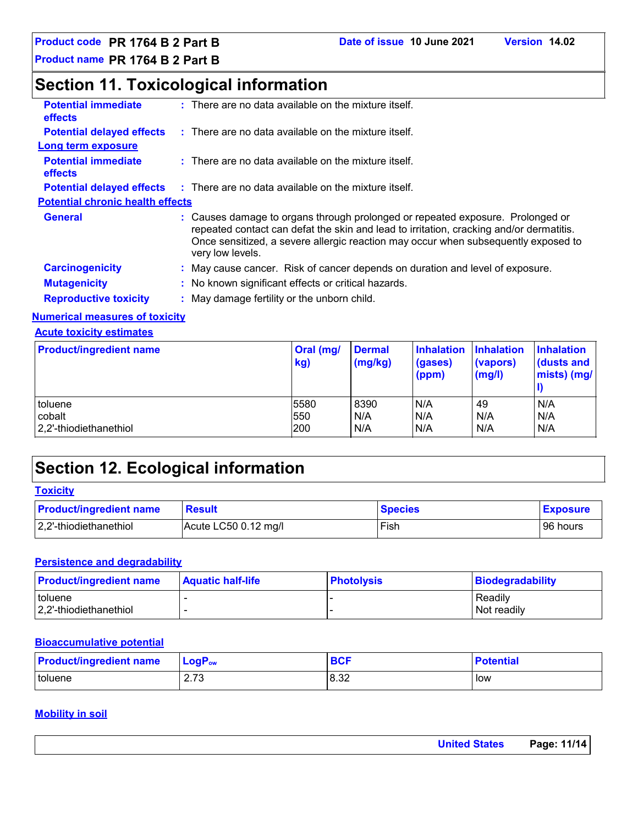### **Section 11. Toxicological information**

| <b>Potential immediate</b><br><b>effects</b> | $:$ There are no data available on the mixture itself.                                                                                                                                                                                                                              |
|----------------------------------------------|-------------------------------------------------------------------------------------------------------------------------------------------------------------------------------------------------------------------------------------------------------------------------------------|
| <b>Potential delayed effects</b>             | $\therefore$ There are no data available on the mixture itself.                                                                                                                                                                                                                     |
| Long term exposure                           |                                                                                                                                                                                                                                                                                     |
| <b>Potential immediate</b><br><b>effects</b> | $:$ There are no data available on the mixture itself.                                                                                                                                                                                                                              |
|                                              | <b>Potential delayed effects</b> : There are no data available on the mixture itself.                                                                                                                                                                                               |
| <b>Potential chronic health effects</b>      |                                                                                                                                                                                                                                                                                     |
| <b>General</b>                               | : Causes damage to organs through prolonged or repeated exposure. Prolonged or<br>repeated contact can defat the skin and lead to irritation, cracking and/or dermatitis.<br>Once sensitized, a severe allergic reaction may occur when subsequently exposed to<br>very low levels. |
| <b>Carcinogenicity</b>                       | : May cause cancer. Risk of cancer depends on duration and level of exposure.                                                                                                                                                                                                       |
| <b>Mutagenicity</b>                          | : No known significant effects or critical hazards.                                                                                                                                                                                                                                 |
|                                              |                                                                                                                                                                                                                                                                                     |
| <b>Reproductive toxicity</b>                 | : May damage fertility or the unborn child.                                                                                                                                                                                                                                         |

#### **Numerical measures of toxicity**

#### **Acute toxicity estimates**

| <b>Product/ingredient name</b> | Oral (mg/<br>kg) | <b>Dermal</b><br>(mg/kg) | <b>Inhalation</b><br>(gases)<br>(ppm) | Inhalation<br>(vapors)<br>(mg/l) | <b>Inhalation</b><br>dusts and<br>mists) (mg/ |
|--------------------------------|------------------|--------------------------|---------------------------------------|----------------------------------|-----------------------------------------------|
| toluene                        | 5580             | 8390                     | N/A                                   | 49                               | N/A                                           |
| cobalt                         | 550              | N/A                      | N/A                                   | N/A                              | N/A                                           |
| 2.2'-thiodiethanethiol         | 200              | N/A                      | N/A                                   | N/A                              | N/A                                           |

### **Section 12. Ecological information**

#### **Toxicity**

| <b>Product/ingredient name</b> | <b>Result</b>        | <b>Species</b> | <b>Exposure</b> |
|--------------------------------|----------------------|----------------|-----------------|
| 2,2'-thiodiethanethiol         | Acute LC50 0.12 mg/l | Fish           | 96 hours        |

#### **Persistence and degradability**

| <b>Product/ingredient name</b>    | <b>Aquatic half-life</b> | <b>Photolysis</b> | Biodegradability       |
|-----------------------------------|--------------------------|-------------------|------------------------|
| toluene<br>2.2'-thiodiethanethiol |                          |                   | Readily<br>Not readily |

#### **Bioaccumulative potential**

| <b>Product/ingredient name</b> | $LogP_{ow}$   | $P^{\prime}$<br>יטס | <b>Potential</b> |
|--------------------------------|---------------|---------------------|------------------|
| toluene                        | 70<br>ں ، ۔ ک | 8.32                | low              |

#### **Mobility in soil**

|  | <b>United States</b> | Page: 11/14 |
|--|----------------------|-------------|
|--|----------------------|-------------|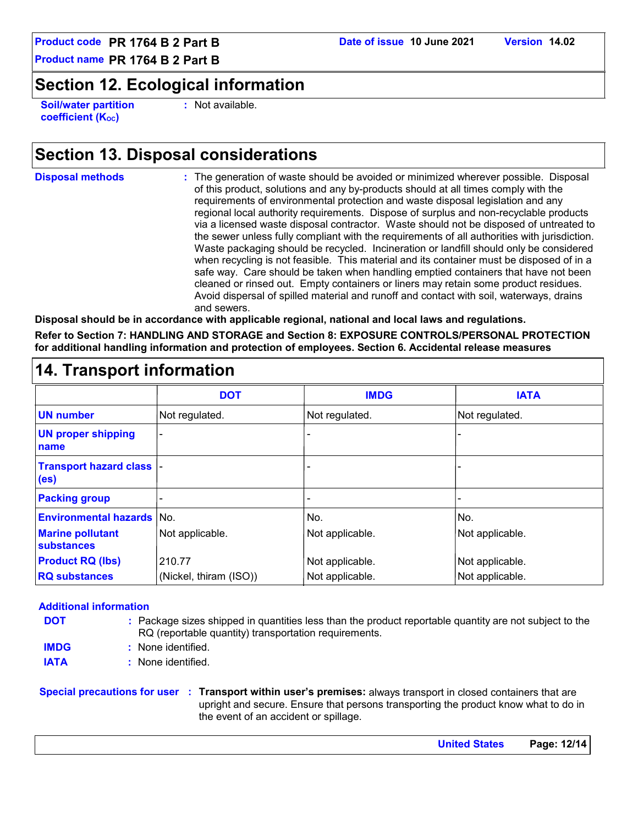### **Section 12. Ecological information**

**Soil/water partition coefficient (Koc)** 

**:** Not available.

### **Section 13. Disposal considerations**

**Disposal methods :**

The generation of waste should be avoided or minimized wherever possible. Disposal of this product, solutions and any by-products should at all times comply with the requirements of environmental protection and waste disposal legislation and any regional local authority requirements. Dispose of surplus and non-recyclable products via a licensed waste disposal contractor. Waste should not be disposed of untreated to the sewer unless fully compliant with the requirements of all authorities with jurisdiction. Waste packaging should be recycled. Incineration or landfill should only be considered when recycling is not feasible. This material and its container must be disposed of in a safe way. Care should be taken when handling emptied containers that have not been cleaned or rinsed out. Empty containers or liners may retain some product residues. Avoid dispersal of spilled material and runoff and contact with soil, waterways, drains and sewers.

**Disposal should be in accordance with applicable regional, national and local laws and regulations.**

**Refer to Section 7: HANDLING AND STORAGE and Section 8: EXPOSURE CONTROLS/PERSONAL PROTECTION for additional handling information and protection of employees. Section 6. Accidental release measures**

|                                                       | <b>DOT</b>             | <b>IMDG</b>              | <b>IATA</b>     |
|-------------------------------------------------------|------------------------|--------------------------|-----------------|
| <b>UN number</b>                                      | Not regulated.         | Not regulated.           | Not regulated.  |
| <b>UN proper shipping</b><br>name                     | ٠                      |                          |                 |
| <b>Transport hazard class  -</b><br>(e <sub>s</sub> ) |                        | ۰                        |                 |
| <b>Packing group</b>                                  |                        | $\overline{\phantom{0}}$ |                 |
| <b>Environmental hazards No.</b>                      |                        | No.                      | No.             |
| <b>Marine pollutant</b><br>substances                 | Not applicable.        | Not applicable.          | Not applicable. |
| <b>Product RQ (lbs)</b>                               | 210.77                 | Not applicable.          | Not applicable. |
| <b>RQ substances</b>                                  | (Nickel, thiram (ISO)) | Not applicable.          | Not applicable. |

### **14. Transport information**

#### **Additional information**

| <b>DOT</b>  | : Package sizes shipped in quantities less than the product reportable quantity are not subject to the<br>RQ (reportable quantity) transportation requirements. |
|-------------|-----------------------------------------------------------------------------------------------------------------------------------------------------------------|
| <b>IMDG</b> | : None identified.                                                                                                                                              |
| <b>IATA</b> | : None identified.                                                                                                                                              |

**Special precautions for user Transport within user's premises:** always transport in closed containers that are **:** upright and secure. Ensure that persons transporting the product know what to do in the event of an accident or spillage.

| Page: 12/14<br><b>United States</b> |  |
|-------------------------------------|--|
|-------------------------------------|--|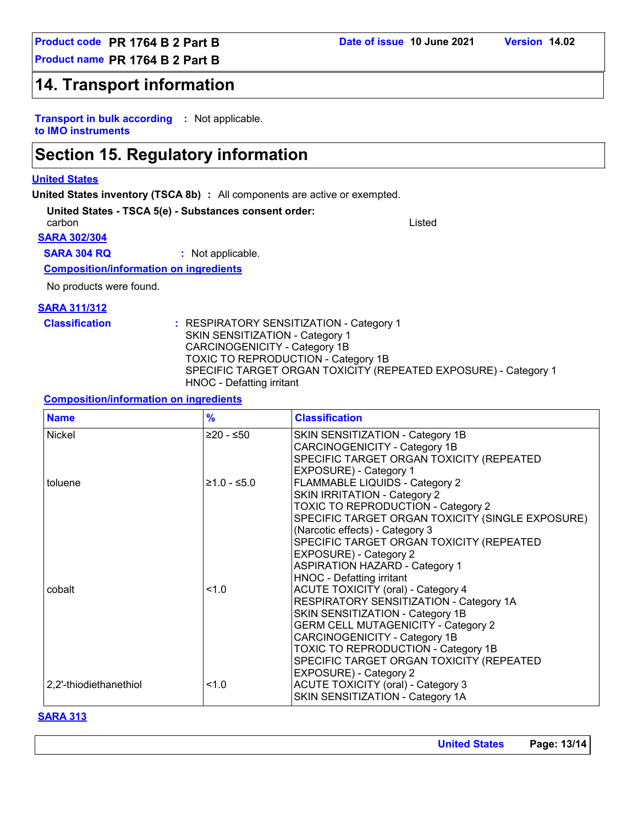### **14. Transport information**

**Transport in bulk according :** Not applicable. **to IMO instruments**

### **Section 15. Regulatory information**

#### **United States**

**United States inventory (TSCA 8b) :** All components are active or exempted.

**United States - TSCA 5(e) - Substances consent order:**

**SARA 302/304** carbon Listed

**SARA 304 RQ :** Not applicable.

#### **Composition/information on ingredients**

No products were found.

#### **SARA 311/312**

**Classification :** RESPIRATORY SENSITIZATION - Category 1 SKIN SENSITIZATION - Category 1 CARCINOGENICITY - Category 1B TOXIC TO REPRODUCTION - Category 1B SPECIFIC TARGET ORGAN TOXICITY (REPEATED EXPOSURE) - Category 1 HNOC - Defatting irritant

#### **Composition/information on ingredients**

| <b>Name</b>            | $\frac{9}{6}$ | <b>Classification</b>                                                                                                                                                                                                                                                                                                                             |
|------------------------|---------------|---------------------------------------------------------------------------------------------------------------------------------------------------------------------------------------------------------------------------------------------------------------------------------------------------------------------------------------------------|
| Nickel                 | $≥20 - ≤50$   | SKIN SENSITIZATION - Category 1B<br>CARCINOGENICITY - Category 1B<br>SPECIFIC TARGET ORGAN TOXICITY (REPEATED<br>EXPOSURE) - Category 1                                                                                                                                                                                                           |
| toluene                | $≥1.0 - ≤5.0$ | FLAMMABLE LIQUIDS - Category 2<br><b>SKIN IRRITATION - Category 2</b><br>TOXIC TO REPRODUCTION - Category 2<br>SPECIFIC TARGET ORGAN TOXICITY (SINGLE EXPOSURE)<br>(Narcotic effects) - Category 3<br>SPECIFIC TARGET ORGAN TOXICITY (REPEATED<br>EXPOSURE) - Category 2<br><b>ASPIRATION HAZARD - Category 1</b>                                 |
| cobalt                 | 1.0           | HNOC - Defatting irritant<br><b>ACUTE TOXICITY (oral) - Category 4</b><br>RESPIRATORY SENSITIZATION - Category 1A<br>SKIN SENSITIZATION - Category 1B<br><b>GERM CELL MUTAGENICITY - Category 2</b><br>CARCINOGENICITY - Category 1B<br>TOXIC TO REPRODUCTION - Category 1B<br>SPECIFIC TARGET ORGAN TOXICITY (REPEATED<br>EXPOSURE) - Category 2 |
| 2,2'-thiodiethanethiol | 1.0           | <b>ACUTE TOXICITY (oral) - Category 3</b><br>SKIN SENSITIZATION - Category 1A                                                                                                                                                                                                                                                                     |

#### **SARA 313**

**United States Page: 13/14**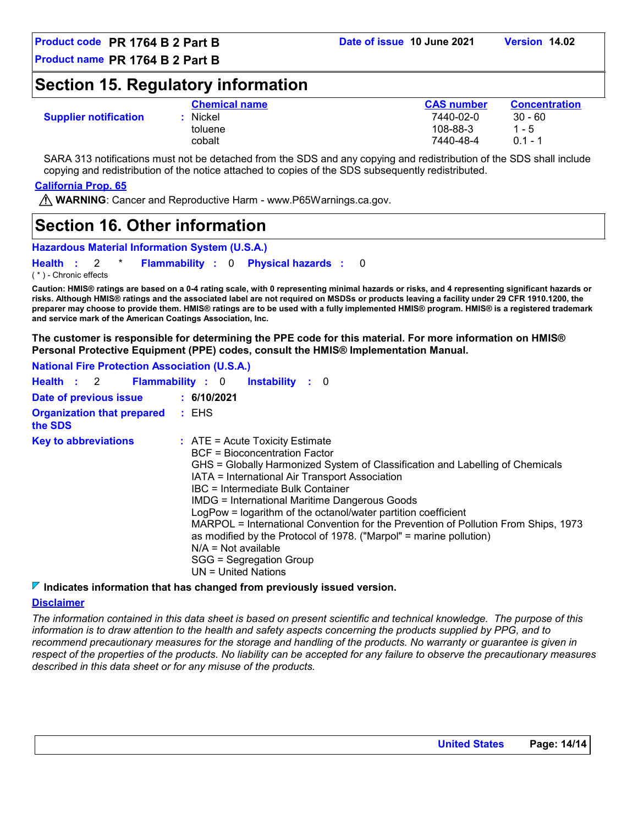### **Section 15. Regulatory information**

|                              | <b>Chemical name</b> | <b>CAS number</b> | <b>Concentration</b> |
|------------------------------|----------------------|-------------------|----------------------|
| <b>Supplier notification</b> | Nickel               | 7440-02-0         | $30 - 60$            |
|                              | toluene              | 108-88-3          | $1 - 5$              |
|                              | cobalt               | 7440-48-4         | $0.1 - 1$            |

SARA 313 notifications must not be detached from the SDS and any copying and redistribution of the SDS shall include copying and redistribution of the notice attached to copies of the SDS subsequently redistributed.

#### **California Prop. 65**

**WARNING**: Cancer and Reproductive Harm - www.P65Warnings.ca.gov.

### **Section 16. Other information**

```
Hazardous Material Information System (U.S.A.)
```
**Health** : 2 \* **Flammability** : 0 **Physical hazards** : 0 0

( \* ) - Chronic effects

**Caution: HMIS® ratings are based on a 0-4 rating scale, with 0 representing minimal hazards or risks, and 4 representing significant hazards or risks. Although HMIS® ratings and the associated label are not required on MSDSs or products leaving a facility under 29 CFR 1910.1200, the preparer may choose to provide them. HMIS® ratings are to be used with a fully implemented HMIS® program. HMIS® is a registered trademark and service mark of the American Coatings Association, Inc.**

**The customer is responsible for determining the PPE code for this material. For more information on HMIS® Personal Protective Equipment (PPE) codes, consult the HMIS® Implementation Manual.**

**National Fire Protection Association (U.S.A.)**

|                                              | Health : 2 Flammability : 0 Instability : 0                                                                                                                                                                                                                                                                                                                                                                                                                                                                                                                                                                           |
|----------------------------------------------|-----------------------------------------------------------------------------------------------------------------------------------------------------------------------------------------------------------------------------------------------------------------------------------------------------------------------------------------------------------------------------------------------------------------------------------------------------------------------------------------------------------------------------------------------------------------------------------------------------------------------|
| Date of previous issue                       | 6/10/2021                                                                                                                                                                                                                                                                                                                                                                                                                                                                                                                                                                                                             |
| <b>Organization that prepared</b><br>the SDS | : EHS                                                                                                                                                                                                                                                                                                                                                                                                                                                                                                                                                                                                                 |
| <b>Key to abbreviations</b>                  | $\therefore$ ATE = Acute Toxicity Estimate<br>BCF = Bioconcentration Factor<br>GHS = Globally Harmonized System of Classification and Labelling of Chemicals<br>IATA = International Air Transport Association<br>IBC = Intermediate Bulk Container<br><b>IMDG = International Maritime Dangerous Goods</b><br>LogPow = logarithm of the octanol/water partition coefficient<br>MARPOL = International Convention for the Prevention of Pollution From Ships, 1973<br>as modified by the Protocol of 1978. ("Marpol" = marine pollution)<br>$N/A = Not available$<br>SGG = Segregation Group<br>$UN = United Nations$ |

#### **Indicates information that has changed from previously issued version.**

#### **Disclaimer**

*The information contained in this data sheet is based on present scientific and technical knowledge. The purpose of this information is to draw attention to the health and safety aspects concerning the products supplied by PPG, and to*  recommend precautionary measures for the storage and handling of the products. No warranty or guarantee is given in *respect of the properties of the products. No liability can be accepted for any failure to observe the precautionary measures described in this data sheet or for any misuse of the products.*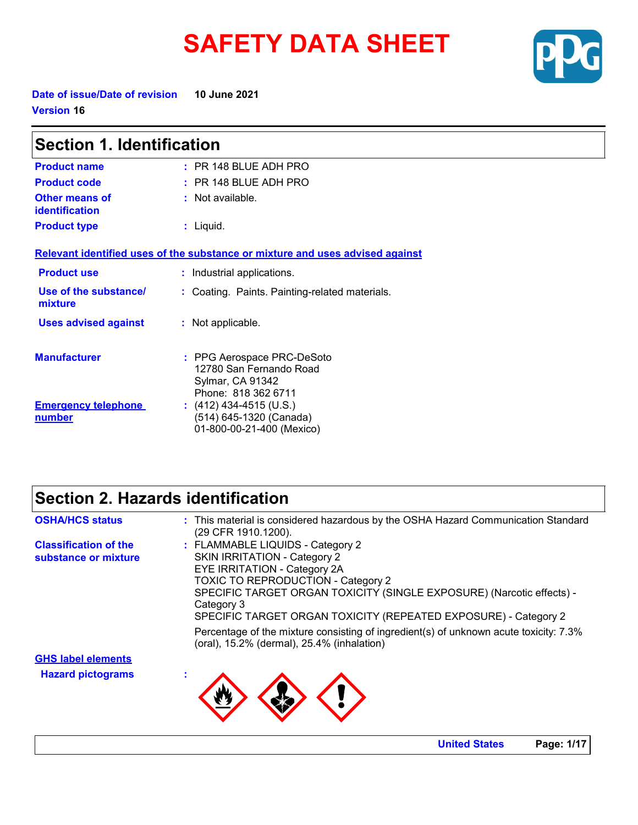# **SAFETY DATA SHEET**



**Date of issue/Date of revision 10 June 2021 Version 16**

| <b>Section 1. Identification</b>     |                                                                                                  |  |
|--------------------------------------|--------------------------------------------------------------------------------------------------|--|
| <b>Product name</b>                  | $:$ PR 148 BLUE ADH PRO                                                                          |  |
| <b>Product code</b>                  | $:$ PR 148 BLUE ADH PRO                                                                          |  |
| Other means of<br>identification     | $:$ Not available.                                                                               |  |
| <b>Product type</b>                  | : Liquid.                                                                                        |  |
|                                      | Relevant identified uses of the substance or mixture and uses advised against                    |  |
| <b>Product use</b>                   | : Industrial applications.                                                                       |  |
| Use of the substance/<br>mixture     | : Coating. Paints. Painting-related materials.                                                   |  |
| <b>Uses advised against</b>          | : Not applicable.                                                                                |  |
| <b>Manufacturer</b>                  | : PPG Aerospace PRC-DeSoto<br>12780 San Fernando Road<br>Sylmar, CA 91342<br>Phone: 818 362 6711 |  |
| <b>Emergency telephone</b><br>number | $(412)$ 434-4515 (U.S.)<br>(514) 645-1320 (Canada)<br>01-800-00-21-400 (Mexico)                  |  |

### **Section 2. Hazards identification**

| <b>OSHA/HCS status</b>       | : This material is considered hazardous by the OSHA Hazard Communication Standard<br>(29 CFR 1910.1200).                            |
|------------------------------|-------------------------------------------------------------------------------------------------------------------------------------|
| <b>Classification of the</b> | : FLAMMABLE LIQUIDS - Category 2                                                                                                    |
| substance or mixture         | <b>SKIN IRRITATION - Category 2</b>                                                                                                 |
|                              | EYE IRRITATION - Category 2A                                                                                                        |
|                              | <b>TOXIC TO REPRODUCTION - Category 2</b>                                                                                           |
|                              | SPECIFIC TARGET ORGAN TOXICITY (SINGLE EXPOSURE) (Narcotic effects) -<br>Category 3                                                 |
|                              | SPECIFIC TARGET ORGAN TOXICITY (REPEATED EXPOSURE) - Category 2                                                                     |
|                              | Percentage of the mixture consisting of ingredient(s) of unknown acute toxicity: 7.3%<br>(oral), 15.2% (dermal), 25.4% (inhalation) |
| <b>GHS label elements</b>    |                                                                                                                                     |
| <b>Hazard pictograms</b>     |                                                                                                                                     |
|                              |                                                                                                                                     |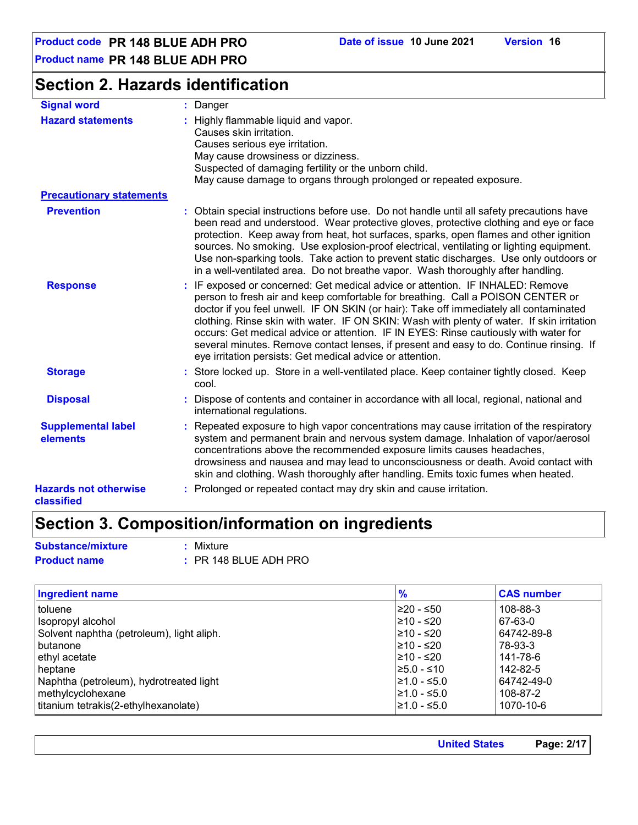**Product name PR 148 BLUE ADH PRO**

### **Section 2. Hazards identification**

| <b>Signal word</b>                         | : Danger                                                                                                                                                                                                                                                                                                                                                                                                                                                                                                                                                                                                  |
|--------------------------------------------|-----------------------------------------------------------------------------------------------------------------------------------------------------------------------------------------------------------------------------------------------------------------------------------------------------------------------------------------------------------------------------------------------------------------------------------------------------------------------------------------------------------------------------------------------------------------------------------------------------------|
| <b>Hazard statements</b>                   | : Highly flammable liquid and vapor.<br>Causes skin irritation.<br>Causes serious eye irritation.<br>May cause drowsiness or dizziness.<br>Suspected of damaging fertility or the unborn child.<br>May cause damage to organs through prolonged or repeated exposure.                                                                                                                                                                                                                                                                                                                                     |
| <b>Precautionary statements</b>            |                                                                                                                                                                                                                                                                                                                                                                                                                                                                                                                                                                                                           |
| <b>Prevention</b>                          | : Obtain special instructions before use. Do not handle until all safety precautions have<br>been read and understood. Wear protective gloves, protective clothing and eye or face<br>protection. Keep away from heat, hot surfaces, sparks, open flames and other ignition<br>sources. No smoking. Use explosion-proof electrical, ventilating or lighting equipment.<br>Use non-sparking tools. Take action to prevent static discharges. Use only outdoors or<br>in a well-ventilated area. Do not breathe vapor. Wash thoroughly after handling.                                                      |
| <b>Response</b>                            | : IF exposed or concerned: Get medical advice or attention. IF INHALED: Remove<br>person to fresh air and keep comfortable for breathing. Call a POISON CENTER or<br>doctor if you feel unwell. IF ON SKIN (or hair): Take off immediately all contaminated<br>clothing. Rinse skin with water. IF ON SKIN: Wash with plenty of water. If skin irritation<br>occurs: Get medical advice or attention. IF IN EYES: Rinse cautiously with water for<br>several minutes. Remove contact lenses, if present and easy to do. Continue rinsing. If<br>eye irritation persists: Get medical advice or attention. |
| <b>Storage</b>                             | : Store locked up. Store in a well-ventilated place. Keep container tightly closed. Keep<br>cool.                                                                                                                                                                                                                                                                                                                                                                                                                                                                                                         |
| <b>Disposal</b>                            | : Dispose of contents and container in accordance with all local, regional, national and<br>international regulations.                                                                                                                                                                                                                                                                                                                                                                                                                                                                                    |
| <b>Supplemental label</b><br>elements      | : Repeated exposure to high vapor concentrations may cause irritation of the respiratory<br>system and permanent brain and nervous system damage. Inhalation of vapor/aerosol<br>concentrations above the recommended exposure limits causes headaches,<br>drowsiness and nausea and may lead to unconsciousness or death. Avoid contact with<br>skin and clothing. Wash thoroughly after handling. Emits toxic fumes when heated.                                                                                                                                                                        |
| <b>Hazards not otherwise</b><br>classified | : Prolonged or repeated contact may dry skin and cause irritation.                                                                                                                                                                                                                                                                                                                                                                                                                                                                                                                                        |

### **Section 3. Composition/information on ingredients**

**Substance/mixture :** Mixture

**Product name :** PR 148 BLUE ADH PRO

| <b>Ingredient name</b>                    | $\frac{9}{6}$ | <b>CAS number</b> |
|-------------------------------------------|---------------|-------------------|
| toluene                                   | ≥20 - ≤50     | 108-88-3          |
| Isopropyl alcohol                         | l≥10 - ≤20    | 67-63-0           |
| Solvent naphtha (petroleum), light aliph. | 210 - ≤20     | 64742-89-8        |
| butanone                                  | 210 - ≤20     | 78-93-3           |
| ethyl acetate                             | l≥10 - ≤20    | 141-78-6          |
| heptane                                   | $≥5.0 - ≤10$  | 142-82-5          |
| Naphtha (petroleum), hydrotreated light   | $≥1.0 - ≤5.0$ | 64742-49-0        |
| methylcyclohexane                         | l≥1.0 - ≤5.0  | 108-87-2          |
| titanium tetrakis(2-ethylhexanolate)      | $≥1.0 - ≤5.0$ | 1070-10-6         |

| <b>United States</b> | Page: 2/17 |
|----------------------|------------|
|                      |            |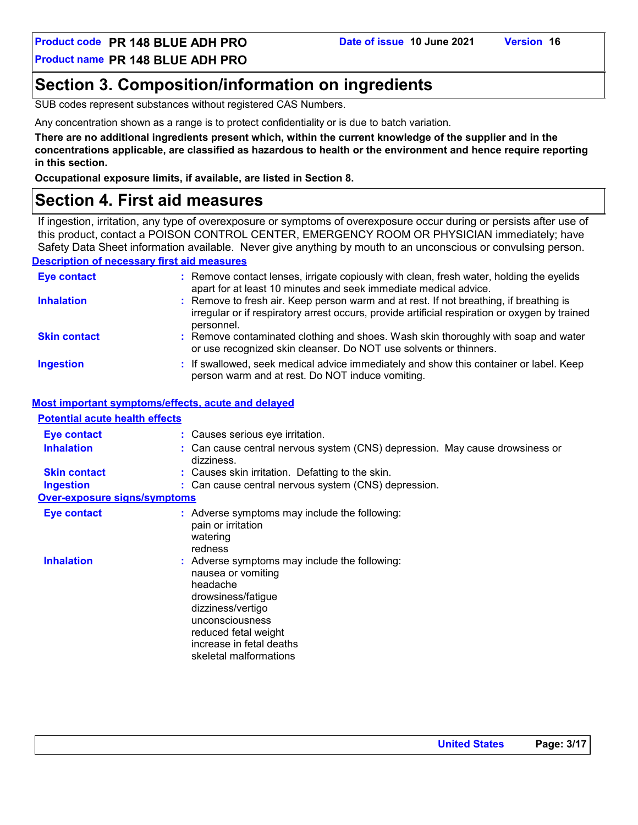**Product code PR 148 BLUE ADH PRO Date of issue 10 June 2021 Version 16**

**Product name PR 148 BLUE ADH PRO**

### **Section 3. Composition/information on ingredients**

SUB codes represent substances without registered CAS Numbers.

Any concentration shown as a range is to protect confidentiality or is due to batch variation.

**There are no additional ingredients present which, within the current knowledge of the supplier and in the concentrations applicable, are classified as hazardous to health or the environment and hence require reporting in this section.**

**Occupational exposure limits, if available, are listed in Section 8.**

### **Section 4. First aid measures**

If ingestion, irritation, any type of overexposure or symptoms of overexposure occur during or persists after use of this product, contact a POISON CONTROL CENTER, EMERGENCY ROOM OR PHYSICIAN immediately; have Safety Data Sheet information available. Never give anything by mouth to an unconscious or convulsing person.

#### **Description of necessary first aid measures**

| <b>Eye contact</b>  | : Remove contact lenses, irrigate copiously with clean, fresh water, holding the eyelids<br>apart for at least 10 minutes and seek immediate medical advice.                                           |
|---------------------|--------------------------------------------------------------------------------------------------------------------------------------------------------------------------------------------------------|
| <b>Inhalation</b>   | : Remove to fresh air. Keep person warm and at rest. If not breathing, if breathing is<br>irregular or if respiratory arrest occurs, provide artificial respiration or oxygen by trained<br>personnel. |
| <b>Skin contact</b> | : Remove contaminated clothing and shoes. Wash skin thoroughly with soap and water<br>or use recognized skin cleanser. Do NOT use solvents or thinners.                                                |
| <b>Ingestion</b>    | : If swallowed, seek medical advice immediately and show this container or label. Keep<br>person warm and at rest. Do NOT induce vomiting.                                                             |

#### **Most important symptoms/effects, acute and delayed**

| <b>Potential acute health effects</b> |                                                                                                                                                                                                                             |
|---------------------------------------|-----------------------------------------------------------------------------------------------------------------------------------------------------------------------------------------------------------------------------|
| <b>Eye contact</b>                    | : Causes serious eye irritation.                                                                                                                                                                                            |
| <b>Inhalation</b>                     | : Can cause central nervous system (CNS) depression. May cause drowsiness or<br>dizziness.                                                                                                                                  |
| <b>Skin contact</b>                   | : Causes skin irritation. Defatting to the skin.                                                                                                                                                                            |
| <b>Ingestion</b>                      | : Can cause central nervous system (CNS) depression.                                                                                                                                                                        |
| <b>Over-exposure signs/symptoms</b>   |                                                                                                                                                                                                                             |
| <b>Eye contact</b>                    | : Adverse symptoms may include the following:<br>pain or irritation<br>watering<br>redness                                                                                                                                  |
| <b>Inhalation</b>                     | : Adverse symptoms may include the following:<br>nausea or vomiting<br>headache<br>drowsiness/fatique<br>dizziness/vertigo<br>unconsciousness<br>reduced fetal weight<br>increase in fetal deaths<br>skeletal malformations |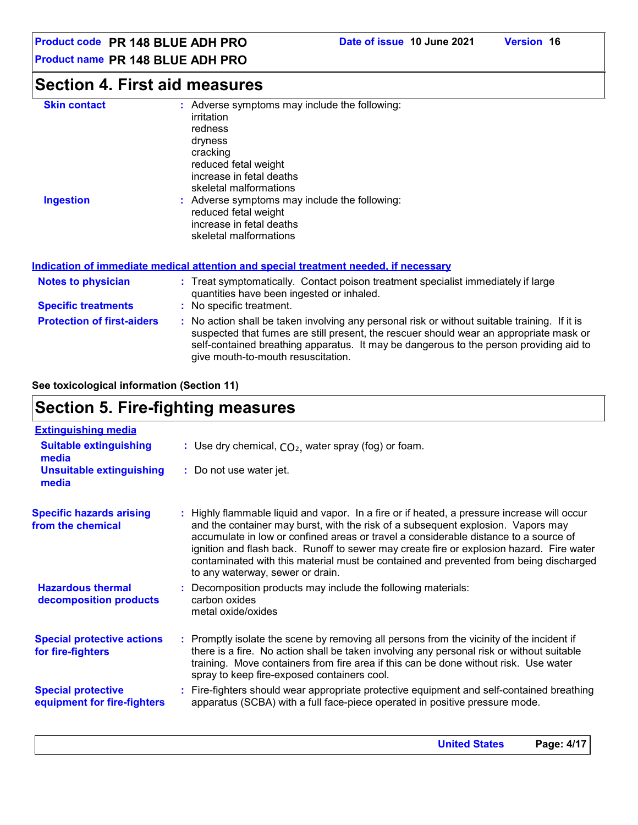### **Product name PR 148 BLUE ADH PRO**

### **Section 4. First aid measures**

| <b>Skin contact</b><br><b>Ingestion</b> | : Adverse symptoms may include the following:<br>irritation<br>redness<br>dryness<br>cracking<br>reduced fetal weight<br>increase in fetal deaths<br>skeletal malformations<br>: Adverse symptoms may include the following:<br>reduced fetal weight<br>increase in fetal deaths<br>skeletal malformations              |
|-----------------------------------------|-------------------------------------------------------------------------------------------------------------------------------------------------------------------------------------------------------------------------------------------------------------------------------------------------------------------------|
|                                         | Indication of immediate medical attention and special treatment needed, if necessary                                                                                                                                                                                                                                    |
| <b>Notes to physician</b>               | : Treat symptomatically. Contact poison treatment specialist immediately if large<br>quantities have been ingested or inhaled.                                                                                                                                                                                          |
| <b>Specific treatments</b>              | : No specific treatment.                                                                                                                                                                                                                                                                                                |
| <b>Protection of first-aiders</b>       | : No action shall be taken involving any personal risk or without suitable training. If it is<br>suspected that fumes are still present, the rescuer should wear an appropriate mask or<br>self-contained breathing apparatus. It may be dangerous to the person providing aid to<br>give mouth-to-mouth resuscitation. |

#### **See toxicological information (Section 11)**

### **Section 5. Fire-fighting measures**

| <b>Extinguishing media</b>                               |                                                                                                                                                                                                                                                                                                                                                                                                                                                                                                  |
|----------------------------------------------------------|--------------------------------------------------------------------------------------------------------------------------------------------------------------------------------------------------------------------------------------------------------------------------------------------------------------------------------------------------------------------------------------------------------------------------------------------------------------------------------------------------|
| <b>Suitable extinguishing</b><br>media                   | : Use dry chemical, $CO2$ , water spray (fog) or foam.                                                                                                                                                                                                                                                                                                                                                                                                                                           |
| <b>Unsuitable extinguishing</b><br>media                 | : Do not use water jet.                                                                                                                                                                                                                                                                                                                                                                                                                                                                          |
| <b>Specific hazards arising</b><br>from the chemical     | : Highly flammable liquid and vapor. In a fire or if heated, a pressure increase will occur<br>and the container may burst, with the risk of a subsequent explosion. Vapors may<br>accumulate in low or confined areas or travel a considerable distance to a source of<br>ignition and flash back. Runoff to sewer may create fire or explosion hazard. Fire water<br>contaminated with this material must be contained and prevented from being discharged<br>to any waterway, sewer or drain. |
| <b>Hazardous thermal</b><br>decomposition products       | : Decomposition products may include the following materials:<br>carbon oxides<br>metal oxide/oxides                                                                                                                                                                                                                                                                                                                                                                                             |
| <b>Special protective actions</b><br>for fire-fighters   | : Promptly isolate the scene by removing all persons from the vicinity of the incident if<br>there is a fire. No action shall be taken involving any personal risk or without suitable<br>training. Move containers from fire area if this can be done without risk. Use water<br>spray to keep fire-exposed containers cool.                                                                                                                                                                    |
| <b>Special protective</b><br>equipment for fire-fighters | : Fire-fighters should wear appropriate protective equipment and self-contained breathing<br>apparatus (SCBA) with a full face-piece operated in positive pressure mode.                                                                                                                                                                                                                                                                                                                         |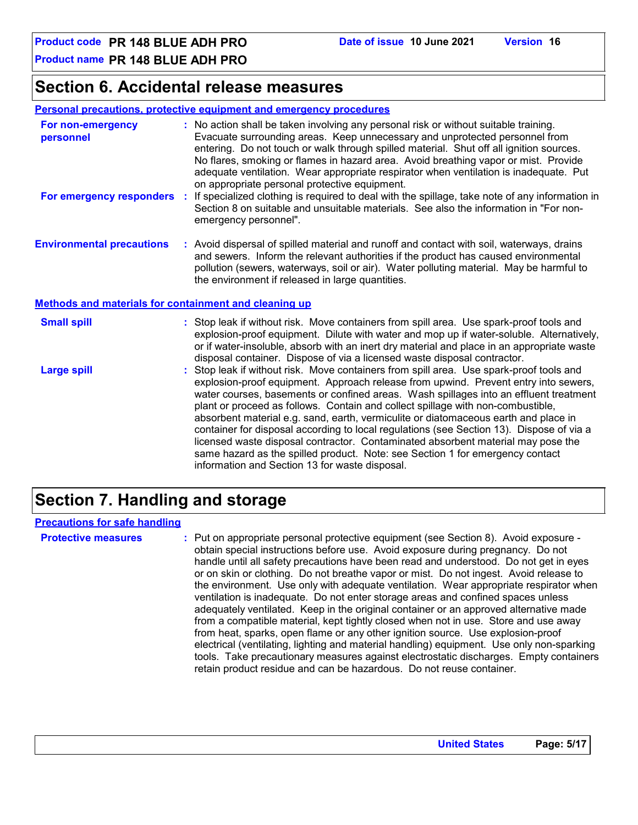**Product name PR 148 BLUE ADH PRO**

### **Section 6. Accidental release measures**

#### **Personal precautions, protective equipment and emergency procedures**

| For non-emergency<br>personnel                        | : No action shall be taken involving any personal risk or without suitable training.<br>Evacuate surrounding areas. Keep unnecessary and unprotected personnel from<br>entering. Do not touch or walk through spilled material. Shut off all ignition sources.<br>No flares, smoking or flames in hazard area. Avoid breathing vapor or mist. Provide<br>adequate ventilation. Wear appropriate respirator when ventilation is inadequate. Put<br>on appropriate personal protective equipment.                                                                                                                                                                                                                                                                      |  |  |  |
|-------------------------------------------------------|----------------------------------------------------------------------------------------------------------------------------------------------------------------------------------------------------------------------------------------------------------------------------------------------------------------------------------------------------------------------------------------------------------------------------------------------------------------------------------------------------------------------------------------------------------------------------------------------------------------------------------------------------------------------------------------------------------------------------------------------------------------------|--|--|--|
| For emergency responders :                            | If specialized clothing is required to deal with the spillage, take note of any information in<br>Section 8 on suitable and unsuitable materials. See also the information in "For non-<br>emergency personnel".                                                                                                                                                                                                                                                                                                                                                                                                                                                                                                                                                     |  |  |  |
| <b>Environmental precautions</b>                      | : Avoid dispersal of spilled material and runoff and contact with soil, waterways, drains<br>and sewers. Inform the relevant authorities if the product has caused environmental<br>pollution (sewers, waterways, soil or air). Water polluting material. May be harmful to<br>the environment if released in large quantities.                                                                                                                                                                                                                                                                                                                                                                                                                                      |  |  |  |
| Methods and materials for containment and cleaning up |                                                                                                                                                                                                                                                                                                                                                                                                                                                                                                                                                                                                                                                                                                                                                                      |  |  |  |
| <b>Small spill</b>                                    | : Stop leak if without risk. Move containers from spill area. Use spark-proof tools and<br>explosion-proof equipment. Dilute with water and mop up if water-soluble. Alternatively,<br>or if water-insoluble, absorb with an inert dry material and place in an appropriate waste<br>disposal container. Dispose of via a licensed waste disposal contractor.                                                                                                                                                                                                                                                                                                                                                                                                        |  |  |  |
| <b>Large spill</b>                                    | : Stop leak if without risk. Move containers from spill area. Use spark-proof tools and<br>explosion-proof equipment. Approach release from upwind. Prevent entry into sewers,<br>water courses, basements or confined areas. Wash spillages into an effluent treatment<br>plant or proceed as follows. Contain and collect spillage with non-combustible,<br>absorbent material e.g. sand, earth, vermiculite or diatomaceous earth and place in<br>container for disposal according to local regulations (see Section 13). Dispose of via a<br>licensed waste disposal contractor. Contaminated absorbent material may pose the<br>same hazard as the spilled product. Note: see Section 1 for emergency contact<br>information and Section 13 for waste disposal. |  |  |  |

### **Section 7. Handling and storage**

#### **Precautions for safe handling**

**Protective measures Theody of the entity of the entity protective equipment (see Section 8). Avoid exposure** obtain special instructions before use. Avoid exposure during pregnancy. Do not handle until all safety precautions have been read and understood. Do not get in eyes or on skin or clothing. Do not breathe vapor or mist. Do not ingest. Avoid release to the environment. Use only with adequate ventilation. Wear appropriate respirator when ventilation is inadequate. Do not enter storage areas and confined spaces unless adequately ventilated. Keep in the original container or an approved alternative made from a compatible material, kept tightly closed when not in use. Store and use away from heat, sparks, open flame or any other ignition source. Use explosion-proof electrical (ventilating, lighting and material handling) equipment. Use only non-sparking tools. Take precautionary measures against electrostatic discharges. Empty containers retain product residue and can be hazardous. Do not reuse container.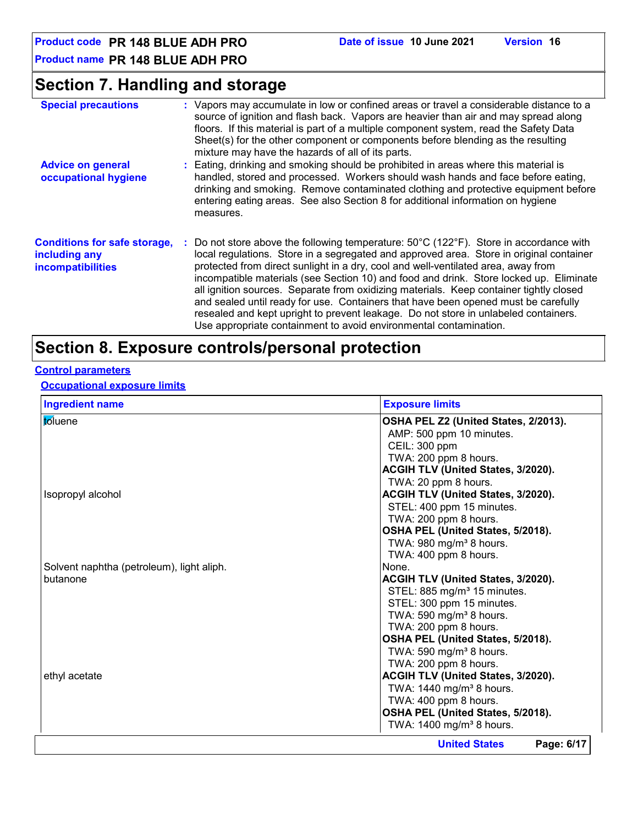**Product code PR 148 BLUE ADH PRO Date of issue 10 June 2021 Version 16**

**Product name PR 148 BLUE ADH PRO**

### **Section 7. Handling and storage**

| <b>Special precautions</b>                                                       | : Vapors may accumulate in low or confined areas or travel a considerable distance to a<br>source of ignition and flash back. Vapors are heavier than air and may spread along<br>floors. If this material is part of a multiple component system, read the Safety Data<br>Sheet(s) for the other component or components before blending as the resulting<br>mixture may have the hazards of all of its parts.                                                                                                                                                                                                                                                                                                                   |
|----------------------------------------------------------------------------------|-----------------------------------------------------------------------------------------------------------------------------------------------------------------------------------------------------------------------------------------------------------------------------------------------------------------------------------------------------------------------------------------------------------------------------------------------------------------------------------------------------------------------------------------------------------------------------------------------------------------------------------------------------------------------------------------------------------------------------------|
| <b>Advice on general</b><br>occupational hygiene                                 | : Eating, drinking and smoking should be prohibited in areas where this material is<br>handled, stored and processed. Workers should wash hands and face before eating,<br>drinking and smoking. Remove contaminated clothing and protective equipment before<br>entering eating areas. See also Section 8 for additional information on hygiene<br>measures.                                                                                                                                                                                                                                                                                                                                                                     |
| <b>Conditions for safe storage,</b><br>including any<br><b>incompatibilities</b> | : Do not store above the following temperature: $50^{\circ}$ C (122 $^{\circ}$ F). Store in accordance with<br>local regulations. Store in a segregated and approved area. Store in original container<br>protected from direct sunlight in a dry, cool and well-ventilated area, away from<br>incompatible materials (see Section 10) and food and drink. Store locked up. Eliminate<br>all ignition sources. Separate from oxidizing materials. Keep container tightly closed<br>and sealed until ready for use. Containers that have been opened must be carefully<br>resealed and kept upright to prevent leakage. Do not store in unlabeled containers.<br>Use appropriate containment to avoid environmental contamination. |

### **Section 8. Exposure controls/personal protection**

#### **Control parameters**

### **Occupational exposure limits**

| <b>Ingredient name</b>                    | <b>Exposure limits</b>                    |
|-------------------------------------------|-------------------------------------------|
| toluene                                   | OSHA PEL Z2 (United States, 2/2013).      |
|                                           | AMP: 500 ppm 10 minutes.                  |
|                                           | CEIL: 300 ppm                             |
|                                           | TWA: 200 ppm 8 hours.                     |
|                                           | ACGIH TLV (United States, 3/2020).        |
|                                           | TWA: 20 ppm 8 hours.                      |
| Isopropyl alcohol                         | ACGIH TLV (United States, 3/2020).        |
|                                           | STEL: 400 ppm 15 minutes.                 |
|                                           | TWA: 200 ppm 8 hours.                     |
|                                           | OSHA PEL (United States, 5/2018).         |
|                                           | TWA: 980 mg/m <sup>3</sup> 8 hours.       |
|                                           | TWA: 400 ppm 8 hours.                     |
| Solvent naphtha (petroleum), light aliph. | None.                                     |
| butanone                                  | <b>ACGIH TLV (United States, 3/2020).</b> |
|                                           | STEL: 885 mg/m <sup>3</sup> 15 minutes.   |
|                                           | STEL: 300 ppm 15 minutes.                 |
|                                           | TWA: 590 mg/m <sup>3</sup> 8 hours.       |
|                                           | TWA: 200 ppm 8 hours.                     |
|                                           | OSHA PEL (United States, 5/2018).         |
|                                           | TWA: 590 mg/m <sup>3</sup> 8 hours.       |
|                                           | TWA: 200 ppm 8 hours.                     |
| ethyl acetate                             | ACGIH TLV (United States, 3/2020).        |
|                                           | TWA: 1440 mg/m <sup>3</sup> 8 hours.      |
|                                           | TWA: 400 ppm 8 hours.                     |
|                                           | OSHA PEL (United States, 5/2018).         |
|                                           | TWA: 1400 mg/m <sup>3</sup> 8 hours.      |
|                                           | Page: 6/17<br><b>United States</b>        |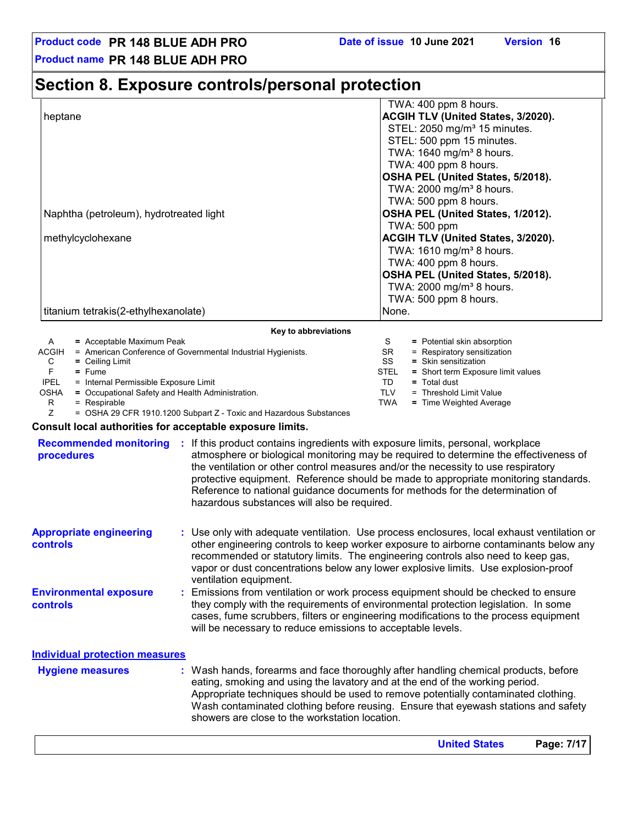**United States Page: 7/17**

**Product name PR 148 BLUE ADH PRO**

### **Section 8. Exposure controls/personal protection**

|                                         | TWA: 400 ppm 8 hours.                                                                                                                                                                                                                                                                                                                |
|-----------------------------------------|--------------------------------------------------------------------------------------------------------------------------------------------------------------------------------------------------------------------------------------------------------------------------------------------------------------------------------------|
| heptane                                 | <b>ACGIH TLV (United States, 3/2020).</b>                                                                                                                                                                                                                                                                                            |
|                                         | STEL: 2050 mg/m <sup>3</sup> 15 minutes.                                                                                                                                                                                                                                                                                             |
|                                         | STEL: 500 ppm 15 minutes.                                                                                                                                                                                                                                                                                                            |
|                                         | TWA: 1640 mg/m <sup>3</sup> 8 hours.                                                                                                                                                                                                                                                                                                 |
|                                         | TWA: 400 ppm 8 hours.                                                                                                                                                                                                                                                                                                                |
|                                         | OSHA PEL (United States, 5/2018).                                                                                                                                                                                                                                                                                                    |
|                                         | TWA: 2000 mg/m <sup>3</sup> 8 hours.                                                                                                                                                                                                                                                                                                 |
|                                         | TWA: 500 ppm 8 hours.                                                                                                                                                                                                                                                                                                                |
| Naphtha (petroleum), hydrotreated light | OSHA PEL (United States, 1/2012).                                                                                                                                                                                                                                                                                                    |
|                                         | TWA: 500 ppm                                                                                                                                                                                                                                                                                                                         |
| methylcyclohexane                       | <b>ACGIH TLV (United States, 3/2020).</b>                                                                                                                                                                                                                                                                                            |
|                                         | TWA: $1610$ mg/m <sup>3</sup> 8 hours.                                                                                                                                                                                                                                                                                               |
|                                         | TWA: 400 ppm 8 hours.                                                                                                                                                                                                                                                                                                                |
|                                         | OSHA PEL (United States, 5/2018).                                                                                                                                                                                                                                                                                                    |
|                                         | TWA: 2000 mg/m <sup>3</sup> 8 hours.                                                                                                                                                                                                                                                                                                 |
|                                         | TWA: 500 ppm 8 hours.                                                                                                                                                                                                                                                                                                                |
| titanium tetrakis(2-ethylhexanolate)    | None.                                                                                                                                                                                                                                                                                                                                |
|                                         | Key to abbreviations                                                                                                                                                                                                                                                                                                                 |
|                                         | $\Omega = \Gamma$ and $\Gamma$ and $\Gamma$ and $\Gamma$ and $\Gamma$ and $\Gamma$ and $\Gamma$ and $\Gamma$ and $\Gamma$ and $\Gamma$ and $\Gamma$ and $\Gamma$ and $\Gamma$ and $\Gamma$ and $\Gamma$ and $\Gamma$ and $\Gamma$ and $\Gamma$ and $\Gamma$ and $\Gamma$ and $\Gamma$ and $\Gamma$ and $\Gamma$ and $\Gamma$ and $\$ |

|             | $=$ Acceptable Maximum Peak                                  |             | = Potential skin absorption        |
|-------------|--------------------------------------------------------------|-------------|------------------------------------|
| ACGIH       | = American Conference of Governmental Industrial Hygienists. | <b>SR</b>   | $=$ Respiratory sensitization      |
| С           | $=$ Ceiling Limit                                            | SS          | $=$ Skin sensitization             |
|             | $=$ Fume                                                     | <b>STEL</b> | = Short term Exposure limit values |
| <b>IPEL</b> | = Internal Permissible Exposure Limit                        | TD          | $=$ Total dust                     |
| OSHA        | = Occupational Safety and Health Administration.             | TLV         | = Threshold Limit Value            |
|             | $=$ Respirable                                               | TWA         | = Time Weighted Average            |
|             |                                                              |             |                                    |

Z = OSHA 29 CFR 1910.1200 Subpart Z - Toxic and Hazardous Substances

#### **Consult local authorities for acceptable exposure limits.**

| <b>Recommended monitoring</b><br>procedures       | ÷. | If this product contains ingredients with exposure limits, personal, workplace<br>atmosphere or biological monitoring may be required to determine the effectiveness of<br>the ventilation or other control measures and/or the necessity to use respiratory<br>protective equipment. Reference should be made to appropriate monitoring standards.<br>Reference to national guidance documents for methods for the determination of<br>hazardous substances will also be required. |  |  |  |
|---------------------------------------------------|----|-------------------------------------------------------------------------------------------------------------------------------------------------------------------------------------------------------------------------------------------------------------------------------------------------------------------------------------------------------------------------------------------------------------------------------------------------------------------------------------|--|--|--|
| <b>Appropriate engineering</b><br><b>controls</b> |    | : Use only with adequate ventilation. Use process enclosures, local exhaust ventilation or<br>other engineering controls to keep worker exposure to airborne contaminants below any<br>recommended or statutory limits. The engineering controls also need to keep gas,<br>vapor or dust concentrations below any lower explosive limits. Use explosion-proof<br>ventilation equipment.                                                                                             |  |  |  |
| <b>Environmental exposure</b><br>controls         |    | : Emissions from ventilation or work process equipment should be checked to ensure<br>they comply with the requirements of environmental protection legislation. In some<br>cases, fume scrubbers, filters or engineering modifications to the process equipment<br>will be necessary to reduce emissions to acceptable levels.                                                                                                                                                     |  |  |  |
| <b>Individual protection measures</b>             |    |                                                                                                                                                                                                                                                                                                                                                                                                                                                                                     |  |  |  |
| <b>Hygiene measures</b>                           |    | : Wash hands, forearms and face thoroughly after handling chemical products, before<br>eating, smoking and using the lavatory and at the end of the working period.<br>Appropriate techniques should be used to remove potentially contaminated clothing.<br>Wash contaminated clothing before reusing. Ensure that eyewash stations and safety<br>showers are close to the workstation location.                                                                                   |  |  |  |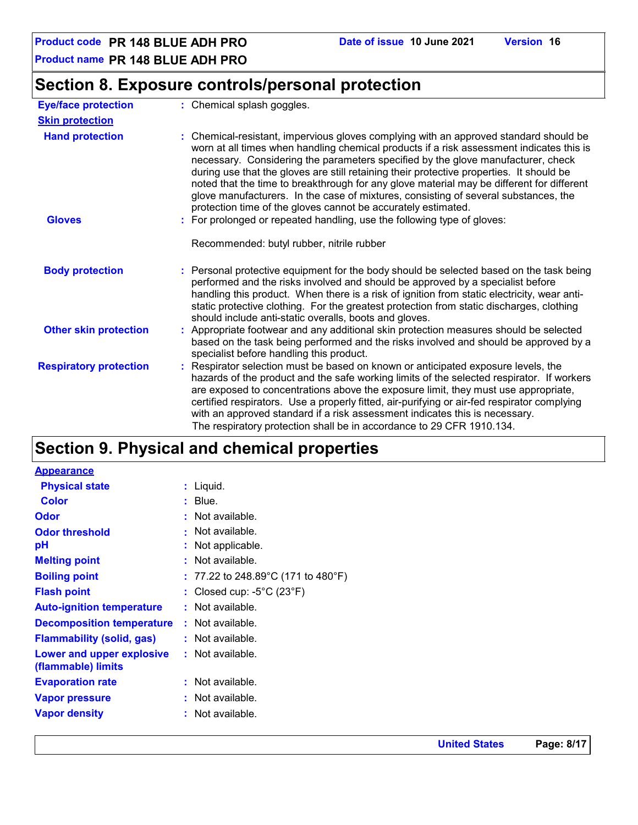**Product name PR 148 BLUE ADH PRO**

### **Section 8. Exposure controls/personal protection**

| <b>Eye/face protection</b>    | : Chemical splash goggles.                                                                                                                                                                                                                                                                                                                                                                                                                                                                                                                                                                                             |
|-------------------------------|------------------------------------------------------------------------------------------------------------------------------------------------------------------------------------------------------------------------------------------------------------------------------------------------------------------------------------------------------------------------------------------------------------------------------------------------------------------------------------------------------------------------------------------------------------------------------------------------------------------------|
| <b>Skin protection</b>        |                                                                                                                                                                                                                                                                                                                                                                                                                                                                                                                                                                                                                        |
| <b>Hand protection</b>        | : Chemical-resistant, impervious gloves complying with an approved standard should be<br>worn at all times when handling chemical products if a risk assessment indicates this is<br>necessary. Considering the parameters specified by the glove manufacturer, check<br>during use that the gloves are still retaining their protective properties. It should be<br>noted that the time to breakthrough for any glove material may be different for different<br>glove manufacturers. In the case of mixtures, consisting of several substances, the<br>protection time of the gloves cannot be accurately estimated. |
| <b>Gloves</b>                 | : For prolonged or repeated handling, use the following type of gloves:                                                                                                                                                                                                                                                                                                                                                                                                                                                                                                                                                |
|                               | Recommended: butyl rubber, nitrile rubber                                                                                                                                                                                                                                                                                                                                                                                                                                                                                                                                                                              |
| <b>Body protection</b>        | : Personal protective equipment for the body should be selected based on the task being<br>performed and the risks involved and should be approved by a specialist before<br>handling this product. When there is a risk of ignition from static electricity, wear anti-<br>static protective clothing. For the greatest protection from static discharges, clothing<br>should include anti-static overalls, boots and gloves.                                                                                                                                                                                         |
| <b>Other skin protection</b>  | : Appropriate footwear and any additional skin protection measures should be selected<br>based on the task being performed and the risks involved and should be approved by a<br>specialist before handling this product.                                                                                                                                                                                                                                                                                                                                                                                              |
| <b>Respiratory protection</b> | : Respirator selection must be based on known or anticipated exposure levels, the<br>hazards of the product and the safe working limits of the selected respirator. If workers<br>are exposed to concentrations above the exposure limit, they must use appropriate,<br>certified respirators. Use a properly fitted, air-purifying or air-fed respirator complying<br>with an approved standard if a risk assessment indicates this is necessary.<br>The respiratory protection shall be in accordance to 29 CFR 1910.134.                                                                                            |

## **Section 9. Physical and chemical properties**

| <b>Appearance</b>                               |                                                |  |
|-------------------------------------------------|------------------------------------------------|--|
| <b>Physical state</b>                           | $:$ Liquid.                                    |  |
| <b>Color</b>                                    | $:$ Blue.                                      |  |
| <b>Odor</b>                                     | : Not available.                               |  |
| <b>Odor threshold</b>                           | : Not available.                               |  |
| pH                                              | : Not applicable.                              |  |
| <b>Melting point</b>                            | : Not available.                               |  |
| <b>Boiling point</b>                            | : 77.22 to 248.89°C (171 to 480°F)             |  |
| <b>Flash point</b>                              | : Closed cup: $-5^{\circ}$ C (23 $^{\circ}$ F) |  |
| <b>Auto-ignition temperature</b>                | : Not available.                               |  |
| <b>Decomposition temperature</b>                | : Not available.                               |  |
| <b>Flammability (solid, gas)</b>                | : Not available.                               |  |
| Lower and upper explosive<br>(flammable) limits | : Not available.                               |  |
| <b>Evaporation rate</b>                         | : Not available.                               |  |
| <b>Vapor pressure</b>                           | : Not available.                               |  |
| <b>Vapor density</b>                            | : Not available.                               |  |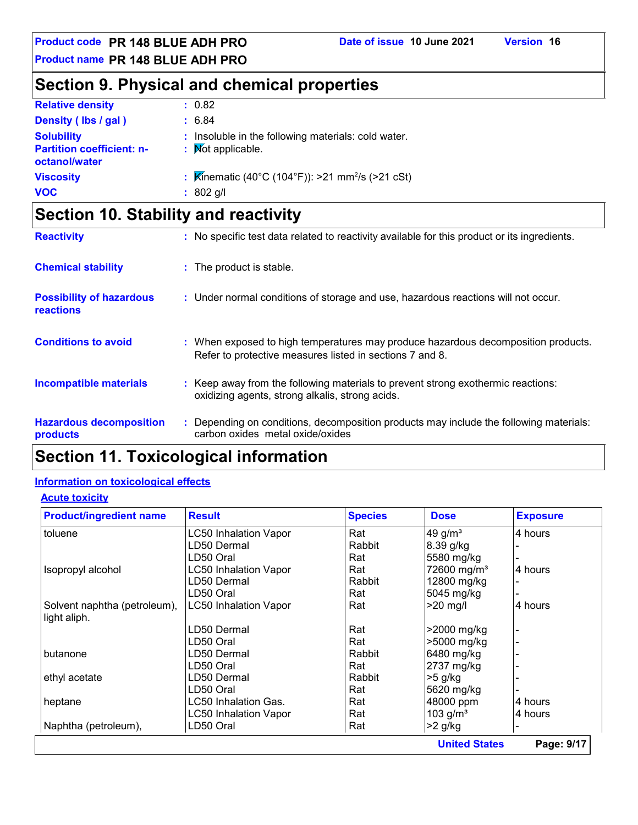**Product name PR 148 BLUE ADH PRO**

### **Section 9. Physical and chemical properties**

| <b>Relative density</b>                                                | : 0.82                                                                              |
|------------------------------------------------------------------------|-------------------------------------------------------------------------------------|
| Density (lbs / gal)                                                    | : 6.84                                                                              |
| <b>Solubility</b><br><b>Partition coefficient: n-</b><br>octanol/water | : Insoluble in the following materials: cold water.<br>: Mot applicable.            |
| <b>Viscosity</b>                                                       | : $\overline{\mathsf{Kin}}$ ematic (40°C (104°F)): >21 mm <sup>2</sup> /s (>21 cSt) |
| <b>VOC</b>                                                             | $: 802$ g/l                                                                         |

### **Section 10. Stability and reactivity**

| <b>Reactivity</b>                            | : No specific test data related to reactivity available for this product or its ingredients.                                                  |
|----------------------------------------------|-----------------------------------------------------------------------------------------------------------------------------------------------|
| <b>Chemical stability</b>                    | : The product is stable.                                                                                                                      |
| <b>Possibility of hazardous</b><br>reactions | : Under normal conditions of storage and use, hazardous reactions will not occur.                                                             |
| <b>Conditions to avoid</b>                   | : When exposed to high temperatures may produce hazardous decomposition products.<br>Refer to protective measures listed in sections 7 and 8. |
| <b>Incompatible materials</b>                | : Keep away from the following materials to prevent strong exothermic reactions:<br>oxidizing agents, strong alkalis, strong acids.           |
| <b>Hazardous decomposition</b><br>products   | : Depending on conditions, decomposition products may include the following materials:<br>carbon oxides metal oxide/oxides                    |

### **Section 11. Toxicological information**

#### **Information on toxicological effects**

#### **Acute toxicity**

| <b>Product/ingredient name</b>               | <b>Result</b>                | <b>Species</b> | <b>Dose</b>             | <b>Exposure</b> |
|----------------------------------------------|------------------------------|----------------|-------------------------|-----------------|
| toluene                                      | <b>LC50 Inhalation Vapor</b> | Rat            | 49 g/ $m3$              | 4 hours         |
|                                              | LD50 Dermal                  | Rabbit         | 8.39 g/kg               |                 |
|                                              | LD50 Oral                    | Rat            | 5580 mg/kg              |                 |
| Isopropyl alcohol                            | LC50 Inhalation Vapor        | Rat            | 72600 mg/m <sup>3</sup> | 4 hours         |
|                                              | LD50 Dermal                  | Rabbit         | 12800 mg/kg             |                 |
|                                              | LD50 Oral                    | Rat            | 5045 mg/kg              |                 |
| Solvent naphtha (petroleum),<br>light aliph. | <b>LC50 Inhalation Vapor</b> | Rat            | $>20$ mg/l              | 4 hours         |
|                                              | LD50 Dermal                  | Rat            | >2000 mg/kg             |                 |
|                                              | LD50 Oral                    | Rat            | >5000 mg/kg             |                 |
| butanone                                     | LD50 Dermal                  | Rabbit         | 6480 mg/kg              |                 |
|                                              | LD50 Oral                    | Rat            | 2737 mg/kg              |                 |
| ethyl acetate                                | LD50 Dermal                  | Rabbit         | $>5$ g/kg               |                 |
|                                              | LD50 Oral                    | Rat            | 5620 mg/kg              |                 |
| heptane                                      | LC50 Inhalation Gas.         | Rat            | 48000 ppm               | 4 hours         |
|                                              | LC50 Inhalation Vapor        | Rat            | 103 $g/m3$              | 4 hours         |
| Naphtha (petroleum),                         | LD50 Oral                    | Rat            | $>2$ g/kg               |                 |
|                                              |                              |                | <b>United States</b>    | Page: 9/17      |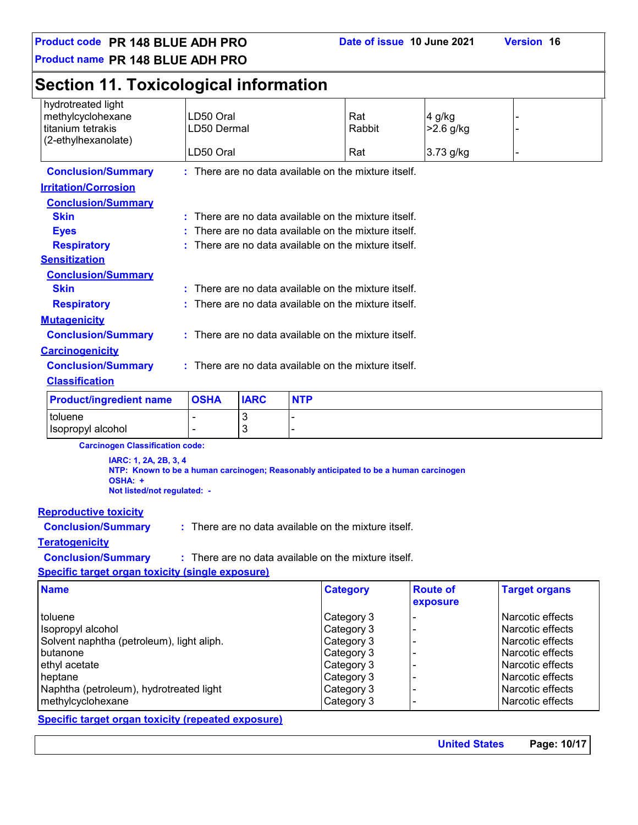**Product code PR 148 BLUE ADH PRO Date of issue 10 June 2021 Version 16**

**Product name PR 148 BLUE ADH PRO**

### **Section 11. Toxicological information**

| hydrotreated light                       |                                                        |             |            |                                                        |             |  |  |
|------------------------------------------|--------------------------------------------------------|-------------|------------|--------------------------------------------------------|-------------|--|--|
| methylcyclohexane                        | LD50 Oral                                              |             |            | Rat                                                    | 4 g/kg      |  |  |
| titanium tetrakis<br>(2-ethylhexanolate) | LD50 Dermal                                            |             |            | Rabbit                                                 | $>2.6$ g/kg |  |  |
|                                          | LD50 Oral                                              |             |            | Rat                                                    | 3.73 g/kg   |  |  |
| <b>Conclusion/Summary</b>                |                                                        |             |            | : There are no data available on the mixture itself.   |             |  |  |
| <b>Irritation/Corrosion</b>              |                                                        |             |            |                                                        |             |  |  |
| <b>Conclusion/Summary</b>                |                                                        |             |            |                                                        |             |  |  |
| <b>Skin</b>                              | ÷.                                                     |             |            | There are no data available on the mixture itself.     |             |  |  |
| <b>Eyes</b>                              |                                                        |             |            | There are no data available on the mixture itself.     |             |  |  |
| <b>Respiratory</b>                       |                                                        |             |            | There are no data available on the mixture itself.     |             |  |  |
| <b>Sensitization</b>                     |                                                        |             |            |                                                        |             |  |  |
| <b>Conclusion/Summary</b>                |                                                        |             |            |                                                        |             |  |  |
| <b>Skin</b>                              |                                                        |             |            | $:$ There are no data available on the mixture itself. |             |  |  |
| <b>Respiratory</b>                       |                                                        |             |            | $:$ There are no data available on the mixture itself. |             |  |  |
| <b>Mutagenicity</b>                      |                                                        |             |            |                                                        |             |  |  |
| <b>Conclusion/Summary</b>                | : There are no data available on the mixture itself.   |             |            |                                                        |             |  |  |
| <b>Carcinogenicity</b>                   |                                                        |             |            |                                                        |             |  |  |
| <b>Conclusion/Summary</b>                | $:$ There are no data available on the mixture itself. |             |            |                                                        |             |  |  |
| <b>Classification</b>                    |                                                        |             |            |                                                        |             |  |  |
| <b>Product/ingredient name</b>           | <b>OSHA</b>                                            | <b>IARC</b> | <b>NTP</b> |                                                        |             |  |  |
| toluene                                  |                                                        | 3           |            |                                                        |             |  |  |

**Carcinogen Classification code:**

 $\vert$  -  $\vert$  -  $\vert$  3

**IARC: 1, 2A, 2B, 3, 4 NTP: Known to be a human carcinogen; Reasonably anticipated to be a human carcinogen OSHA: + Not listed/not regulated: -**

#### **Reproductive toxicity**

**Conclusion/Summary :**

**Conclusion/Summary :**

: There are no data available on the mixture itself.

#### **Teratogenicity**

There are no data available on the mixture itself.

**Specific target organ toxicity (single exposure)**

| <b>Name</b>                               | <b>Category</b> | <b>Route of</b><br>exposure | <b>Target organs</b> |
|-------------------------------------------|-----------------|-----------------------------|----------------------|
| toluene                                   | Category 3      |                             | Narcotic effects     |
| Isopropyl alcohol                         | Category 3      |                             | Narcotic effects     |
| Solvent naphtha (petroleum), light aliph. | Category 3      |                             | Narcotic effects     |
| butanone                                  | Category 3      |                             | Narcotic effects     |
| ethyl acetate                             | Category 3      |                             | Narcotic effects     |
| heptane                                   | Category 3      |                             | Narcotic effects     |
| Naphtha (petroleum), hydrotreated light   | Category 3      |                             | Narcotic effects     |
| methylcyclohexane                         | Category 3      |                             | Narcotic effects     |

#### **Specific target organ toxicity (repeated exposure)**

**United States Page: 10/17**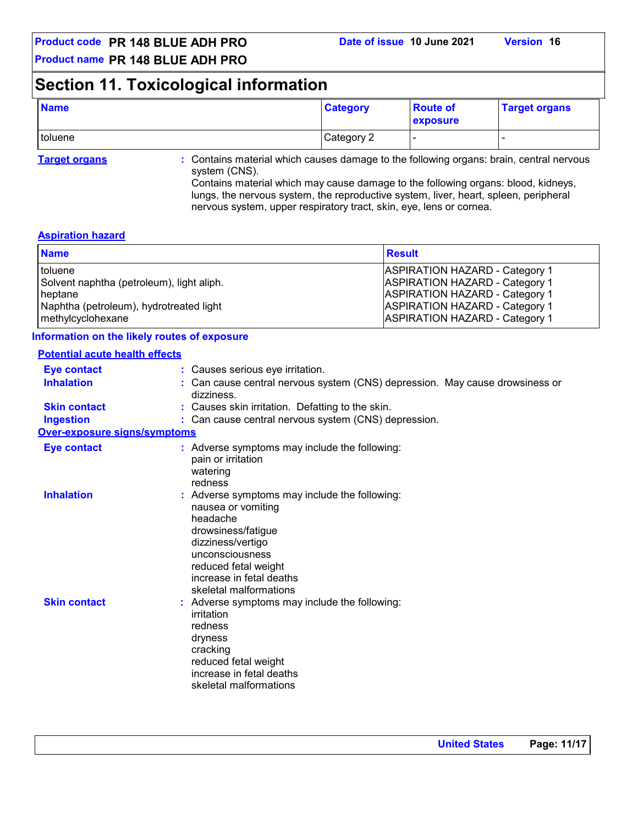**Product name PR 148 BLUE ADH PRO**

### **Section 11. Toxicological information**

| <b>Name</b> | <b>Category</b> | <b>Route of</b><br>exposure | <b>Target organs</b> |
|-------------|-----------------|-----------------------------|----------------------|
| toluene     | Category 2      |                             |                      |

**Target organs :** Contains material which causes damage to the following organs: brain, central nervous system (CNS).

Contains material which may cause damage to the following organs: blood, kidneys, lungs, the nervous system, the reproductive system, liver, heart, spleen, peripheral nervous system, upper respiratory tract, skin, eye, lens or cornea.

#### **Aspiration hazard**

| <b>Name</b>                               | <b>Result</b>                         |
|-------------------------------------------|---------------------------------------|
| toluene                                   | <b>ASPIRATION HAZARD - Category 1</b> |
| Solvent naphtha (petroleum), light aliph. | <b>ASPIRATION HAZARD - Category 1</b> |
| heptane                                   | <b>ASPIRATION HAZARD - Category 1</b> |
| Naphtha (petroleum), hydrotreated light   | <b>ASPIRATION HAZARD - Category 1</b> |
| methylcyclohexane                         | <b>ASPIRATION HAZARD - Category 1</b> |

#### **Information on the likely routes of exposure**

| <b>Potential acute health effects</b> |                                                                                                                                                                                                                             |
|---------------------------------------|-----------------------------------------------------------------------------------------------------------------------------------------------------------------------------------------------------------------------------|
| <b>Eye contact</b>                    | : Causes serious eye irritation.                                                                                                                                                                                            |
| <b>Inhalation</b>                     | : Can cause central nervous system (CNS) depression. May cause drowsiness or<br>dizziness.                                                                                                                                  |
| <b>Skin contact</b>                   | : Causes skin irritation. Defatting to the skin.                                                                                                                                                                            |
| <b>Ingestion</b>                      | : Can cause central nervous system (CNS) depression.                                                                                                                                                                        |
| <b>Over-exposure signs/symptoms</b>   |                                                                                                                                                                                                                             |
| <b>Eye contact</b>                    | : Adverse symptoms may include the following:<br>pain or irritation<br>watering<br>redness                                                                                                                                  |
| <b>Inhalation</b>                     | : Adverse symptoms may include the following:<br>nausea or vomiting<br>headache<br>drowsiness/fatigue<br>dizziness/vertigo<br>unconsciousness<br>reduced fetal weight<br>increase in fetal deaths<br>skeletal malformations |
| <b>Skin contact</b>                   | : Adverse symptoms may include the following:<br>irritation<br>redness<br>dryness<br>cracking<br>reduced fetal weight<br>increase in fetal deaths<br>skeletal malformations                                                 |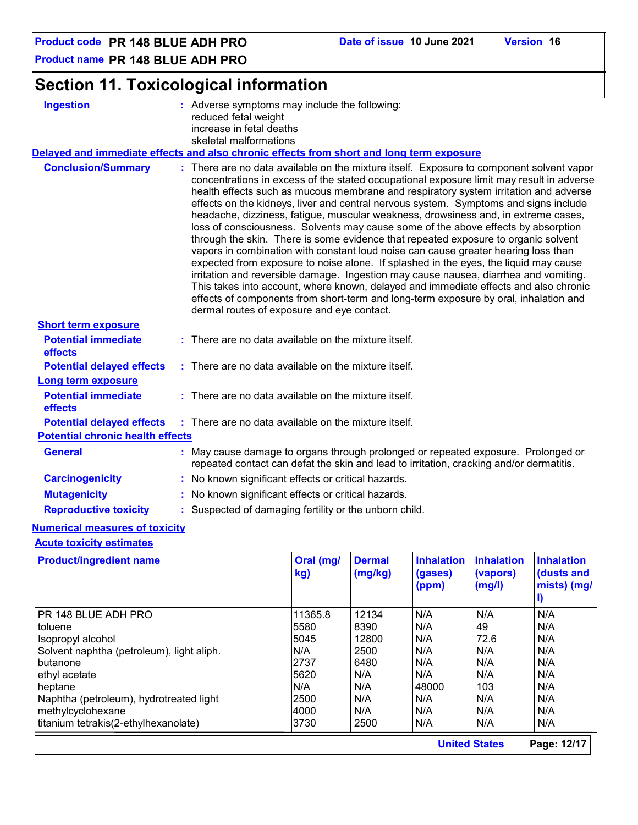**Product name PR 148 BLUE ADH PRO**

| Section 11. Toxicological information |
|---------------------------------------|
|---------------------------------------|

| <b>Ingestion</b>                        | : Adverse symptoms may include the following:<br>reduced fetal weight<br>increase in fetal deaths                                                                                                                                                                                                                                                                                                                                                                                                                                                                                                                                                                                                                                                                                                                                                                                                                                                                                                                                                                                                                                         |
|-----------------------------------------|-------------------------------------------------------------------------------------------------------------------------------------------------------------------------------------------------------------------------------------------------------------------------------------------------------------------------------------------------------------------------------------------------------------------------------------------------------------------------------------------------------------------------------------------------------------------------------------------------------------------------------------------------------------------------------------------------------------------------------------------------------------------------------------------------------------------------------------------------------------------------------------------------------------------------------------------------------------------------------------------------------------------------------------------------------------------------------------------------------------------------------------------|
|                                         | skeletal malformations                                                                                                                                                                                                                                                                                                                                                                                                                                                                                                                                                                                                                                                                                                                                                                                                                                                                                                                                                                                                                                                                                                                    |
|                                         | Delayed and immediate effects and also chronic effects from short and long term exposure                                                                                                                                                                                                                                                                                                                                                                                                                                                                                                                                                                                                                                                                                                                                                                                                                                                                                                                                                                                                                                                  |
| <b>Conclusion/Summary</b>               | : There are no data available on the mixture itself. Exposure to component solvent vapor<br>concentrations in excess of the stated occupational exposure limit may result in adverse<br>health effects such as mucous membrane and respiratory system irritation and adverse<br>effects on the kidneys, liver and central nervous system. Symptoms and signs include<br>headache, dizziness, fatigue, muscular weakness, drowsiness and, in extreme cases,<br>loss of consciousness. Solvents may cause some of the above effects by absorption<br>through the skin. There is some evidence that repeated exposure to organic solvent<br>vapors in combination with constant loud noise can cause greater hearing loss than<br>expected from exposure to noise alone. If splashed in the eyes, the liquid may cause<br>irritation and reversible damage. Ingestion may cause nausea, diarrhea and vomiting.<br>This takes into account, where known, delayed and immediate effects and also chronic<br>effects of components from short-term and long-term exposure by oral, inhalation and<br>dermal routes of exposure and eye contact. |
| <b>Short term exposure</b>              |                                                                                                                                                                                                                                                                                                                                                                                                                                                                                                                                                                                                                                                                                                                                                                                                                                                                                                                                                                                                                                                                                                                                           |
| <b>Potential immediate</b><br>effects   | : There are no data available on the mixture itself.                                                                                                                                                                                                                                                                                                                                                                                                                                                                                                                                                                                                                                                                                                                                                                                                                                                                                                                                                                                                                                                                                      |
| <b>Potential delayed effects</b>        | : There are no data available on the mixture itself.                                                                                                                                                                                                                                                                                                                                                                                                                                                                                                                                                                                                                                                                                                                                                                                                                                                                                                                                                                                                                                                                                      |
| <b>Long term exposure</b>               |                                                                                                                                                                                                                                                                                                                                                                                                                                                                                                                                                                                                                                                                                                                                                                                                                                                                                                                                                                                                                                                                                                                                           |
| <b>Potential immediate</b><br>effects   | : There are no data available on the mixture itself.                                                                                                                                                                                                                                                                                                                                                                                                                                                                                                                                                                                                                                                                                                                                                                                                                                                                                                                                                                                                                                                                                      |
| <b>Potential delayed effects</b>        | : There are no data available on the mixture itself.                                                                                                                                                                                                                                                                                                                                                                                                                                                                                                                                                                                                                                                                                                                                                                                                                                                                                                                                                                                                                                                                                      |
| <b>Potential chronic health effects</b> |                                                                                                                                                                                                                                                                                                                                                                                                                                                                                                                                                                                                                                                                                                                                                                                                                                                                                                                                                                                                                                                                                                                                           |
| <b>General</b>                          | : May cause damage to organs through prolonged or repeated exposure. Prolonged or<br>repeated contact can defat the skin and lead to irritation, cracking and/or dermatitis.                                                                                                                                                                                                                                                                                                                                                                                                                                                                                                                                                                                                                                                                                                                                                                                                                                                                                                                                                              |
| <b>Carcinogenicity</b>                  | : No known significant effects or critical hazards.                                                                                                                                                                                                                                                                                                                                                                                                                                                                                                                                                                                                                                                                                                                                                                                                                                                                                                                                                                                                                                                                                       |
|                                         | : No known significant effects or critical hazards.                                                                                                                                                                                                                                                                                                                                                                                                                                                                                                                                                                                                                                                                                                                                                                                                                                                                                                                                                                                                                                                                                       |
| <b>Mutagenicity</b>                     |                                                                                                                                                                                                                                                                                                                                                                                                                                                                                                                                                                                                                                                                                                                                                                                                                                                                                                                                                                                                                                                                                                                                           |

#### **Acute toxicity estimates**

| <b>Product/ingredient name</b>            | Oral (mg/<br>kg) | <b>Dermal</b><br>(mg/kg) | <b>Inhalation</b><br>(gases)<br>(ppm) | <b>Inhalation</b><br>(vapors)<br>(mg/l) | <b>Inhalation</b><br>(dusts and<br>mists) (mg/ |
|-------------------------------------------|------------------|--------------------------|---------------------------------------|-----------------------------------------|------------------------------------------------|
| PR 148 BLUE ADH PRO                       | 11365.8          | 12134                    | N/A                                   | N/A                                     | N/A                                            |
| toluene                                   | 5580             | 8390                     | N/A                                   | 49                                      | N/A                                            |
| Isopropyl alcohol                         | 5045             | 12800                    | N/A                                   | 72.6                                    | N/A                                            |
| Solvent naphtha (petroleum), light aliph. | N/A              | 2500                     | N/A                                   | N/A                                     | N/A                                            |
| butanone                                  | 2737             | 6480                     | N/A                                   | N/A                                     | N/A                                            |
| ethyl acetate                             | 5620             | N/A                      | N/A                                   | N/A                                     | N/A                                            |
| heptane                                   | N/A              | N/A                      | 48000                                 | 103                                     | N/A                                            |
| Naphtha (petroleum), hydrotreated light   | 2500             | N/A                      | N/A                                   | N/A                                     | N/A                                            |
| methylcyclohexane                         | 4000             | N/A                      | N/A                                   | N/A                                     | N/A                                            |
| titanium tetrakis(2-ethylhexanolate)      | 3730             | 2500                     | N/A                                   | N/A                                     | N/A                                            |
|                                           |                  |                          |                                       | <b>United States</b>                    | Page: 12/17                                    |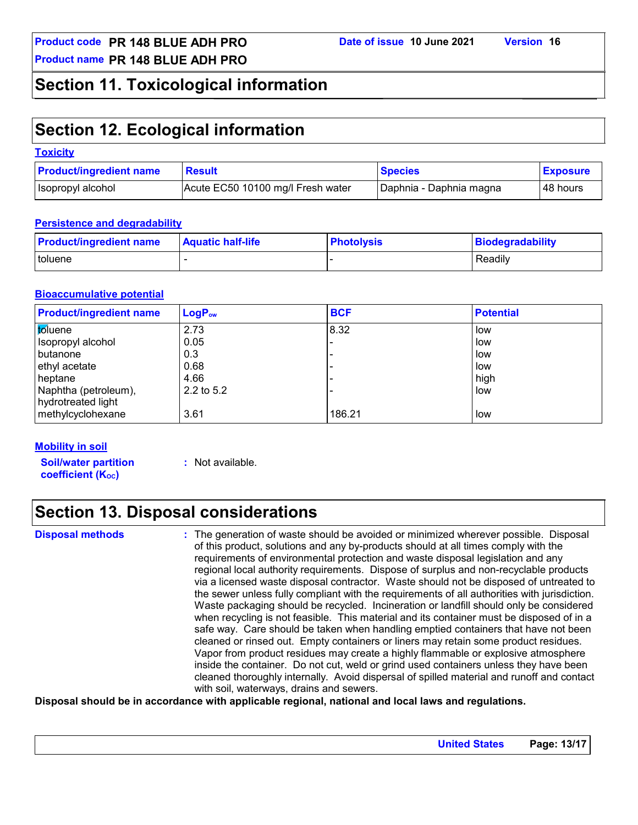### **Section 11. Toxicological information**

### **Section 12. Ecological information**

| <b>Toxicity</b>                |                                   |                         |                 |
|--------------------------------|-----------------------------------|-------------------------|-----------------|
| <b>Product/ingredient name</b> | <b>Result</b>                     | <b>Species</b>          | <b>Exposure</b> |
| Isopropyl alcohol              | Acute EC50 10100 mg/l Fresh water | Daphnia - Daphnia magna | l 48 hours      |

#### **Persistence and degradability**

| <b>Product/ingredient name</b> | <b>Aquatic half-life</b> | <b>Photolysis</b> | Biodegradability |
|--------------------------------|--------------------------|-------------------|------------------|
| toluene                        |                          |                   | Readily          |

#### **Bioaccumulative potential**

| <b>Product/ingredient name</b> | $LogP_{ow}$  | <b>BCF</b> | <b>Potential</b> |
|--------------------------------|--------------|------------|------------------|
| toluene                        | 2.73         | 8.32       | low              |
| Isopropyl alcohol              | 0.05         |            | low              |
| butanone                       | 0.3          |            | low              |
| ethyl acetate                  | 0.68         |            | low              |
| heptane                        | 4.66         |            | high             |
| Naphtha (petroleum),           | $2.2$ to 5.2 |            | low              |
| hydrotreated light             |              |            |                  |
| methylcyclohexane              | 3.61         | 186.21     | low              |

#### **Mobility in soil**

**Soil/water partition coefficient (KOC)**

**:** Not available.

### **Section 13. Disposal considerations**

**Disposal methods :**

The generation of waste should be avoided or minimized wherever possible. Disposal of this product, solutions and any by-products should at all times comply with the requirements of environmental protection and waste disposal legislation and any regional local authority requirements. Dispose of surplus and non-recyclable products via a licensed waste disposal contractor. Waste should not be disposed of untreated to the sewer unless fully compliant with the requirements of all authorities with jurisdiction. Waste packaging should be recycled. Incineration or landfill should only be considered when recycling is not feasible. This material and its container must be disposed of in a safe way. Care should be taken when handling emptied containers that have not been cleaned or rinsed out. Empty containers or liners may retain some product residues. Vapor from product residues may create a highly flammable or explosive atmosphere inside the container. Do not cut, weld or grind used containers unless they have been cleaned thoroughly internally. Avoid dispersal of spilled material and runoff and contact with soil, waterways, drains and sewers.

#### **Disposal should be in accordance with applicable regional, national and local laws and regulations.**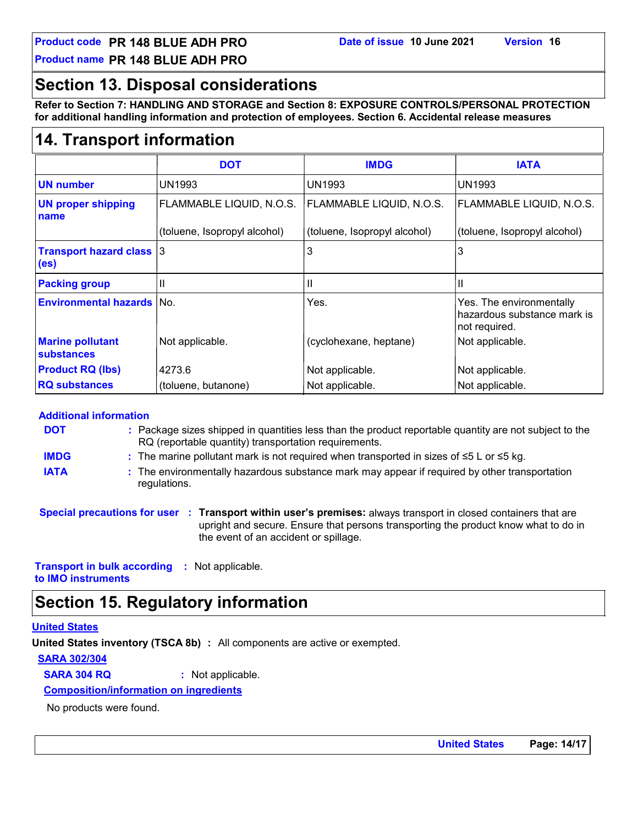**Product name PR 148 BLUE ADH PRO**

### **Section 13. Disposal considerations**

**Refer to Section 7: HANDLING AND STORAGE and Section 8: EXPOSURE CONTROLS/PERSONAL PROTECTION for additional handling information and protection of employees. Section 6. Accidental release measures**

### **14. Transport information**

|                                         | <b>DOT</b>                   | <b>IMDG</b>                  | <b>IATA</b>                                                              |
|-----------------------------------------|------------------------------|------------------------------|--------------------------------------------------------------------------|
| <b>UN number</b>                        | <b>UN1993</b>                | UN1993                       | UN1993                                                                   |
| <b>UN proper shipping</b><br>name       | FLAMMABLE LIQUID, N.O.S.     | FLAMMABLE LIQUID, N.O.S.     | FLAMMABLE LIQUID, N.O.S.                                                 |
|                                         | (toluene, Isopropyl alcohol) | (toluene, Isopropyl alcohol) | (toluene, Isopropyl alcohol)                                             |
| <b>Transport hazard class 3</b><br>(es) |                              | 3                            | 3                                                                        |
| <b>Packing group</b>                    | Ш                            | $\mathbf{I}$                 | $\mathbf{I}$                                                             |
| <b>Environmental hazards No.</b>        |                              | Yes.                         | Yes. The environmentally<br>hazardous substance mark is<br>not required. |
| <b>Marine pollutant</b><br>substances   | Not applicable.              | (cyclohexane, heptane)       | Not applicable.                                                          |
| <b>Product RQ (lbs)</b>                 | 4273.6                       | Not applicable.              | Not applicable.                                                          |
| <b>RQ substances</b>                    | (toluene, butanone)          | Not applicable.              | Not applicable.                                                          |

#### **Additional information**

| <b>DOT</b>  | : Package sizes shipped in quantities less than the product reportable quantity are not subject to the<br>RQ (reportable quantity) transportation requirements. |
|-------------|-----------------------------------------------------------------------------------------------------------------------------------------------------------------|
| <b>IMDG</b> | : The marine pollutant mark is not required when transported in sizes of $\leq 5$ L or $\leq 5$ kg.                                                             |
| <b>IATA</b> | : The environmentally hazardous substance mark may appear if required by other transportation                                                                   |

- regulations.
- **Special precautions for user Transport within user's premises:** always transport in closed containers that are **:** upright and secure. Ensure that persons transporting the product know what to do in the event of an accident or spillage.

**Transport in bulk according :** Not applicable. **to IMO instruments**

### **Section 15. Regulatory information**

#### **United States**

**United States inventory (TSCA 8b) :** All components are active or exempted.

**SARA 302/304**

**SARA 304 RQ :** Not applicable.

#### **Composition/information on ingredients**

No products were found.

**United States Page: 14/17**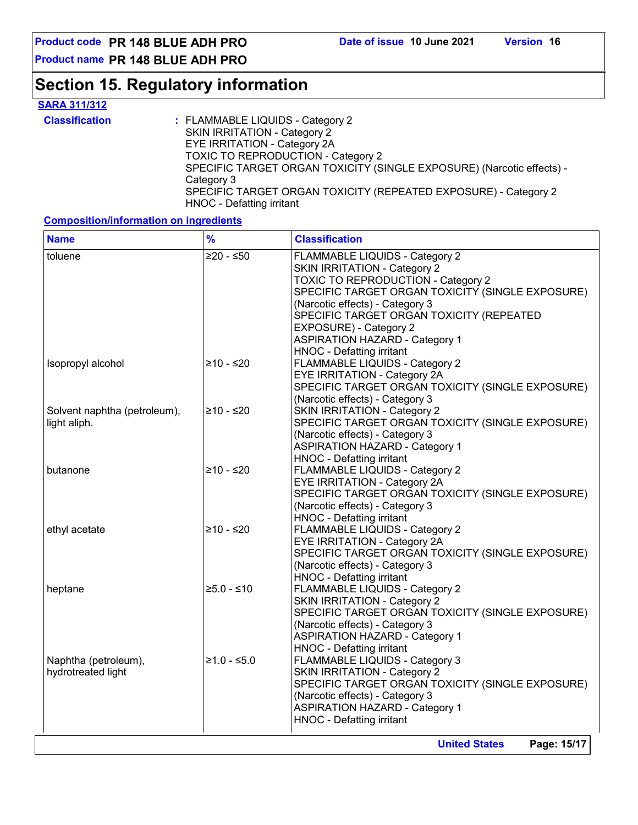**Product code PR 148 BLUE ADH PRO Date of issue 10 June 2021 Version 16**

**Product name PR 148 BLUE ADH PRO**

### **Section 15. Regulatory information**

### **SARA 311/312**

| <b>Classification</b> | : FLAMMABLE LIQUIDS - Category 2                                      |
|-----------------------|-----------------------------------------------------------------------|
|                       | SKIN IRRITATION - Category 2                                          |
|                       | EYE IRRITATION - Category 2A                                          |
|                       | <b>TOXIC TO REPRODUCTION - Category 2</b>                             |
|                       | SPECIFIC TARGET ORGAN TOXICITY (SINGLE EXPOSURE) (Narcotic effects) - |
|                       | Category 3                                                            |
|                       | SPECIFIC TARGET ORGAN TOXICITY (REPEATED EXPOSURE) - Category 2       |
|                       | HNOC - Defatting irritant                                             |

#### **Composition/information on ingredients**

| <b>Name</b>                                  | $\frac{9}{6}$ | <b>Classification</b>                                                                                                                                                                                                                                                                                                                          |
|----------------------------------------------|---------------|------------------------------------------------------------------------------------------------------------------------------------------------------------------------------------------------------------------------------------------------------------------------------------------------------------------------------------------------|
| toluene                                      | $≥20 - ≤50$   | FLAMMABLE LIQUIDS - Category 2<br>SKIN IRRITATION - Category 2<br><b>TOXIC TO REPRODUCTION - Category 2</b><br>SPECIFIC TARGET ORGAN TOXICITY (SINGLE EXPOSURE)<br>(Narcotic effects) - Category 3<br>SPECIFIC TARGET ORGAN TOXICITY (REPEATED<br>EXPOSURE) - Category 2<br><b>ASPIRATION HAZARD - Category 1</b><br>HNOC - Defatting irritant |
| Isopropyl alcohol                            | ≥10 - ≤20     | <b>FLAMMABLE LIQUIDS - Category 2</b><br>EYE IRRITATION - Category 2A<br>SPECIFIC TARGET ORGAN TOXICITY (SINGLE EXPOSURE)<br>(Narcotic effects) - Category 3                                                                                                                                                                                   |
| Solvent naphtha (petroleum),<br>light aliph. | ≥10 - ≤20     | <b>SKIN IRRITATION - Category 2</b><br>SPECIFIC TARGET ORGAN TOXICITY (SINGLE EXPOSURE)<br>(Narcotic effects) - Category 3<br><b>ASPIRATION HAZARD - Category 1</b><br>HNOC - Defatting irritant                                                                                                                                               |
| butanone                                     | $≥10 - ≤20$   | FLAMMABLE LIQUIDS - Category 2<br>EYE IRRITATION - Category 2A<br>SPECIFIC TARGET ORGAN TOXICITY (SINGLE EXPOSURE)<br>(Narcotic effects) - Category 3<br><b>HNOC - Defatting irritant</b>                                                                                                                                                      |
| ethyl acetate                                | ≥10 - ≤20     | FLAMMABLE LIQUIDS - Category 2<br>EYE IRRITATION - Category 2A<br>SPECIFIC TARGET ORGAN TOXICITY (SINGLE EXPOSURE)<br>(Narcotic effects) - Category 3<br>HNOC - Defatting irritant                                                                                                                                                             |
| heptane                                      | $≥5.0 - ≤10$  | FLAMMABLE LIQUIDS - Category 2<br><b>SKIN IRRITATION - Category 2</b><br>SPECIFIC TARGET ORGAN TOXICITY (SINGLE EXPOSURE)<br>(Narcotic effects) - Category 3<br><b>ASPIRATION HAZARD - Category 1</b><br><b>HNOC - Defatting irritant</b>                                                                                                      |
| Naphtha (petroleum),<br>hydrotreated light   | $≥1.0 - ≤5.0$ | FLAMMABLE LIQUIDS - Category 3<br><b>SKIN IRRITATION - Category 2</b><br>SPECIFIC TARGET ORGAN TOXICITY (SINGLE EXPOSURE)<br>(Narcotic effects) - Category 3<br><b>ASPIRATION HAZARD - Category 1</b><br><b>HNOC - Defatting irritant</b>                                                                                                      |

**United States Page: 15/17**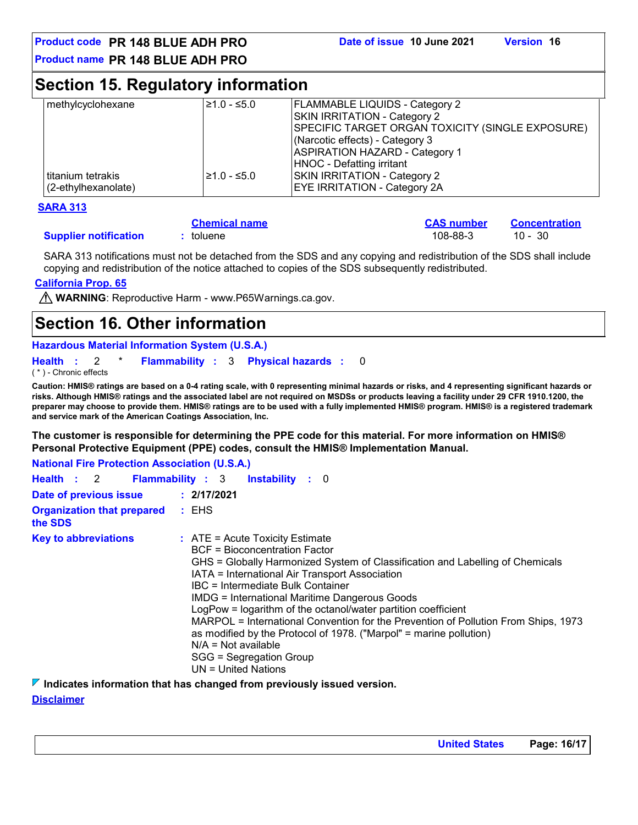**CAS number Concentration**

**Product name PR 148 BLUE ADH PRO**

### **Section 15. Regulatory information**

| methylcyclohexane   | $\geq 1.0 - 5.0$ | <b>FLAMMABLE LIQUIDS - Category 2</b>            |
|---------------------|------------------|--------------------------------------------------|
|                     |                  | SKIN IRRITATION - Category 2                     |
|                     |                  | SPECIFIC TARGET ORGAN TOXICITY (SINGLE EXPOSURE) |
|                     |                  | (Narcotic effects) - Category 3                  |
|                     |                  | <b>ASPIRATION HAZARD - Category 1</b>            |
|                     |                  | HNOC - Defatting irritant                        |
| l titanium tetrakis | l≥1.0 - ≤5.0     | SKIN IRRITATION - Category 2                     |
| (2-ethylhexanolate) |                  | <b>EYE IRRITATION - Category 2A</b>              |

#### **SARA 313**

#### **Chemical name :** toluene 108-88-3 10 - 30

**Supplier notification : toluene** 

SARA 313 notifications must not be detached from the SDS and any copying and redistribution of the SDS shall include copying and redistribution of the notice attached to copies of the SDS subsequently redistributed.

#### **California Prop. 65**

**A WARNING**: Reproductive Harm - www.P65Warnings.ca.gov.

### **Section 16. Other information**

#### **Hazardous Material Information System (U.S.A.)**

```
Health : 2 * Flammability : 3 Physical hazards : 0
                                                 0
```
( \* ) - Chronic effects

**Caution: HMIS® ratings are based on a 0-4 rating scale, with 0 representing minimal hazards or risks, and 4 representing significant hazards or risks. Although HMIS® ratings and the associated label are not required on MSDSs or products leaving a facility under 29 CFR 1910.1200, the preparer may choose to provide them. HMIS® ratings are to be used with a fully implemented HMIS® program. HMIS® is a registered trademark and service mark of the American Coatings Association, Inc.**

**The customer is responsible for determining the PPE code for this material. For more information on HMIS® Personal Protective Equipment (PPE) codes, consult the HMIS® Implementation Manual.**

| <b>National Fire Protection Association (U.S.A.)</b> |                                                                                                                                                                                                                                                                                                                                                                                                                                                                                                                                                                                                                       |
|------------------------------------------------------|-----------------------------------------------------------------------------------------------------------------------------------------------------------------------------------------------------------------------------------------------------------------------------------------------------------------------------------------------------------------------------------------------------------------------------------------------------------------------------------------------------------------------------------------------------------------------------------------------------------------------|
| Health : 2 Flammability : 3                          | <b>Instability</b> : 0                                                                                                                                                                                                                                                                                                                                                                                                                                                                                                                                                                                                |
| Date of previous issue : 2/17/2021                   |                                                                                                                                                                                                                                                                                                                                                                                                                                                                                                                                                                                                                       |
| <b>Organization that prepared : EHS</b><br>the SDS   |                                                                                                                                                                                                                                                                                                                                                                                                                                                                                                                                                                                                                       |
| <b>Key to abbreviations</b>                          | $\therefore$ ATE = Acute Toxicity Estimate<br>BCF = Bioconcentration Factor<br>GHS = Globally Harmonized System of Classification and Labelling of Chemicals<br>IATA = International Air Transport Association<br>IBC = Intermediate Bulk Container<br><b>IMDG = International Maritime Dangerous Goods</b><br>LogPow = logarithm of the octanol/water partition coefficient<br>MARPOL = International Convention for the Prevention of Pollution From Ships, 1973<br>as modified by the Protocol of 1978. ("Marpol" = marine pollution)<br>$N/A = Not available$<br>SGG = Segregation Group<br>$UN = United Nations$ |

#### **Indicates information that has changed from previously issued version.**

#### **Disclaimer**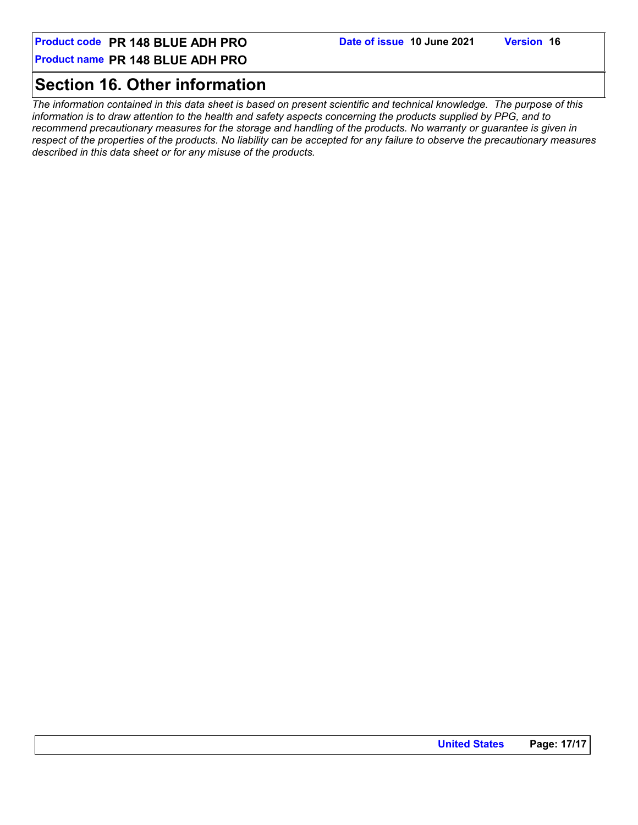#### **Product name PR 148 BLUE ADH PRO**

### **Section 16. Other information**

*The information contained in this data sheet is based on present scientific and technical knowledge. The purpose of this information is to draw attention to the health and safety aspects concerning the products supplied by PPG, and to recommend precautionary measures for the storage and handling of the products. No warranty or guarantee is given in respect of the properties of the products. No liability can be accepted for any failure to observe the precautionary measures described in this data sheet or for any misuse of the products.*